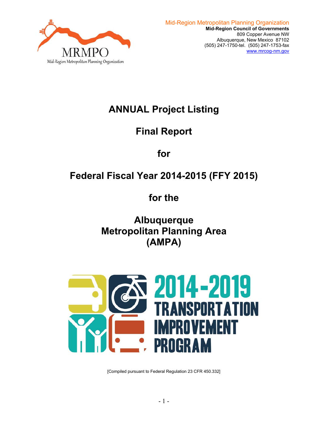

# **ANNUAL Project Listing**

# **Final Report**

**for** 

# **Federal Fiscal Year 2014-2015 (FFY 2015)**

**for the** 

**Albuquerque Metropolitan Planning Area (AMPA)** 



[Compiled pursuant to Federal Regulation 23 CFR 450.332]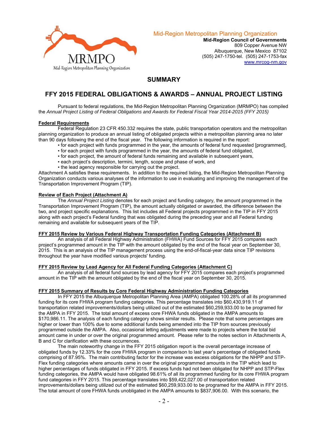

Mid-Region Metropolitan Planning Organization

**Mid-Region Council of Governments**  809 Copper Avenue NW Albuquerque, New Mexico 87102 (505) 247-1750-tel. (505) 247-1753-fax www.mrcog-nm.gov

## **SUMMARY**

## **FFY 2015 FEDERAL OBLIGATIONS & AWARDS – ANNUAL PROJECT LISTING**

 Pursuant to federal regulations, the Mid-Region Metropolitan Planning Organization (MRMPO) has compiled the *Annual Project Listing of Federal Obligations and Awards for Federal Fiscal Year 2014-2015 (FFY 2015)* 

#### **Federal Requirements**

 Federal Regulation 23 CFR 450.332 requires the state, public transportation operators and the metropolitan planning organization to produce an annual listing of obligated projects within a metropolitan planning area no later than 90 days following the end of the fiscal year. The following information is required in the report:

- for each project with funds programmed in the year, the amounts of federal fund requested [programmed],
- for each project with funds programmed in the year, the amounts of federal fund obligated,
- for each project, the amount of federal funds remaining and available in subsequent years,
- each project's description, termini, length, scope and phase of work, and
- . the lead agency responsible for carrying out the project.

Attachment A satisfies these requirements. In addition to the required listing, the Mid-Region Metropolitan Planning Organization conducts various analyses of the information to use in evaluating and improving the management of the Transportation Improvement Program (TIP).

#### **Review of Each Project (Attachment A)**

 The *Annual Project Listing* denotes for each project and funding category, the amount programmed in the Transportation Improvement Program (TIP), the amount actually obligated or awarded, the difference between the two, and project specific explanations. This list includes all Federal projects programmed in the TIP in FFY 2015 along with each project's Federal funding that was obligated during the preceding year and all Federal funding remaining and available for subsequent years of the TIP.

#### **FFY 2015 Review by Various Federal Highway Transportation Funding Categories (Attachment B)**

 An analysis of all Federal Highway Administration (FHWA) Fund Sources for FFY 2015 compares each project's programmed amount in the TIP with the amount obligated by the end of the fiscal year on September 30, 2015. This is an analysis of the TIP management process using the end-of-fiscal-year data since TIP revisions throughout the year have modified various projects' funding.

#### **FFY 2015 Review by Lead Agency for All Federal Funding Categories (Attachment C)**

 An analysis of all federal fund sources by lead agency for FFY 2015 compares each project's programmed amount in the TIP with the amount obligated by the end of the fiscal year on September 30, 2015.

#### **FFY 2015 Summary of Results by Core Federal Highway Administration Funding Categories**

 In FFY 2015 the Albuquerque Metropolitan Planning Area (AMPA) obligated 100.28% of all its programmed funding for its core FHWA program funding categories. This percentage translates into \$60,430,919.11 of transportation related improvements/dollars being utilized out of the estimated \$60,259,933.00 to be programed for the AMPA in FFY 2015. The total amount of excess core FHWA funds obligated in the AMPA amounts to \$170,986.11. The analysis of each funding category shows similar results. Please note that some percentages are higher or lower than 100% due to some additional funds being amended into the TIP from sources previously programmed outside the AMPA. Also, occasional letting adjustments were made to projects where the total bid amount came in under or over the original programmed amount. Please refer to the notes section in Attachments A, B and C for clarification with these occurrences.

 The main noteworthy change in the FFY 2015 obligation report is the overall percentage increase of obligated funds by 12.33% for the core FHWA program in comparison to last year's percentage of obligated funds comprising of 87.95%. The main contributing factor for the increase was excess obligations for the NHPP and STP-Flex funding categories where amounts came in over the original programmed amounts in the TIP which lead to higher percentages of funds obligated in FFY 2015. If excess funds had not been obligated for NHPP and STP-Flex funding categories, the AMPA would have obligated 98.61% of all its programmed funding for its core FHWA program fund categories in FFY 2015. This percentage translates into \$59,422,027.00 of transportation related improvements/dollars being utilized out of the estimated \$60,259,933.00 to be programed for the AMPA in FFY 2015. The total amount of core FHWA funds unobligated in the AMPA amounts to \$837,906.00. With this scenario, the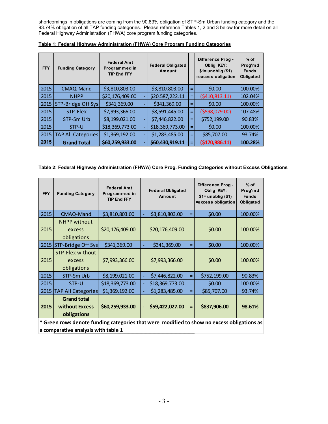shortcomings in obligations are coming from the 90.83% obligation of STP-Sm Urban funding category and the 93.74% obligation of all TAP funding categories. Please reference Tables 1, 2 and 3 below for more detail on all Federal Highway Administration (FHWA) core program funding categories.

| <b>FFY</b> | <b>Funding Category</b>   | <b>Federal Amt</b><br>Programmed in<br><b>TIP End FFY</b> | <b>Federal Obligated</b><br>Amount |     | Difference Prog -<br>Oblig KEY:<br>$$1$ = unoblig $$1)$<br>=excess obligation | $%$ of<br>Prog'md<br><b>Funds</b><br>Obligated |
|------------|---------------------------|-----------------------------------------------------------|------------------------------------|-----|-------------------------------------------------------------------------------|------------------------------------------------|
| 2015       | CMAQ-Mand                 | \$3,810,803.00                                            | \$3,810,803.00                     | $=$ | \$0.00                                                                        | 100.00%                                        |
| 2015       | <b>NHPP</b>               | \$20,176,409.00                                           | \$20,587,222.11                    | $=$ | (5410, 813.11)                                                                | 102.04%                                        |
| 2015       | STP-Bridge Off Sys        | \$341,369.00                                              | \$341,369.00                       | $=$ | \$0.00                                                                        | 100.00%                                        |
| 2015       | STP-Flex                  | \$7,993,366.00                                            | \$8,591,445.00                     | $=$ | (\$598,079.00)                                                                | 107.48%                                        |
| 2015       | STP-Sm Urb                | \$8,199,021.00                                            | \$7,446,822.00                     | $=$ | \$752,199.00                                                                  | 90.83%                                         |
| 2015       | STP-U                     | \$18,369,773.00                                           | \$18,369,773.00                    | $=$ | \$0.00                                                                        | 100.00%                                        |
| 2015       | <b>TAP All Categories</b> | \$1,369,192.00                                            | \$1,283,485.00                     | $=$ | \$85,707.00                                                                   | 93.74%                                         |
| 2015       | <b>Grand Total</b>        | \$60,259,933.00                                           | \$60,430,919.11                    | Ξ   | (\$170,986.11)                                                                | 100.28%                                        |

**Table 1: Federal Highway Administration (FHWA) Core Program Funding Categories** 

| Table 2: Federal Highway Administration (FHWA) Core Prog. Funding Categories without Excess Obligations |  |  |  |
|---------------------------------------------------------------------------------------------------------|--|--|--|
|                                                                                                         |  |  |  |

| <b>FFY</b> | <b>Funding Category</b>                                                                    | <b>Federal Amt</b><br>Programmed in<br><b>TIP End FFY</b> | <b>Federal Obligated</b><br>Amount |          | Difference Prog -<br>Oblig KEY:<br>$$1=$ unoblig $$1)$<br>=excess obligation | $%$ of<br>Prog'md<br><b>Funds</b><br>Obligated |
|------------|--------------------------------------------------------------------------------------------|-----------------------------------------------------------|------------------------------------|----------|------------------------------------------------------------------------------|------------------------------------------------|
| 2015       | CMAQ-Mand                                                                                  | \$3,810,803.00                                            | \$3,810,803.00                     | $=$      | \$0.00                                                                       | 100.00%                                        |
| 2015       | <b>NHPP without</b><br>excess<br>obligations                                               | \$20,176,409.00                                           | \$20,176,409.00                    |          | \$0.00                                                                       | 100.00%                                        |
| 2015       | STP-Bridge Off Sys                                                                         | \$341,369.00                                              | \$341,369.00                       | $=$      | \$0.00                                                                       | 100.00%                                        |
| 2015       | STP-Flex without<br>excess<br>obligations                                                  | \$7,993,366.00                                            | \$7,993,366.00                     |          | \$0.00                                                                       | 100.00%                                        |
| 2015       | STP-Sm Urb                                                                                 | \$8,199,021.00                                            | \$7,446,822.00                     | $\equiv$ | \$752,199.00                                                                 | 90.83%                                         |
| 2015       | STP-U                                                                                      | \$18,369,773.00                                           | \$18,369,773.00                    | =        | \$0.00                                                                       | 100.00%                                        |
| 2015       | <b>TAP All Categories</b>                                                                  | \$1,369,192.00                                            | \$1,283,485.00                     | $=$      | \$85,707.00                                                                  | 93.74%                                         |
| 2015       | <b>Grand total</b><br>without Excess<br>obligations                                        | \$60,259,933.00                                           | \$59,422,027.00                    | $=$      | \$837,906.00                                                                 | 98.61%                                         |
|            | * Green rows denote funding categories that were modified to show no excess obligations as |                                                           |                                    |          |                                                                              |                                                |

**a comparative analysis with table 1**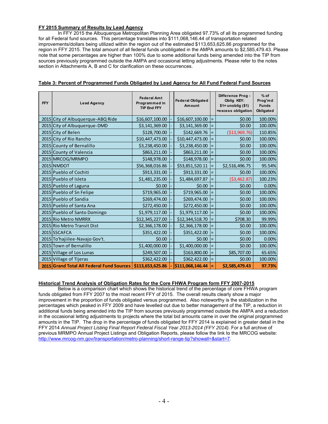### **FY 2015 Summary of Results by Lead Agency**

 In FFY 2015 the Albuquerque Metropolitan Planning Area obligated 97.73% of all its programmed funding for all Federal fund sources. This percentage translates into \$111,068,146.44 of transportation related improvements/dollars being utilized within the region out of the estimated \$113,653,625.86 programmed for the region in FFY 2015. The total amount of all federal funds unobligated in the AMPA amounts to \$2,585,479.43. Please note that some percentages are higher than 100% due to some additional funds being amended into the TIP from sources previously programmed outside the AMPA and occasional letting adjustments. Please refer to the notes section in Attachments A, B and C for clarification on these occurrences.

| <b>FFY</b> | <b>Lead Agency</b>                        | <b>Federal Amt</b><br>Programmed in<br><b>TIP End FFY</b> | <b>Federal Obligated</b><br>Amount |     | Difference Prog -<br>Oblig KEY:<br>$$1$ = unoblig $$1)$<br>=excess obligation | $%$ of<br>Prog'md<br><b>Funds</b><br>Obligated |
|------------|-------------------------------------------|-----------------------------------------------------------|------------------------------------|-----|-------------------------------------------------------------------------------|------------------------------------------------|
|            | 2015 City of Albuquerque-ABQ Ride         | \$16,607,100.00                                           | \$16,607,100.00                    |     | \$0.00                                                                        | 100.00%                                        |
|            | 2015 City of Albuquerque-DMD              | \$3,141,369.00                                            | \$3,141,369.00                     |     | \$0.00                                                                        | 100.00%                                        |
|            | 2015 City of Belen                        | \$128,700.00                                              | \$142,669.76                       |     | ( \$13,969.76)                                                                | 110.85%                                        |
|            | 2015 City of Rio Rancho                   | \$10,447,473.00                                           | \$10,447,473.00                    |     | \$0.00                                                                        | 100.00%                                        |
|            | 2015 County of Bernalillo                 | \$3,238,450.00                                            | \$3,238,450.00                     |     | \$0.00                                                                        | 100.00%                                        |
|            | 2015 County of Valencia                   | \$863,211.00                                              | \$863,211.00                       |     | \$0.00                                                                        | 100.00%                                        |
|            | 2015 MRCOG/MRMPO                          | \$148,978.00                                              | \$148,978.00                       |     | \$0.00                                                                        | 100.00%                                        |
|            | 2015 NMDOT                                | \$56,368,016.86                                           | \$53,851,520.11                    |     | \$2,516,496.75                                                                | 95.54%                                         |
|            | 2015 Pueblo of Cochiti                    | \$913,331.00                                              | \$913,331.00                       |     | \$0.00                                                                        | 100.00%                                        |
|            | 2015 Pueblo of Isleta                     | \$1,481,235.00                                            | \$1,484,697.87                     |     | ( \$3,462.87)                                                                 | 100.23%                                        |
|            | 2015 Pueblo of Laguna                     | \$0.00                                                    | \$0.00                             |     | \$0.00                                                                        | 0.00%                                          |
|            | 2015 Pueblo of Sn Felipe                  | \$719,965.00                                              | \$719,965.00                       |     | \$0.00                                                                        | 100.00%                                        |
|            | 2015 Pueblo of Sandia                     | \$269,474.00                                              | \$269,474.00                       |     | \$0.00                                                                        | 100.00%                                        |
|            | 2015 Pueblo of Santa Ana                  | \$272,450.00                                              | \$272,450.00                       |     | \$0.00                                                                        | 100.00%                                        |
|            | 2015 Pueblo of Santo Domingo              | \$1,979,117.00                                            | \$1,979,117.00                     |     | \$0.00                                                                        | 100.00%                                        |
|            | 2015 Rio Metro NMRRX                      | \$12,345,227.00                                           | \$12,344,518.70                    |     | \$708.30                                                                      | 99.99%                                         |
|            | 2015 Rio Metro Transit Dist               | \$2,366,178.00                                            | \$2,366,178.00                     |     | \$0.00                                                                        | 100.00%                                        |
|            | 2015 SSCAFCA                              | \$351,422.00                                              | \$351,422.00                       |     | \$0.00                                                                        | 100.00%                                        |
|            | 2015 To'hajiilee-Navajo Gov't.            | \$0.00                                                    | \$0.00                             |     | \$0.00                                                                        | 0.00%                                          |
|            | 2015 Town of Bernalillo                   | \$1,400,000.00                                            | \$1,400,000.00                     | $=$ | \$0.00                                                                        | 100.00%                                        |
|            | 2015 Village of Los Lunas                 | \$249,507.00                                              | \$163,800.00                       |     | \$85,707.00                                                                   | 65.65%                                         |
|            | 2015 Village of Tijeras                   | \$362,422.00                                              | \$362,422.00                       |     | \$0.00                                                                        | 100.00%                                        |
|            | 2015 Grand Total All Federal Fund Sources | \$113,653,625.86                                          | \$111,068,146.44                   |     | \$2,585,479.43                                                                | 97.73%                                         |

### **Table 3: Percent of Programmed Funds Obligated by Lead Agency for All Fund Federal Fund Sources**

### **Historical Trend Analysis of Obligation Rates for the Core FHWA Program form FFY 2007-2015**

 Below is a comparison chart which shows the historical trend of the percentage of core FHWA program funds obligated from FFY 2007 to the most recent FFY of 2015. The overall results clearly show a major improvement in the proportion of funds obligated versus programmed. Also noteworthy is the stabilization in the percentages which peaked in FFY 2009 and have levelled out due to better management of the TIP, a reduction in additional funds being amended into the TIP from sources previously programmed outside the AMPA and a reduction in the occasional letting adjustments to projects where the total bid amounts came in over the original programmed amounts in the TIP. The drop in the percentage of funds obligated for FFY 2014 is explained in greater detail in the FFY 2014 *Annual Project Listing Final Report Federal Fiscal Year 2013-2014 (FFY 2014)*. For a full archive of previous MRMPO Annual Project Listings and Obligation Reports, please follow the link to the MRCOG website: http://www.mrcog-nm.gov/transportation/metro-planning/short-range-tip?showall=&start=7.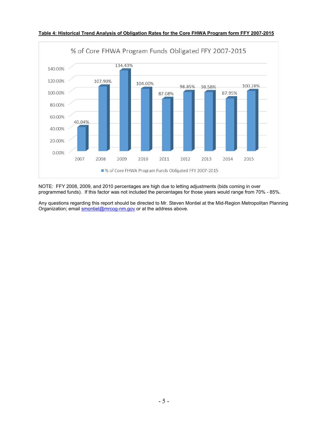

**Table 4: Historical Trend Analysis of Obligation Rates for the Core FHWA Program form FFY 2007-2015** 

NOTE: FFY 2008, 2009, and 2010 percentages are high due to letting adjustments (bids coming in over programmed funds). If this factor was not included the percentages for those years would range from 70% - 85%.

Any questions regarding this report should be directed to Mr. Steven Montiel at the Mid-Region Metropolitan Planning Organization; email **smontiel@mrcog-nm.gov** or at the address above.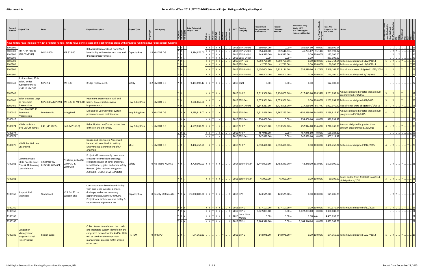| Control<br>Number                        | <b>Project Title</b>                                                                                       |                                       |                                           | <b>Project Description</b>                                                                                                                                                                                                         | <b>Project Type</b>       | <b>Lead Agency</b>     |                                              | <b>Total Estimated</b><br><b>Project Cost</b> | 티리 리 리 리 리 리                                                       | $\begin{array}{ l }\n\hline\n\text{Design} \\ \hline\n\text{ROW} \\ \hline\n\text{FOMt} \\ \hline\n\text{Conty} \\ \hline\n\text{Cohler} \\ \hline\n\text{Cohlyed} \\ \hline\n\text{Cohlyed} \\ \hline\n\end{array}$ | E<br><b>FFY</b> | Funding<br>Category                                                                              | <b>Federal Amt</b><br>Programmed in<br><b>TIP End FFY</b> | Federal<br>Obligated<br>Amount                       | Difference Prog -<br>Oblig KEY:<br>$$1=$ unoblig $$1)$<br>=excess obligation |                | <b>Total Amt</b><br>Prog'md in TIP<br><b>Notes</b><br>with Match                                                       |                   |                             | tr/Impl                       |                                                 |
|------------------------------------------|------------------------------------------------------------------------------------------------------------|---------------------------------------|-------------------------------------------|------------------------------------------------------------------------------------------------------------------------------------------------------------------------------------------------------------------------------------|---------------------------|------------------------|----------------------------------------------|-----------------------------------------------|--------------------------------------------------------------------|----------------------------------------------------------------------------------------------------------------------------------------------------------------------------------------------------------------------|-----------------|--------------------------------------------------------------------------------------------------|-----------------------------------------------------------|------------------------------------------------------|------------------------------------------------------------------------------|----------------|------------------------------------------------------------------------------------------------------------------------|-------------------|-----------------------------|-------------------------------|-------------------------------------------------|
|                                          |                                                                                                            |                                       |                                           | Key: Yellow rows indicate FFY 2015 Federal Funds. White rows denote state and local funding along with previous funding and/or subsequent funding.                                                                                 |                           |                        |                                              |                                               |                                                                    |                                                                                                                                                                                                                      |                 |                                                                                                  |                                                           |                                                      |                                                                              |                |                                                                                                                        |                   |                             |                               |                                                 |
| 3100300<br>3100300<br>3100300<br>3100300 | NM 47 in Peralta<br>(Old CN=2105)                                                                          | MP 31.000                             | MP 32.800                                 | Rehabilitate/reconstruct from 2 to 5<br>lane facility with center turn lane and<br>drainage improvements.                                                                                                                          | Capacity Proj             | 1.8 NMDOT D-3          |                                              | 13,884,876.00                                 | $Y$ $Y$ $Y$ $Y$ $Y$<br>$Y$ $Y$ $Y$ $Y$ $Y$<br>Y Y Y Y Y <br>YYYYYY |                                                                                                                                                                                                                      |                 | 2013 STP-Sm Urb<br>2013 STP-Sm Urb<br>2014 STP-Sm Urb<br>2015 Local Other                        | 180,014.00 -<br>854,400.00<br>149,520.00<br>0.00          | $0.00 =$<br>812,646.93<br>$149,520.00 =$<br>$0.00 =$ | 180,014.00 0.00%<br>41,753.07 95.11%<br>0.00                                 | 0.00 100.00%   | 210,690.54<br>999,999.97<br>175,000.00<br>883,000.00                                                                   |                   | $ Y Y $<br>.   Y      Y   . | $\ldots$ $\ldots$ $\ldots$ 16 | $\frac{1}{2}$   15<br>$\overline{.16}$<br>.  43 |
| 3100300                                  |                                                                                                            |                                       |                                           |                                                                                                                                                                                                                                    |                           |                        |                                              |                                               | Y Y Y Y Y                                                          |                                                                                                                                                                                                                      |                 | 2015 STP-Flex                                                                                    | 4,359,759.00                                              | 4,359,759.00 =                                       |                                                                              |                | 0.00 100.00% 5,102,714.04 Full amount obligated 11/20/2014                                                             | $1 \vert$         | . I Y L.                    | .   Y                         | $\vert \cdot \vert$ 03                          |
| 3100300<br>3100300                       |                                                                                                            |                                       |                                           |                                                                                                                                                                                                                                    |                           |                        |                                              |                                               | Y Y Y Y Y <br>YIYIYIYI'                                            |                                                                                                                                                                                                                      |                 | 2015 STP-Flex<br>2015 STP-Sm Urb                                                                 | 42,720.00<br>6,450,004.00                                 | 42,720.00<br>5,915,124.00                            | 534,880.00 91.71%                                                            | $0.00$ 100.00% | 50,000.00 Full amount obligated 11/20/2014<br>7,549,161.77 Not all funds were obligated 11/20/2014                     | $1 \vert$         | . I Y I                     |                               | $\vert$ Y 43<br> 03                             |
| 3100300                                  |                                                                                                            |                                       |                                           |                                                                                                                                                                                                                                    |                           |                        |                                              |                                               | YYYYYY                                                             |                                                                                                                                                                                                                      |                 | 2015 STP-Sm Urb                                                                                  | 106,800.00                                                | 106,800.00                                           |                                                                              | $0.00$ 100.00% | 125,000.00 Full amount obligated 9/17/2015                                                                             | $\vert$ 4 $\vert$ | $ Y $ . $ Y $               |                               | .16                                             |
| 3100340                                  | Business Loop 13 in<br>Belen, Bridge<br>#059850.9 miles<br>north of NM 309                                 | MP 2.94                               | MP 3.47                                   | Bridge replacement.                                                                                                                                                                                                                | Safety                    | 0.2 NMDOT D-3          |                                              | $9,433,898.47$ Y Y Y Y Y Y                    |                                                                    |                                                                                                                                                                                                                      |                 | <b>2015 BNSF</b>                                                                                 | 0.00                                                      | 0.00                                                 | 0.00                                                                         |                | 172,000.00                                                                                                             |                   |                             |                               |                                                 |
| 3100340                                  |                                                                                                            |                                       |                                           |                                                                                                                                                                                                                                    |                           |                        |                                              |                                               | Y Y Y Y Y I'                                                       |                                                                                                                                                                                                                      |                 | 2015 NHPP                                                                                        | 7,913,366.00                                              | 8,430,809.00                                         |                                                                              |                | $\left  \frac{-517,443.00}{106.54\%} \right $ 9,261,898.14 Amount obligated greater than amount<br>programmed 4/1/2015 |                   |                             |                               |                                                 |
| 3100460<br>3100460                       | <b>Belen Business Loop</b><br>13 Pavement<br>Preservation.                                                 | MP 2.68 to MP 2.94 MP 3.47 to MP 6.60 |                                           | Pavement preservation (Mill and<br>Inlay). Project includes ADA<br>improvements.                                                                                                                                                   | <b>Hwy &amp; Brg Pres</b> | <b>NMDOT D-3</b>       |                                              | 3,186,069.00                                  | YYY                                                                |                                                                                                                                                                                                                      |                 | 2015 STP-Flex<br>2015 STP-Sm Urb                                                                 | 1,079,961.00<br>1,642,217.00                              | 1,079,961.00<br>1,424,898.00                         |                                                                              | $0.00$ 100.00% | 1,263,999.26 Full amount obligated 4/1/2015<br>217,319.00 86.77% 1,922,070.40 Not all funds were obligated 4/1/2015    |                   | $\ Y\ $                     | Y                             |                                                 |
| A300016                                  | Coors Blvd:NM 45<br>Pavement<br>Preservation                                                               | Montano Rd.                           | Irving Blvd.                              | Mill and fill Coors Blvd for system<br>preservation and maintenance                                                                                                                                                                | Hwy & Brg Pres            | NMDOT D-3              |                                              | $3,238,818.00$ Y Y Y                          |                                                                    |                                                                                                                                                                                                                      |                 | 2015 STP-Flex                                                                                    | 1,912,846.00                                              | 2,767,245.00                                         |                                                                              |                | Amount obligated greater than amount<br>$-854,399.00 144.67%$ 2,238,817.82<br>programmed 9/14/2015                     |                   |                             |                               |                                                 |
| A300016                                  |                                                                                                            |                                       |                                           |                                                                                                                                                                                                                                    |                           |                        | YY                                           |                                               | $Y$ $Y$ $Y$                                                        | Y   .                                                                                                                                                                                                                |                 | 2016 STP-Flex                                                                                    | 854,400.00                                                | $0.00 =$                                             | 854,400.00 0.00%                                                             |                | 999,999.97                                                                                                             |                   |                             |                               | .05                                             |
| A300074                                  | 40 & Louisiana<br><b>Blvd On/Off Ramps</b>                                                                 | -40 (MP 162.5)                        | $-40$ (MP 163.5)                          | Rehabilitation and/or reconstruction<br>of the on and off ramps.                                                                                                                                                                   | Hwy & Brg Pres            | NMDOT D-3              |                                              | 4,659,839.26 Y Y Y                            |                                                                    |                                                                                                                                                                                                                      |                 | 2015 NHPP                                                                                        | 3,175,583.00                                              | 3,633,527.00                                         | -457,944.00 114.42%                                                          |                | Amount obligated is greater than<br>3,716,740.30 amount programmed 8/20/2015                                           |                   |                             |                               | 106                                             |
| A300074                                  |                                                                                                            |                                       |                                           |                                                                                                                                                                                                                                    |                           |                        | Y Y                                          |                                               | $Y$ $Y$ $Y$ $.$                                                    |                                                                                                                                                                                                                      |                 | 2016 NHPP                                                                                        | 457,945.00                                                | $0.00 =$                                             | 457,945.00 0.00%                                                             |                | 535,984.30                                                                                                             |                   | $-1 - 1 - 1$                |                               | $\cdot$ 06<br>$\overline{06}$                   |
| A300074<br>A300076                       | 40 Noise Wall near<br><b>Unser Blvd.</b>                                                                   |                                       |                                           | Design and construct a Noise wall<br>located at Usner Blvd. to satistfy<br><b>Envirnmental Commitment of CN</b><br>A300303.                                                                                                        |                           | NMDOT D-3              | ly ly                                        | 3,406,457.56                                  | YYY<br>YY                                                          | Y                                                                                                                                                                                                                    |                 | 2016 STP-Flex<br>2015 NHPP                                                                       | 347,839.00<br>2,910,478.00                                | $0.00 =$<br>2,910,478.00                             | 347,839.00 0.00%                                                             | $0.00$ 100.00% | 407,114.92<br>3,406,458.24 Full amount obligated 9/14/2015                                                             |                   | IYI                         |                               |                                                 |
| A300081                                  | Commuter Rail:<br>sleta Pueblo Quiet<br>Zone & RR Crossing<br>Consolidation                                | Xing #019452T,<br>019451L, 019450E,   | 019449К, 019445Н,<br>019443U &<br>019442M | Project will permanently close some<br>crossing to consolidate crossings,<br>realign roadways at other crossings,<br>install flashers, gates and other safety<br>devices. (Also includes design for<br>A300083.) UNDER DEVELOPMENT | Safety                    | 0 Rio Metro NMRRX      |                                              | 2,700,000.00 Y Y Y Y Y Y                      |                                                                    |                                                                                                                                                                                                                      |                 | 2014 Safety (HSIP)                                                                               | 1,440,000.00                                              | $1,482,240.00 =$                                     |                                                                              |                | $-42,240.00$ 102.93% 1,600,000.00                                                                                      |                   | Y   Y                       |                               |                                                 |
| A300081                                  |                                                                                                            |                                       |                                           |                                                                                                                                                                                                                                    |                           |                        |                                              |                                               | YYYYYY                                                             |                                                                                                                                                                                                                      |                 | 2015 Safety (HSIP)                                                                               | 45,000.00                                                 | $45,000.00 =$                                        |                                                                              | $0.00$ 100.00% | 50,000.00 Funds added from A300083 transfer &<br>diobligation 4/7/15                                                   |                   |                             |                               |                                                 |
|                                          | A300160 $\Big \begin{array}{c} \textsf{Support} \textsf{Blvd} \\ \textsf{I} \end{array}\Big $<br>Extension | Woodward                              | I-25 Exit 221 at<br>Sunport Blvd          | Construct new 4 lane divided facility<br>with bike lanes includes signage,<br>drainage, and other necessary<br>appurtenances. Demo ID NM006.<br>Project total includes capital outlay &<br>county funds in previous FYs.           | Capacity Proj             | 0 County of Bernalillo | YY                                           | 21,000,000.00 Y Y Y Y Y Y                     |                                                                    |                                                                                                                                                                                                                      | Y 2013 HPP      |                                                                                                  | 143,525.00 -                                              | $143,525.00 =$                                       |                                                                              | 0.00 100.00%   | 179,406.25                                                                                                             |                   | . I Y I Y I                 |                               | . 15                                            |
| A300160                                  |                                                                                                            |                                       |                                           |                                                                                                                                                                                                                                    |                           |                        | Y Y Y                                        |                                               | γ   γ   γ   γ   γ         γ    2015 <mark> STP-U</mark>            |                                                                                                                                                                                                                      |                 |                                                                                                  | 377,107.00                                                | $377,107.00 =$                                       |                                                                              | $0.00$ 100.00% | 441,370.54 Full amount obligated 6/17/2015                                                                             |                   |                             |                               |                                                 |
| A300160                                  |                                                                                                            |                                       |                                           |                                                                                                                                                                                                                                    |                           |                        | $\overline{Y}$ $\overline{Y}$ $\overline{Y}$ |                                               | Υ   Υ   Υ   Υ   Υ         Υ   2017  STP-U                          |                                                                                                                                                                                                                      |                 |                                                                                                  | 8,022,893.00 -                                            | $0.00 =$                                             | 8,022,893.00 0.00% 9,390,089.85                                              |                |                                                                                                                        |                   |                             |                               | $\overline{.01}$                                |
| A300160                                  |                                                                                                            |                                       |                                           |                                                                                                                                                                                                                                    |                           |                        |                                              |                                               | YYYYYYY                                                            |                                                                                                                                                                                                                      |                 | Local Non-<br>$\left  \n\begin{array}{c c} 1 & 2018 & \text{Match} \ \hline \end{array} \right $ | $0.00 -$                                                  | $0.00 =$                                             | 0.00 N/A                                                                     |                | 4,465,032.00                                                                                                           |                   |                             |                               |                                                 |
| A300160                                  |                                                                                                            |                                       |                                           |                                                                                                                                                                                                                                    |                           |                        | $Y$ $Y$ $Y$                                  |                                               | Y   Y   Y   Y   Y         Y   2018 STP-U                           |                                                                                                                                                                                                                      |                 |                                                                                                  | 3,104,346.00 -                                            | $0.00 =$                                             | 3,104,346.00 0.00% 3,633,363.66                                              |                |                                                                                                                        |                   |                             |                               | . 01                                            |
| A300185                                  | Congestion<br>Management<br>Program: Travel<br>Time Program                                                | <b>Region Wide</b>                    |                                           | Collect travel time data on the roads<br>and interstate system identified in the<br>congested network of the AMPA. Data TTS-TSM<br>will be used for the congestion<br>management process (CMP) among<br>other uses.                |                           | 0 MRMPO                |                                              | $174,366.00$ .                                | $-1 - 1 - 1$                                                       | Y                                                                                                                                                                                                                    |                 | $\sqrt{2015}$ STP-U                                                                              | 148,978.00 -                                              | $148,978.00 =$                                       |                                                                              | $0.00$ 100.00% | 174,365.63 Full amount obligated 10/27/2014                                                                            |                   |                             | .   Y         Y           18  |                                                 |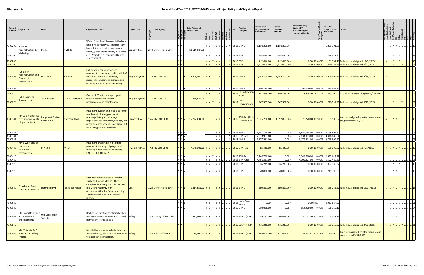| Control<br><b>Numbe</b> | roject Title                                                           | From                                    |                     | <b>Project Description</b>                                                                                                                                                                                                      | <b>Project Type</b> | <b>Lead Agency</b>       | ׇ֦֛֬֘֘֘֩֕׀׆֖֦֦׀ <del>֖</del> ֖֖֖֦֧                                | <b>Total Estimated</b><br><b>Project Cost</b> | $\frac{1}{\frac{1}{n}}\frac{\log\left \frac{1}{n}\right }{\log\left \frac{1}{n}\right }\frac{\log\left \frac{1}{n}\right }{\log\left \frac{1}{n}\right }\frac{\log\left \frac{1}{n}\right }{\log\left \frac{1}{n}\right }$<br>  둔   둔   둔   둔   둔   둔   ş   ┊ |  | <b>Funding</b><br><b>FFY</b><br>Category          | Federal Amt<br>Programmed in<br><b>TIP End FFY</b> | Federal<br>Obligated<br>Amount   | Difference Prog<br>Oblig KEY:<br>$$1=$ unoblig $$1)$<br>=excess obligation | <b>Total Amt</b><br>Prog'md in TIP<br>with Match | <b>Notes</b>                                                                                             |                                                                                               |                  |                   |                   |                  |
|-------------------------|------------------------------------------------------------------------|-----------------------------------------|---------------------|---------------------------------------------------------------------------------------------------------------------------------------------------------------------------------------------------------------------------------|---------------------|--------------------------|-------------------------------------------------------------------|-----------------------------------------------|---------------------------------------------------------------------------------------------------------------------------------------------------------------------------------------------------------------------------------------------------------------|--|---------------------------------------------------|----------------------------------------------------|----------------------------------|----------------------------------------------------------------------------|--------------------------------------------------|----------------------------------------------------------------------------------------------------------|-----------------------------------------------------------------------------------------------|------------------|-------------------|-------------------|------------------|
| A300200 Idalia Rd       | Reconstruction &                                                       | Iris Rd                                 | <b>NM 528</b>       | Widen from 2 to 3 lane undivided or 4<br>lane divided roadway. Includes: turn<br>lanes, intersection improvements<br>curbs, gutter, storm drains, bike lanes,                                                                   | Capacity Proj       | 2.44 City of Rio Rancho  |                                                                   | 13,510,587.00                                 | YYYYYY                                                                                                                                                                                                                                                        |  | . Y 2013 STP-U                                    | 1,110,200.00                                       | 1,110,200.00                     |                                                                            | 1,299,391.35                                     |                                                                                                          |                                                                                               | IYIYI.           |                   |                   |                  |
| A300200                 | Widening                                                               |                                         |                     | etc. Project t.b.d. concurrently with<br>sewer project.                                                                                                                                                                         |                     |                          |                                                                   |                                               | <u>  Y   Y   Y   Y   Y  </u>                                                                                                                                                                                                                                  |  | Y 2013 STP-U                                      | 545,630.00                                         | 545,630.00                       |                                                                            | 638,611.87                                       |                                                                                                          |                                                                                               |                  |                   |                   |                  |
| A300200<br>A300200      |                                                                        |                                         |                     |                                                                                                                                                                                                                                 |                     |                          | $Y$ $Y$<br>$\frac{1}{Y}$                                          |                                               | Y Y Y Y Y<br> Y Y Y Y Y                                                                                                                                                                                                                                       |  | Y 2015 STP-U<br>  Y 2015 STP-U                    | 112,616.00<br>9,775,000.00                         | 112,616.00<br>$9,775,000.00$ :   | $0.00$ 100.00%                                                             |                                                  | 131,807.11 Full amount obligated. 5/5/2015<br>0.00 100.00% 11,440,776.83 Full amount obligated 8/20/2015 | $\begin{bmatrix} 3 &  & Y \end{bmatrix}$ . $\begin{bmatrix} Y \end{bmatrix}$ .<br>$4$ . $Y$ . |                  | $\vert$ Y $\vert$ |                   | 16<br> 03        |
| A300363                 | -25 Belen<br>Reconstruction and<br>Pavement<br>Preservation            | MP 189.7                                | MP 193.1            | Full depth reconstruction and<br>pavement preservation (mill and inlay)<br>including pavement markings,<br>guardrail replacement, signage, and<br>other appurtenances as necessary.                                             | Hwy & Brg Pres      | 3 NMDOT D-3              |                                                                   | $4,300,000.00$ $Y$ $Y$ $Y$ $Y$ . $Y$ .        |                                                                                                                                                                                                                                                               |  | 2015 NHPP                                         | $2,483,200.00$ -                                   | $2,483,200.00 =$                 |                                                                            |                                                  | $0.00 100.00% $ 2,906,366.96 Full amount obligated 5/19/2015                                             |                                                                                               |                  |                   |                   |                  |
| A300363                 |                                                                        |                                         |                     |                                                                                                                                                                                                                                 |                     |                          | Y Y                                                               |                                               | $Y$ $Y$ $Y$ $\ldots$ $Y$                                                                                                                                                                                                                                      |  | 2016 NHPP                                         | 1,190,720.00                                       | $0.00 =$                         | 1,190,720.00 0.00% 1,393,632.92                                            |                                                  |                                                                                                          |                                                                                               |                  |                   |                   | .106             |
| A300374                 |                                                                        |                                         |                     | Overlay I-25 with new open graded                                                                                                                                                                                               |                     |                          |                                                                   |                                               |                                                                                                                                                                                                                                                               |  | H154 (Section<br>2015<br>$ 154\rangle$            | 291,816.00                                         | 286,258.00                       | 5,558.00 98.10%                                                            |                                                  | 315,000.00 Not all funds were obligated 8/12/2015                                                        |                                                                                               |                  |                   |                   |                  |
| A300374                 | -25 Pavement<br>Preservation                                           | Tramway Rd.                             | US 550 (Bernalillo) | friction coursefdor system<br>preservation and maintenance.                                                                                                                                                                     | Hwy & Brg Pres      | 5 NMDOT D-3              |                                                                   | 720,539.00                                    | YYYI                                                                                                                                                                                                                                                          |  | 2015<br>Discretionary                             | 667,507.00                                         | 667,507.00                       | $0.00$ 100.00%                                                             |                                                  | 720,538.65 Full amount obligated 8/12/2015                                                               |                                                                                               |                  |                   |                   |                  |
| A300381                 | NM 528 Rio Rancho<br><b>Blvd Improvements</b><br><b>Upper Section)</b> | Ridgecrest Dr/Leon<br><b>Grande Ave</b> | Northern Blvd       | Pavement overlay and widening from 4<br>to 6 lanes including pavement<br>markings, bike path, drainage<br>improvements, shoulders, signage, and<br>other appurtenances as necessary. ED,<br>PE & Design under A300380.          | Capacity Proj       | 1.46 NMDOT CRDC          |                                                                   | $15,774,634.00$                               | .   Y   Y                                                                                                                                                                                                                                                     |  | STP-Flex (Non-<br>$\therefore$ Y 2015 Chargeable) | 1,025,280.00 -                                     | $1,097,050.00$ =                 |                                                                            |                                                  | Amount obligated greater than amount<br>-71,770.00 107.00% 1,199,999.97 programmed 8/12/15               | $\overline{a}$                                                                                | Y Y              |                   |                   |                  |
| A300381                 |                                                                        |                                         |                     |                                                                                                                                                                                                                                 |                     |                          | Y Y Y                                                             |                                               | Y   Y                                                                                                                                                                                                                                                         |  | Y 2016 NHPP                                       | 6,441,154.00                                       | $0.00$ =                         | 6,441,154.00 0.00% 7,538,803.62                                            |                                                  |                                                                                                          |                                                                                               |                  |                   |                   | $\frac{.}{.}$ 03 |
| A300381<br>A300381      |                                                                        |                                         |                     |                                                                                                                                                                                                                                 |                     |                          | Y Y Y<br>$\frac{1}{\gamma}$ $\frac{1}{\gamma}$ $\frac{1}{\gamma}$ |                                               | Y Y<br>$Y$ $Y$                                                                                                                                                                                                                                                |  | Y 2016 STP-Flex<br>Y 2017 NHPP                    | 2,833,903.00 -<br>3,177,511.00 -                   | $0.00 =$<br>$0.00 =$             | 2,833,903.00<br>3,177,511.00                                               | 0.00% 3,316,833.94<br>0.00% 3,718,996.85         |                                                                                                          |                                                                                               |                  |                   |                   | . 03             |
| A300420                 | NM 6 West Side of<br>Los Lunas<br>Pavement<br><b>Preservation</b>      | MP 18.2                                 | <b>MP 26</b>        | Pavement preservation including<br>pavement markings, signage, and<br>other appurtenances as necessary.<br>UNDER DEVELOPMENT.                                                                                                   | Hwy & Brg Pres      | 7.8 NMDOT CRDC           |                                                                   | 7,575,101.00 Y Y Y Y Y Y                      |                                                                                                                                                                                                                                                               |  | 2015 STP-Flex                                     | 85,440.00                                          | $85,440.00$ =                    | $0.00$ 100.00%                                                             |                                                  | 100,000.00 Full amount obligated 4/2/2015                                                                |                                                                                               | Y                |                   |                   |                  |
| A300420                 |                                                                        |                                         |                     |                                                                                                                                                                                                                                 |                     |                          | Y Y Y                                                             |                                               | $Y$ $Y$ $Y$ $Y$ $Y$                                                                                                                                                                                                                                           |  | 2016 STP-Flex                                     | 2,240,760.00                                       | $0.00 =$                         | 2,240,760.00 0.00% 2,622,612.28                                            |                                                  |                                                                                                          |                                                                                               |                  |                   |                   |                  |
| A300420                 |                                                                        |                                         |                     |                                                                                                                                                                                                                                 |                     |                          | IY IY IY                                                          |                                               | YYYYYY                                                                                                                                                                                                                                                        |  | 2016 STP-Rural                                    | 4,701,327.00                                       | $0.00 =$                         | 4,701,327.00                                                               | 0.00% 5,502,489.31                               |                                                                                                          |                                                                                               |                  |                   |                   |                  |
| A300520<br>A300520      |                                                                        |                                         |                     |                                                                                                                                                                                                                                 |                     |                          |                                                                   |                                               | YYYYYY<br>YYYYYY                                                                                                                                                                                                                                              |  | 2013 STP-U<br>2013 STP-U                          | 826,235.00 -<br>640,800.00 -                       | $826,235.00$ =<br>$640,800.00$ = | 0.00 100.00%<br>0.00 100.00%                                               | 967,035.32<br>749,999.98                         |                                                                                                          |                                                                                               | $Y$ $Y$ $\ldots$ |                   |                   |                  |
| A300520                 | <b>Broadmoor Blvd</b><br>(30th St) Expansion                           | Northern Blvd                           | Paseo del Volcan    | First phase to complete a corridor<br>study and prelim. design. Then<br>complete final design & construction<br>of a 2 lane roadway with<br>accommodation for future widening.<br>Total cost includes FY 2010 local<br>funding. | <b>Misc</b>         | 1.24 City of Rio Rancho  |                                                                   | $5,814,851.00$ Y Y Y Y Y Y Y                  |                                                                                                                                                                                                                                                               |  | $\ $ 2015 STP-U                                   | 559,857.00                                         | $559,857.00 =$                   | $0.00$ 100.00%                                                             |                                                  | 655,263.32 Full amount obligated 12/15/2014                                                              |                                                                                               |                  | .   Y      Y      |                   | .  16            |
| A300520                 |                                                                        |                                         |                     |                                                                                                                                                                                                                                 |                     |                          | IY Y IY                                                           |                                               | YYYYY                                                                                                                                                                                                                                                         |  | $2016$ Local Bond<br>Funds                        | 0.00                                               | $0.00 =$                         | $0.00$ N/A                                                                 | 3,067,684.00                                     |                                                                                                          |                                                                                               |                  |                   |                   | 01               |
| A300520                 |                                                                        |                                         |                     |                                                                                                                                                                                                                                 |                     |                          | YYY                                                               |                                               | Y Y Y Y Y                                                                                                                                                                                                                                                     |  | 2016 STP-U                                        | 510,000.00 -                                       | $0.00 =$                         | 510,000.00 0.00%                                                           | 596,910.10                                       |                                                                                                          |                                                                                               |                  |                   |                   | 04               |
|                         | Old Coors Rd & Sage<br>A300652 Rd Intersection<br>Improvements         | Old Coors Rd @<br>Sage Rd               |                     | Realign intersection to eliminate skew<br>and improve sight-distance and install Safety<br>permanent traffic signals.                                                                                                           |                     | 0.3 County of Bernalillo |                                                                   | 572,908.00 Y Y Y Y Y Y                        |                                                                                                                                                                                                                                                               |  | 2014 Safety (HSIP)                                | 39,277.00 -                                        | $40,429.00$ =                    | $-1,152.00$ 102.93%                                                        | 43,641.11                                        |                                                                                                          |                                                                                               | $ Y Y $          |                   |                   | 15               |
| A300652                 |                                                                        |                                         |                     |                                                                                                                                                                                                                                 |                     |                          | YY                                                                |                                               | Y Y Y Y                                                                                                                                                                                                                                                       |  | $\left  \right $ 2015 Safety (HSIP)               | 476,340.00 -                                       | $476,340.00 =$                   | $0.00$ 100.00%                                                             |                                                  | 529,266.67 Full amount obligated 8/20/2015                                                               |                                                                                               |                  | $4$ $Y$ $Y$       | $\  . \ $ $\  21$ |                  |
|                         | NM 47 & NM 147<br>A300656  Intersection Safety<br>Project              |                                         |                     | Install dilemma zone vehicle detectors<br>and modify signal system for NM 47 SB Safety<br>to approach interssection.                                                                                                            |                     | 0.4 Pueblo of Isleta     |                                                                   | $120,000.00$ Y Y Y Y  Y                       |                                                                                                                                                                                                                                                               |  | 2015 Safety (HSIP)                                | 108,000.00                                         | 111,462.87                       | $-3,462.87$ 103.21%                                                        |                                                  | 120,000.00 Amount obligated greater than amount<br>programmed 9/17/2015                                  | $\overline{4}$                                                                                | IYI.             | .   .   Y         |                   |                  |
|                         |                                                                        |                                         |                     |                                                                                                                                                                                                                                 |                     |                          |                                                                   |                                               |                                                                                                                                                                                                                                                               |  |                                                   |                                                    |                                  |                                                                            |                                                  |                                                                                                          |                                                                                               |                  |                   |                   |                  |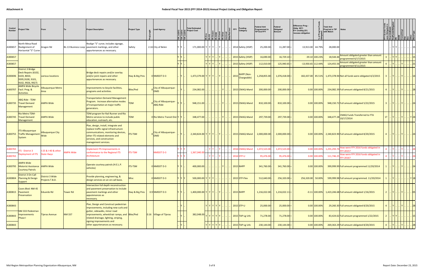| Control<br>Number | <b>Project Title</b>                                                                             | From                               |                  | <b>Project Description</b>                                                                                                                                                                                   | <b>Project Type</b> | <b>Lead Agency</b>                      | <b>Total Estimated</b><br>≌ Project Cost                    | 티침 토 토 토 토 토 | $\begin{array}{c c c c} \hline \text{se} & \text{se} & \text{se} \\ \hline \text{RO} & \text{Se} & \text{se} & \text{Se} \\ \hline \text{O} & \text{O} & \text{Se} & \text{Se} \\ \hline \text{O} & \text{O} & \text{Se} & \text{Se} \end{array}$ | <b>Funding</b><br>FFY<br>Category | Federal Amt<br>Programmed in<br><b>TIP End FFY</b> | Federal<br>Obligated<br>Amount | Difference Prog<br>Oblig KEY:<br>$$1=$ unoblig $$1)$<br>=excess obligation | <b>Total Amt</b><br>Prog'md in TIP<br>with Match | <b>Notes</b>                                                            |                |             |                 |        |
|-------------------|--------------------------------------------------------------------------------------------------|------------------------------------|------------------|--------------------------------------------------------------------------------------------------------------------------------------------------------------------------------------------------------------|---------------------|-----------------------------------------|-------------------------------------------------------------|--------------|---------------------------------------------------------------------------------------------------------------------------------------------------------------------------------------------------------------------------------------------------|-----------------------------------|----------------------------------------------------|--------------------------------|----------------------------------------------------------------------------|--------------------------------------------------|-------------------------------------------------------------------------|----------------|-------------|-----------------|--------|
| A300657           | North Mesa Road<br>Realignment of<br>Horizontal "S" Curve                                        | Aragon Rd                          |                  | Realign "S" curve; includes signage,<br>BL-13 Business Loop   pavement markings, and other<br>appurtenances as necessary.                                                                                    | Safety              | 2.16 City of Belen                      | 171,000.00 $Y$ $Y$ $Y$ .                                    |              | . I Y I                                                                                                                                                                                                                                           | 2014 Safety (HSIP)                | 25,200.00 -                                        | $11,287.00$ =                  | 13,913.00 44.79%                                                           | 28,000.00                                        |                                                                         |                | YY          |                 |        |
| A300657           |                                                                                                  |                                    |                  |                                                                                                                                                                                                              |                     |                                         |                                                             |              |                                                                                                                                                                                                                                                   | 2015 Safety (HSIP)                | 16,690.00                                          | $16,729.10$ =                  | $-39.10$ 100.23%                                                           |                                                  | 18,544.44 Amount obligated greater than amount<br>programmed 6/17/2015  |                |             |                 |        |
| A300657           |                                                                                                  |                                    |                  |                                                                                                                                                                                                              |                     |                                         |                                                             |              |                                                                                                                                                                                                                                                   | 2015 Safety (HSIP)                | 112,010.00                                         | $125,940.65$ =                 | $-13,930.65$ 112.44%                                                       |                                                  | 124,455.56 Amount obligated greater than amount<br>programmed 9/11/2015 |                |             |                 |        |
| A300696           | District 3 Bridge<br>Deck Repairs (6102,<br>6103, 8650,<br>9395,9100, 9101,<br>9102, 9926, 9927) | various locations                  |                  | Bridge deck repairs and/or overlay<br>and/or joint repairs and other<br>appurtenances as necessary.                                                                                                          | Hwy & Brg Pres      | 0 NMDOT D-3                             | $1,473,379.00$ Y Y Y $\vert$ Y $\vert$ Y                    |              |                                                                                                                                                                                                                                                   | NHPP (Non-<br>2015 Chargeable)    | 1,258,855.00 -                                     | $1,076,418.00$ =               |                                                                            |                                                  | 182,437.00 85.51% 1,473,378.94 Not all funds were obligated 4/2/2015    |                |             |                 |        |
| A300707           | <b>AMPA Wide Bicycle</b><br>Facil. Prog. &<br><b>Activities</b>                                  | Albuquerque Metro<br>Area          |                  | Improvements to bicycle facilities,<br>programs and activities.                                                                                                                                              | Bike/Ped            | City of Albuquerque-<br><b>DMD</b>      | 234,082.00                                                  |              |                                                                                                                                                                                                                                                   | 2015 CMAQ-Mand                    | 200,000.00                                         | $200,000.00$ =                 | $0.00$ 100.00%                                                             |                                                  | 234,082.39 Full amount obligated 8/21/2015                              |                |             |                 |        |
| A300735           | ABQ Ride - TDM-<br><b>Travel Demand</b><br><b>Management</b>                                     | <b>AMPA Wide</b>                   |                  | <b>Transportation Demand Management</b><br>Program. Increase alternative modes<br>of transportation at major traffic<br>generators.                                                                          |                     | City of Albuquerque-<br><b>ABQ Ride</b> | 948,151.00                                                  |              |                                                                                                                                                                                                                                                   | 2015 CMAQ-Mand                    | 810,100.00                                         | $810,100.00$ =                 | $0.00$ 100.00%                                                             |                                                  | 948,150.72 Full amount obligated 5/22/2015                              |                |             |                 |        |
| A300745           | Rio Metro TDM-<br><b>Travel Demand</b><br>Management                                             | AMPA Wide                          |                  | TDM program for Rail Runner and Rio<br>Metro services to include public<br>education, outreach, etc.                                                                                                         | <b>TDM</b>          | 0 Rio Metro Transit Dist Y              | 348,477.00                                                  |              |                                                                                                                                                                                                                                                   | 2015 CMAQ-Mand                    | 297,739.00                                         | $297,739.00$ =                 | 0.00 100.00%                                                               | 348,477.28                                       | <b>CMAQ Funds Transferred to FTA</b><br>10/17/2014                      | 1T             |             |                 |        |
| A300755           | ITS-Albuquerque<br><b>Traffic Management</b><br>System                                           | Albuquerque City<br><b>Wide</b>    |                  | Plan, design, install, integrate and<br>replace traffic signal infrastructure<br>communications, monitoring devices,<br>other ITS related elements and<br>services, and construction<br>management services. | <b>ITS-TSM</b>      | City of Albuquerque-<br><b>DMD</b>      | $2,340,824.00$ Y Y Y Y  Y                                   |              |                                                                                                                                                                                                                                                   | 2015 CMAQ-Mand                    | 2,000,000.00                                       | $2,000,000.00$ =               |                                                                            |                                                  | $0.00 100.00% $ 2,340,823.90 Full amount obligated 8/20/2015            | 4              | $ Y $ $ Y $ |                 |        |
| A300765           | TS - District 3                                                                                  | -25 & I-40 & other                 | <b>AMPA Wide</b> | mplement ITS Improvements in<br>conformance to the Regional ITS                                                                                                                                              | <b>ITS-TSM</b>      | NMDOT D-3                               | 1,367,040.00                                                |              |                                                                                                                                                                                                                                                   | 2016 CMAQ-Mand                    | 1,072,523.00                                       | 1,072,523.00                   | $0.00$ 100.00%                                                             | 1,255,293.74                                     | How were FFY 2016 funds obligated in<br>FFY 2015?                       |                |             |                 |        |
| A300765           | Deployment of ITS                                                                                | <b>State Hwys</b>                  |                  | Architecture                                                                                                                                                                                                 |                     |                                         |                                                             |              |                                                                                                                                                                                                                                                   | 2016 STP-U                        | 95,476.00                                          | $95,476.00 =$                  | 0.00 100.00%                                                               | 111,746.25                                       | How were FFY 2016 funds obligated in<br><b>FFY 2016?</b>                |                |             |                 |        |
| A300795           | <b>AMPA Wide</b><br>Motorist Assistance   AMPA Wide<br><b>Courtesy Patrols</b>                   |                                    |                  | Operate courtesy patrols (H.E.L.P.<br>vehicles)                                                                                                                                                              | <b>ITS-TSM</b>      | 0 NMDOT D-3                             | 400,000.00                                                  |              |                                                                                                                                                                                                                                                   | 2015 NHPP                         | 341,760.00 -                                       | $341,760.00 =$                 | $0.00$ 100.00%                                                             |                                                  | 399,999.99 Full amount programmed 11/20/2014                            |                |             |                 |        |
|                   | District 3 On-Call<br>A300804 Planning & Design<br>Support                                       | District 3 Wide<br>Projects T.B.D. |                  | Provide planning, engineering, &<br>design services on an on-call basis.                                                                                                                                     | <b>Misc</b>         | 0 NMDOT D-3                             | $500,000.00$ Y Y Y Y                                        |              |                                                                                                                                                                                                                                                   | 2015 STP-Flex                     | $512,640.00$ -                                     | $256,320.00 =$                 | 256,320.00 50.00%                                                          |                                                  | 599,999.98 Full amount programmed. 11/20/2014                           |                | IY.         |                 | $Y$ 18 |
| A300815           | Coors Blvd: NM 45<br>Pavement<br>Preservation                                                    | Eduardo Rd                         | <b>Tower Rd</b>  | Intersection full depth reconstruction<br>and pavement preservation to include<br>pavement markings and other<br>apputenances as<br>necessary.                                                               | Hwy & Brg Pres      | $0.9$ NMDOT D-3                         | $1,400,000.00$ $Y$ $Y$ $Y$ $Y$ $\ldots$ $Y$ $\ldots$        |              |                                                                                                                                                                                                                                                   | 2015 NHPP                         | $1,216,022.00$ -                                   | $1,216,022.11$ =               |                                                                            |                                                  | $-0.11$ 100.00% 1,423,246.68 Full amount obligated 1/16/2015            | 2 <sup>1</sup> |             | .   Y         Y | . 105  |
| A300843           |                                                                                                  |                                    |                  | Plan, Design and Construct pedestrian<br>improvements, including new curb and                                                                                                                                |                     |                                         |                                                             | YYYYYY       |                                                                                                                                                                                                                                                   | 2015 STP-U                        | 25,000.00                                          | $25,000.00$ =                  | 0.00 100.00%                                                               |                                                  | 29,260.30 Full amount obligated 8/20/2015                               | 4              | l Y         |                 | 28     |
| A300843           | NM 333 Pedestrian<br>mprovements<br>Phase I                                                      | Tijeras Avenue                     | <b>NM 337</b>    | gutter, sidewalks, minor road<br>improvements, wheelchair ramps, and Bike/Ped<br>related drainage, lighting, striping,                                                                                       |                     | $\vert$ 0.16 Village of Tijeras         | $\sqrt{382,048.00}\gamma  \gamma  \gamma  \gamma  \gamma  $ |              |                                                                                                                                                                                                                                                   | 2015 TAP-Lg Urb                   | 71,278.00 -                                        | $71,278.00$ =                  | $0.00$ 100.00%                                                             |                                                  | 83,424.62 Full amount programmed 1/22/2015                              |                | $ Y Y$ .    |                 | 15     |
| A300843           |                                                                                                  |                                    |                  | signing improvements and<br>other appurtenances as necessary.                                                                                                                                                |                     |                                         |                                                             | YYYYY        |                                                                                                                                                                                                                                                   | 2015 TAP-Lg Urb                   | 230,144.00                                         | $230,144.00$ =                 | $0.00$ 100.00%                                                             |                                                  | $269,363.29$ Full amount obligated 8/20/2015                            | $\overline{4}$ |             |                 | 28     |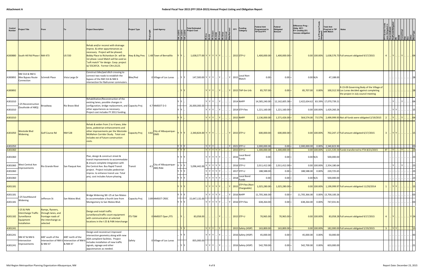| Control<br>Number | <b>Project Title</b>                                                                                     |                                                                                               |                   | <b>Project Description</b>                                                                                                                                                                                                                                                | <b>Project Type</b>                      | <b>Lead Agency</b>                      |                        |          | <b>Total Estimated</b><br><b>Project Cost</b> |                     | <b>FFY</b> | <b>Funding</b><br>Category                         | Federal Amt<br>Programmed in<br><b>TIP End FFY</b> | Federal<br>Obligated<br>Amount | <b>Difference Prog</b><br>Oblig KEY:<br>$$1=$ unoblig $$1)$<br>=excess obligation |                | <b>Total Amt</b><br>Prog'md in TIP<br><b>Notes</b><br>with Match                                                                   |              |       |           |            |
|-------------------|----------------------------------------------------------------------------------------------------------|-----------------------------------------------------------------------------------------------|-------------------|---------------------------------------------------------------------------------------------------------------------------------------------------------------------------------------------------------------------------------------------------------------------------|------------------------------------------|-----------------------------------------|------------------------|----------|-----------------------------------------------|---------------------|------------|----------------------------------------------------|----------------------------------------------------|--------------------------------|-----------------------------------------------------------------------------------|----------------|------------------------------------------------------------------------------------------------------------------------------------|--------------|-------|-----------|------------|
|                   | A300880 South Hill Rd Phase I NM 473                                                                     |                                                                                               | <b>US 550</b>     | Rehab and/or reconst with drainage<br>improv. & other appurtenances as<br>necessary. Project will be phased;<br>Bobby Place to Richardson Dr. will be<br>1st phase. Local Match will be used as<br>"soft match" for design. Coop. project<br>w/ ESCAFCA. Former CN=L3123. | Hwy & Brg Pres   1.48 Town of Bernalillo |                                         |                        | e' e' e' | $1,638,577.00$ Y Y Y Y Y Y .                  | 티 티 티 티 티 티 티 티 리 레 |            | 2015 STP-U                                         | 1,400,000.00                                       | $1,400,000.00$ =               |                                                                                   |                | 0.00 100.00% 1,638,576.73 Full amount obligated 9/17/2015                                                                          |              | $ Y $ | Y         | I04        |
|                   | NM 314 & NM 6<br>A300892 Bike Bypass Route<br>Connection                                                 | Schmidt Place                                                                                 | Vista Larga Dr    | Construct bike/ped ditch crossing to<br>connect two roads to establish the<br>bypass of the NM 314 & NM 6<br>intersection for Railrunner commuters                                                                                                                        | Bike/Ped                                 |                                         | 0 Village of Los Lunas |          | 147,500.00 Y Y Y Y  Y                         |                     |            | Local Non-<br>$\vert$ Y $\vert$ 2015 $\vert$ Match | 0.00                                               | $0.00 =$                       | $0.00$ N/A                                                                        |                | 47,188.00                                                                                                                          |              |       |           |            |
| A300892           |                                                                                                          |                                                                                               |                   |                                                                                                                                                                                                                                                                           |                                          |                                         |                        |          |                                               | YYY                 |            | $ Y $ 2015 TAP-Sm Urb                              | 85,707.00 -                                        | $ 0.00 $ =                     | 85,707.00 0.00%                                                                   |                | R-15-09 Governing Body of the Village of<br>100,312.50 Los Lunas decided against completing<br>the project in July council meeting |              |       |           |            |
| A301010           | I-25 Reconstruction                                                                                      |                                                                                               | Rio Bravo Blvd    | Rehabilitation/Reconstruction of the<br>existing lanes, possible changes in<br>configuration, bridge replacement, and Capacity Proj                                                                                                                                       |                                          | 4.7 NMDOT D-3                           |                        |          | 26,000,000.00                                 | YYY                 |            | 2014 NHPP                                          | 14,585,240.00 - 12,162,605.38 =                    |                                |                                                                                   |                | 2,422,634.62 83.39% 17,070,739.21                                                                                                  |              |       |           |            |
| A301010           | (Southside of ABQ)                                                                                       | Broadway                                                                                      |                   | other appurtances as necessary.<br>Project cost includes FY 2011 funding.                                                                                                                                                                                                 |                                          |                                         |                        |          |                                               | YYY                 |            | 2014 STP-Flex                                      | 1,221,160.00 -                                     | $1,221,160.00 =$               |                                                                                   |                | 0.00 100.00% 1,429,260.26                                                                                                          |              |       |           |            |
| A301010           |                                                                                                          |                                                                                               |                   |                                                                                                                                                                                                                                                                           |                                          |                                         |                        |          |                                               |                     |            | 2015 NHPP                                          | 2,136,000.00                                       | 1,571,426.00                   | 564,574.00 73.57%                                                                 |                | 2,499,999.93 Not all funds were obligated 2/19/2015                                                                                |              |       |           |            |
| A301050           | Westside Blvd<br><b>Widening</b>                                                                         | <b>Golf Course Rd</b>                                                                         | <b>NM 528</b>     | Rehab & widen from 2 to 4 lanes, bike<br>lanes, pedestrian enhancements and<br>other improvements per the Westside-<br>McMahon Corridor Study. Total cost<br>includes est of future construction<br>costs.                                                                | Capacity Proj                            | 0.82 City of Albuquerque-<br><b>DMD</b> |                        |          | $2,340,824.00$ Y Y Y Y                        |                     |            | Y 2015 STP-U                                       | 600,000.00                                         | $600,000.00$ =                 |                                                                                   | $0.00$ 100.00% | 702,247.17 Full amount obligated 6/17/2015                                                                                         |              | Y Y   |           | .  15      |
| A301050           |                                                                                                          |                                                                                               |                   |                                                                                                                                                                                                                                                                           |                                          |                                         | Y Y Y                  |          |                                               | $ Y Y Y$ .          |            | Y 2021 STP-U                                       | 2,000,000.00 -                                     | $0.00 =$                       |                                                                                   |                | 2,000,000.00 0.00% 2,340,823.90                                                                                                    |              |       |           | $\cdot$ 03 |
| A301060           |                                                                                                          |                                                                                               |                   |                                                                                                                                                                                                                                                                           |                                          |                                         |                        | Y Y Y    |                                               | Y   Y   Y   Y   Y   |            | 2015 STP-U                                         | 1,300,000.00                                       | 1,300,000.00                   |                                                                                   |                | 0.00 100.00% 1,521,535.54 Funds transferred to FTA 8/21/2015                                                                       | $4T$ . $Y$ . |       | $.  Y $ . | .  23      |
| A301060           |                                                                                                          |                                                                                               |                   | Plan, design & construct street &<br>transit improvements to accommodate<br>& ensure complete integration with                                                                                                                                                            |                                          |                                         |                        |          |                                               | YYYYYY              |            | Local Bond<br>$\mid$ 2016 Funds                    | $0.00 -$                                           | $0.00 =$                       | $0.00$ N/A                                                                        |                | 500,000.00                                                                                                                         |              |       |           | - 123      |
| A301060           | West Central Ave<br>Improvements                                                                         | Rio Grande River                                                                              | San Pasqual Ave.  | the Central Ave. Bus Rapid Transit                                                                                                                                                                                                                                        | Transit                                  | 4.5 City of Albuquerque-<br>ABQ Ride    |                        |          | 5,096,442.00                                  | 7   Y   Y   Y   ۱   |            | 2016 STP-U                                         | 2,011,412.00                                       | 2,011,412.00                   |                                                                                   | 0.00 100.00%   | 2,354,180.64                                                                                                                       |              |       |           |            |
| A301060           |                                                                                                          |                                                                                               |                   | project. Project includes pedestrian<br>improv. to enhance transit use. Total                                                                                                                                                                                             |                                          |                                         |                        |          |                                               | YYYYYY              |            | 2017 STP-U                                         | 188,588.00                                         | $0.00 =$                       | 188,588.00                                                                        | 0.00%          | 220,725.65                                                                                                                         |              |       |           | . 23       |
| A301060           |                                                                                                          |                                                                                               |                   | proj. cost includes future phasing.                                                                                                                                                                                                                                       |                                          |                                         |                        |          |                                               | YYYYYY              |            | Local Bond<br>$\left  \frac{2018}{Funds} \right $  | $0.00 -$                                           | $0.00 =$                       | $0.00$ N/A                                                                        |                | 500,000.00                                                                                                                         |              |       |           | 23         |
| A301181           |                                                                                                          |                                                                                               |                   |                                                                                                                                                                                                                                                                           |                                          |                                         |                        | $'$ Y    |                                               | YYYYYY              |            | STP-Flex (Non-<br>2015 Chargeable)                 | 1,025,280.00 -                                     | $1,025,280.00 =$               |                                                                                   | $0.00$ 100.00% | 1,199,999.97 Full amount obligated 11/20/2014                                                                                      |              | Y Y   |           |            |
| A301181           | I-25 Southbound                                                                                          |                                                                                               |                   | Bridge Widening SB I-25 at San Mateo                                                                                                                                                                                                                                      |                                          |                                         |                        | / V      |                                               | YYYYY               |            | Y 2016 NHPP                                        | 11,705,366.00                                      | $0.00$ =                       | 11,705,366.00  0.00%  13,700,100.26                                               |                |                                                                                                                                    |              |       |           | . 03       |
| A301181           | Widening                                                                                                 | Jefferson St                                                                                  | San Mateo Blvd.   | to accommodate a fourth lane from<br>Montgomery to San Mateo Blvd.                                                                                                                                                                                                        | Capacity Proj                            | 3.89 NMDOT CRDC                         |                        | Y IY     | 15,647,132.00                                 | Y Y Y Y Y           |            | $Y$ 2016 STP-Flex                                  | 638,264.00 -                                       | $0.00 =$                       | 638,264.00 0.00%                                                                  |                | 747,031.81                                                                                                                         |              |       |           | 103        |
|                   | <b>I-25 &amp; PdN</b><br><b>Interchange Traffic</b><br>A301182 Surveillance<br>Equipment<br>Installation | Ramps, flyovers,<br>through lanes, and<br>frontage roads of<br>the interchange as<br>selected |                   | Design and install traffic<br>surveillance/traffic count equipment<br>with communication at selected<br>locations in the I-25 & PdN Interchange                                                                                                                           | <b>ITS-TSM</b>                           | 0 NMDOT Oper./ITS                       |                        |          | $83,058.00$ .                                 |                     |            | $\vert$ 2015 STP-U                                 | 70,965.00                                          | 70,965.00                      |                                                                                   | $0.00$ 100.00% | 83,058.28 Full amount obligated 9/17/2015                                                                                          |              | $ Y $ |           | .  Y 24    |
| A301241           |                                                                                                          |                                                                                               |                   |                                                                                                                                                                                                                                                                           |                                          |                                         |                        | $Y$ $Y$  |                                               | Y[Y Y  Y  ]         |            | $\vert \,$ 2015 Safety (HSIP)                      | $163,800.00$ -                                     | $163,800.00 =$                 |                                                                                   | $0.00$ 100.00% | 182,000.00 Full amount obligated 5/19/2015                                                                                         |              |       |           |            |
| A301241           | NM 47 & NM 6<br>Intersection                                                                             | 600' south of the<br>Intersection of NM 6 Intersection of NM                                  | 600' north of the | Design and reconstruct improved<br>intersection geometry along with new<br>ADA complient facilities. Project                                                                                                                                                              | Safety                                   | 0 Village of Los Lunas                  |                        |          | 835,000.00                                    | YYY.                |            | 2016 Safety (HSIP)                                 | 45,000.00                                          | $0.00 =$                       | 45,000.00 0.00%                                                                   |                | 50,000.00                                                                                                                          |              |       |           | 43         |
| A301241           | Improvements                                                                                             | & NM 47                                                                                       | & NM 47           | includes installation of new traffic<br>signals, signage and other<br>apputenances as needed.                                                                                                                                                                             |                                          |                                         |                        | - IV     |                                               | Y Y Y  Y            |            | 2016 Safety (HSIP)                                 | 542,700.00                                         | $0.00 =$                       | 542,700.00 0.00%                                                                  |                | 603,000.00                                                                                                                         |              |       |           | . 121      |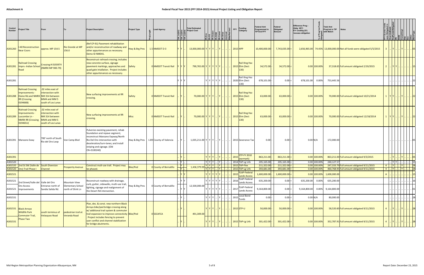| Control<br><b>Number</b> | <b>Project Title</b>                                                                                                       |                                                                                               |                                               | <b>Project Description</b>                                                                                                                                                                                                      | <b>Project Type</b> | <b>Lead Agency</b>                       |          | <b>Total Estimated</b><br>Project Cost                 | [봉] 굶 [물] 물 [물] 물        | å 2 3  <del>3</del> | $\frac{1}{2}$<br><b>FFY</b>              | Funding<br>Category                             | <b>Federal Amt</b><br>Programmed in<br><b>TIP End FFY</b> | Federal<br>Obligated<br>Amount | Difference Prog -<br>Oblig KEY:<br>$$1=$ unoblig $$1)$<br>=excess obligation |                | <b>Total Amt</b><br>Prog'md in TIP<br><b>Notes</b><br>with Match |                                                                         |                  |              |                                     |                               |        |
|--------------------------|----------------------------------------------------------------------------------------------------------------------------|-----------------------------------------------------------------------------------------------|-----------------------------------------------|---------------------------------------------------------------------------------------------------------------------------------------------------------------------------------------------------------------------------------|---------------------|------------------------------------------|----------|--------------------------------------------------------|--------------------------|---------------------|------------------------------------------|-------------------------------------------------|-----------------------------------------------------------|--------------------------------|------------------------------------------------------------------------------|----------------|------------------------------------------------------------------|-------------------------------------------------------------------------|------------------|--------------|-------------------------------------|-------------------------------|--------|
| A301260                  | -40 Reconstruction<br>Near Coors                                                                                           | approx. MP 154.5                                                                              | <b>Rio Grande at MP</b><br>156.0              | Ref CP-91) Pavement rehabilitation<br>and/or reconstruction of roadway and<br>other appurtenances as necessary.<br>Demo ID NM041.                                                                                               | Hwy & Brg Pres      | $1.5$ NMDOT D-3                          |          | 13,000,000.00 Y Y Y Y  Y                               |                          |                     |                                          | $2015$ HPP                                      | 10,400,000.00 <mark> </mark> -                            | $7,743,035.00$ =               |                                                                              |                |                                                                  | 2,656,965.00 74.45% 13,000,000.00 Not all funds were obligated 5/5/2015 |                  |              |                                     |                               | . 1051 |
|                          | <b>Railroad Crossing</b><br>A301281   Imprv.-Indian School<br>Road                                                         | Crossing #019397V<br>(NMRX MP 900.79)                                                         |                                               | Reconstruct railroad crossing; includes<br>new concrete surface, signage<br>pavement markings, approaches and Safety<br>quad gate intallation. Project includes<br>other appurtenances as necessary.                            |                     | 0 NMDOT Transit Rail                     |          | 790,765.00 Y Y Y Y Y Y                                 |                          |                     |                                          | <b>Rail Xing Haz</b><br>2015 Elim (Sect<br>130) | 34,572.00                                                 | $34,572.00 =$                  |                                                                              | $0.00$ 100.00% |                                                                  | 37,318.65 Full amount obligated 2/19/2015                               |                  | <u>IYIYI</u> |                                     |                               | . 15   |
| A301281                  |                                                                                                                            |                                                                                               |                                               |                                                                                                                                                                                                                                 |                     |                                          | IY IY    |                                                        | Y Y Y Y Y Y              |                     |                                          | Rail Xing Haz<br>2020 Elim (Sect<br>130)        | 678,101.00                                                | $0.00 =$                       | 678,101.00 0.00%                                                             |                | 753,445.56                                                       |                                                                         |                  |              |                                     |                               |        |
|                          | <b>Railroad Crossing</b><br>Improvements ·<br>A301288 Elaine Rd.and NMRX NM 314 between<br><b>RR</b> (Crossing<br>019466B) | 02 miles east of<br>intersection with<br>MM4 and MM 5<br>south of Los Lunas                   |                                               | New surfacing improvements at RR<br>crossing.                                                                                                                                                                                   | Safety              | 0 NMDOT Transit Rail                     |          |                                                        | 70,000.00 Y Y Y Y  Y     |                     |                                          | <b>Rail Xing Haz</b><br>2015 Elim (Sect<br>130) | 63,000.00                                                 | $63,000.00$ =                  |                                                                              | $0.00$ 100.00% |                                                                  | 70,000.00 Full amount obligated 10/21/2014                              | 1  Y Y   Y    22 |              |                                     |                               |        |
|                          | <b>Rialroad Crossing</b><br>Improvements<br>A301289   Luscombe Ln -<br><b>NMRX RR (Crossing</b><br>019465U)                | 02 miles east of<br>intersection with<br>NM 314 between<br>MM4 and MM 5<br>south of Los Lunas |                                               | New surfacing improvements at RR<br>crossing.                                                                                                                                                                                   | <b>Misc</b>         | 0 NMDOT Transit Rail                     |          | 70,000.00 Y Y Y Y  Y                                   |                          |                     |                                          | <b>Rail Xing Haz</b><br>2015 Elim (Sect<br>130) | 63,000.00                                                 | $63,000.00 =$                  |                                                                              | $0.00$ 100.00% |                                                                  | 70,000.00 Full amount obligated 12/18/2014                              | $1  Y Y$         |              | Y                                   | $\vert \cdot \vert$ 22        |        |
|                          | A301391 Manzano Exwy                                                                                                       | 700' north of South<br>Rio del Oro Loop                                                       | Van Camp Blvd                                 | Pulverize exsisting pavement, rehab<br>foundation and repave segment;<br>reconstruct Manzano Expway/North<br>Rio Del Oro intersection with<br>deceleration/turn-lanes; and install<br>striping and signage. (Old<br>CN=3100240) |                     | Hwy & Brg Pres   1.89 County of Valencia |          | 1,035,211.00 $Y$ $Y$ $Y$ $\ldots$ $Y$ $\ldots$         |                          |                     |                                          | 2015 Severance Tax                              | $0.00 -$                                                  | $0.00 =$                       |                                                                              | $0.00$ N/A     | 172,000.00                                                       |                                                                         |                  |              |                                     |                               |        |
| A301391                  |                                                                                                                            |                                                                                               |                                               |                                                                                                                                                                                                                                 |                     |                                          |          |                                                        | YYY                      |                     |                                          | 2015 STP-FY 2010<br>(earmark)                   | 863,211.00                                                | $863,211.00$ =                 |                                                                              | $0.00$ 100.00% |                                                                  | 863,211.00 Full amount obligated 9/3/2015                               |                  |              |                                     |                               | . 05   |
| A301520                  |                                                                                                                            |                                                                                               |                                               |                                                                                                                                                                                                                                 |                     |                                          | <b>Y</b> |                                                        | $ Y Y Y $ $ Y $ .        |                     |                                          | 2014 TAP-Lg Urb                                 | 205,165.00                                                | $205,165.00 =$                 |                                                                              | 0.00 100.00%   | 240,127.57                                                       |                                                                         |                  |              | .   Y   Y               15          |                               |        |
|                          | A301520 2nd St SW (Valle de South Diversion                                                                                |                                                                                               | <b>Prosperity Avenue</b>                      | Construct mult-use trail. Project may                                                                                                                                                                                           | <b>Bike/Ped</b>     | 0 County of Bernalillo                   |          | $\sqrt{1,436,379.00}$ $\sqrt{y}$ $\sqrt{y}$ $\sqrt{y}$ | YYY.                     |                     |                                          | 2015 TAP-Flex                                   | 211,322.00                                                | 211,322.00                     |                                                                              | $0.00$ 100.00% |                                                                  | 247,333.79 Full amount obligated 9/11/2015                              | . Y .<br>4       |              | $\mathbb{E}[Y]$                     | $\overline{\phantom{a}}$ . 28 |        |
|                          | A301520   Oro) Trail Phase I                                                                                               | Channel                                                                                       |                                               | be phased.                                                                                                                                                                                                                      |                     |                                          |          |                                                        |                          |                     |                                          | $2015$ TAP-Lg Urb<br>2015 FLAP-Federal          | 393,681.00                                                | 393,681.00                     |                                                                              | $0.00$ 100.00% |                                                                  | 460,768.95 Full amount obligated 9/11/2015                              | 4                |              | . <u>  Y         Y           28</u> |                               |        |
| A301521                  |                                                                                                                            |                                                                                               |                                               |                                                                                                                                                                                                                                 |                     |                                          |          |                                                        | vlvlvlv                  |                     |                                          | <b>Lands Access</b>                             | 1,600,000.00                                              | 1,600,000.00                   |                                                                              | 0.00   100.00% | 1,600,000.00                                                     |                                                                         |                  |              |                                     |                               |        |
| A301521                  | 2nd Street/Valle del Valle del Oro                                                                                         |                                                                                               | Mountain View                                 | Reconstruct roadway with drainage,                                                                                                                                                                                              |                     |                                          |          |                                                        | YYYYY                    |                     | 2016                                     | FLAP-Federal<br><b>Lands Access</b>             | 635,200.00                                                | $0.00 =$                       | 635,200.00 0.00%                                                             |                | 635,200.00                                                       |                                                                         |                  |              |                                     |                               |        |
|                          | Oro Access<br>A301521   Improvements                                                                                       | Entrance north of<br>Sandia Salida Rd.                                                        | <b>Elementary School</b><br>north of Shirk Ln | curb, gutter, sidewalks, multi-use trail,<br>lighting, signage and realignment of<br>the Desert Rd intersection.                                                                                                                | Hwy & Brg Pres      | 0 County of Bernalillo                   |          | 12,500,000.00                                          | YYYYYY                   |                     | 2017                                     | FLAP-Federal<br><b>Lands Access</b>             | $9,164,800.00$ -                                          | $0.00 =$                       |                                                                              |                | 9,164,800.00  0.00%  9,164,800.00                                |                                                                         |                  |              |                                     |                               | . 01   |
| A301531                  |                                                                                                                            |                                                                                               |                                               |                                                                                                                                                                                                                                 |                     |                                          |          |                                                        | $Y$ $Y$ $Y$ $\ldots$ $Y$ |                     |                                          | Local Bond<br>$-12015$ Funds                    | 0.00                                                      | $0.00 =$                       | $0.00$ N/A                                                                   |                | 80,000.00                                                        |                                                                         |                  |              |                                     |                               |        |
|                          | A301531 Black Arroyo<br><b>Wildlife Park</b><br><b>Commuter Trail</b>                                                      | south terminus of<br><b>Velasquez Road</b>                                                    | pedestrian trail at<br>Veranda Road           | Plan, des. & const. new northern Black<br>Arroyo bike/ped bridge crossing along<br>w/additional trail system & commuter<br>trail expansion to improve connectivity Bike/Ped                                                     |                     | 0SSCAFCA                                 |          | 491,309.00                                             |                          |                     | Y   Y   Y      Y            2015   STP-U |                                                 | 50,000.00                                                 | 50,000.00                      |                                                                              | $0.00$ 100.00% |                                                                  | 58,520.60 Full amount obligated 9/11/2015                               |                  | $ Y $        | Y         <mark> 28</mark>          |                               |        |
| A301531                  | Phase Two                                                                                                                  |                                                                                               |                                               | Project includes fencing to prevent<br>user conflict and channel stabilization<br>for bridge abutments.                                                                                                                         |                     |                                          |          |                                                        | Y Y Y Y L                |                     |                                          | 2015 TAP-Lg Urb                                 | 301,422.00                                                | $301,422.00$ =                 |                                                                              | $0.00$ 100.00% |                                                                  | 352,787.91 Full amount obligated 9/11/2015                              | $\overline{4}$   | $ Y $        | Y                                   | . . 28                        |        |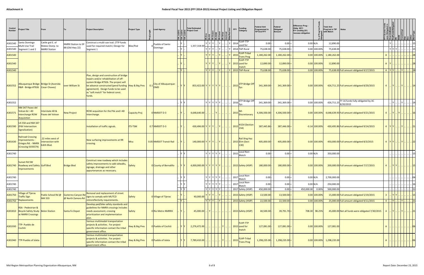| Control<br><b>Number</b> | roject Title                                                                          | From                                                 |                                          | <b>Project Description</b>                                                                                                                                                                                                                                               | <b>Project Type</b>  | <b>Lead Agency</b>                                 | ין<br>יובן<br>יובן | <b>Total Estimated</b><br><b>Project Cost</b> | $\frac{1}{2}$ = $\frac{1}{2}$ $\frac{1}{2}$ $\frac{1}{2}$ $\frac{1}{2}$ $\frac{1}{2}$ $\frac{1}{2}$ $\frac{1}{2}$ $\frac{1}{2}$ $\frac{1}{2}$ $\frac{1}{2}$ $\frac{1}{2}$ $\frac{1}{2}$ $\frac{1}{2}$ $\frac{1}{2}$ $\frac{1}{2}$ $\frac{1}{2}$ $\frac{1}{2}$ $\frac{1}{2}$ $\frac{1}{2}$ $\frac{1}{2}$ $\frac{1}{2}$<br>$ \xi $ $ \xi $ $ \xi $ $ \xi $ |           |     | Funding<br><b>FFY</b><br>Category               | <b>Federal Amt</b><br>Programmed in<br><b>TIP End FFY</b> | Federal<br>Obligated<br>Amount | Difference Prog<br>Oblig KEY:<br>$$1=$ unoblig $$1)$<br>=excess obligation |                                  | <b>Total Amt</b><br>Prog'md in TIP<br>with Match | <b>Notes</b>                                                                           |                         |               |                                |                             |
|--------------------------|---------------------------------------------------------------------------------------|------------------------------------------------------|------------------------------------------|--------------------------------------------------------------------------------------------------------------------------------------------------------------------------------------------------------------------------------------------------------------------------|----------------------|----------------------------------------------------|--------------------|-----------------------------------------------|----------------------------------------------------------------------------------------------------------------------------------------------------------------------------------------------------------------------------------------------------------------------------------------------------------------------------------------------------------|-----------|-----|-------------------------------------------------|-----------------------------------------------------------|--------------------------------|----------------------------------------------------------------------------|----------------------------------|--------------------------------------------------|----------------------------------------------------------------------------------------|-------------------------|---------------|--------------------------------|-----------------------------|
| A301540                  | Santo Domingo<br>Multi-Use Trail                                                      | Cattle grd E. of<br>Mateo Overp. to                  | NMRX Station to SP                       | Construct a multi-use trail. (TTP funds<br>used for required match.) Design for                                                                                                                                                                                          | Bike/Ped             | Pueblo of Santo                                    |                    | 1,357,318.00                                  | YYY                                                                                                                                                                                                                                                                                                                                                      |           |     | $ $ 2014 FLHP-TTP<br>used for                   | $0.00 -$                                                  | $0.00 =$                       | $0.00$ N/A                                                                 |                                  | 12,890.00                                        |                                                                                        |                         |               |                                |                             |
|                          | A301540 Segment 1 and 2                                                               | <b>NMRX Station</b>                                  | 88 (Old Hwy 22)                          | Segment 1                                                                                                                                                                                                                                                                |                      | Domingo                                            |                    |                                               | YYY                                                                                                                                                                                                                                                                                                                                                      |           |     | 2014 TAP-Rural                                  | 75,638.00                                                 | $75,638.00 =$                  |                                                                            | 0.00 100.00%                     | 75,638.00                                        |                                                                                        |                         | YYY           |                                | 15                          |
| A301540                  |                                                                                       |                                                      |                                          |                                                                                                                                                                                                                                                                          |                      |                                                    |                    |                                               |                                                                                                                                                                                                                                                                                                                                                          |           |     | FLHP-Tribal<br>2015<br><b>Trans Prog</b>        | 1,180,262.00                                              | $1,180,262.00$ =               |                                                                            | $0.00$ 100.00%                   | 1,180,262.00                                     |                                                                                        |                         |               |                                | 28                          |
| A301540                  |                                                                                       |                                                      |                                          |                                                                                                                                                                                                                                                                          |                      |                                                    |                    |                                               | YYY                                                                                                                                                                                                                                                                                                                                                      |           |     | <b>FLHP-TTP</b><br>2015 used for<br>match       | 12,890.00                                                 | $12,890.00$ =                  |                                                                            | $0.00$ 100.00%                   | 12,890.00                                        |                                                                                        | A                       |               |                                | 28                          |
| A301540                  |                                                                                       |                                                      |                                          |                                                                                                                                                                                                                                                                          |                      |                                                    |                    |                                               | YYY                                                                                                                                                                                                                                                                                                                                                      |           |     | $Y$ 2015 TAP-Rural                              | 75,638.00                                                 | 75,638.00                      |                                                                            | $0.00$ 100.00%                   |                                                  | 75,638.00 Full amount obligated 9/17/2015                                              | $4$ $Y$ $Y$ $\ldots$    |               | $\vert \vert \mathsf{Y} \vert$ | $\overline{\phantom{a}}$ 28 |
| A301552                  | Albuquerque Bridge   Bridge St (Avenida<br>R&R - Bridge #7926 Cesar Chavez)           |                                                      | over William St                          | Plan, design and construciton of bridge<br>repairs and/or rehabilitation of off-<br>system Bridge #7926. The project will<br>be advance constructed (pend funding  Hwy & Brg Pres<br>agreement). Design funds to be used<br>as "soft match" for federal const.<br>funds. |                      | City of Albuquerque-<br>$\mathbf{0}$<br><b>DMD</b> |                    | $853,422.00$ Y Y Y Y Y Y                      |                                                                                                                                                                                                                                                                                                                                                          |           |     | 2015 STP-Bridge Off                             | 341,369.00                                                | 341,369.00                     |                                                                            | $0.00$ 100.00%                   |                                                  | 426,711.25 Full amount obligated 8/20/2015                                             |                         | Y             | .   Y                          |                             |
| A301552                  |                                                                                       |                                                      |                                          |                                                                                                                                                                                                                                                                          |                      |                                                    |                    |                                               | Y Y Y Y Y                                                                                                                                                                                                                                                                                                                                                |           |     | 2016 STP-Bridge Off                             | 341,369.00                                                | $341,369.00 =$                 |                                                                            | 0.00 100.00%                     |                                                  | 426,711.25 FY 16 funds fully obligated by AC<br>8/20/2015                              |                         |               |                                |                             |
| A301571                  | NM 347 Paseo del<br>Volcan & I -40<br>Interchange ROW<br>Acquisition                  | Interstate 40 &<br>Paseo del Volvan                  | <b>New Project</b>                       | ROW acqusition for the Pdv and I-40<br>Interchange.                                                                                                                                                                                                                      | <b>Capacity Proj</b> | 0 NMDOT D-3                                        |                    | 4,648,640.00 .                                | . I Y                                                                                                                                                                                                                                                                                                                                                    |           |     | 2015 Discretionary                              | 4,306,500.00                                              | $4,306,500.00$ =               |                                                                            |                                  |                                                  | $0.00 100.00%$ 4,648,639.93 Full amount obligated 9/21/2015                            |                         | Y  .  Y  .  . |                                |                             |
|                          | US 550 and NM 347<br>A301590 (PdV Intersection<br>Signalization)                      |                                                      |                                          | Installation of traffic signals.                                                                                                                                                                                                                                         | <b>ITS-TSM</b>       | $0.7$ NMDOT D-3                                    |                    | $430,496.00$ Y Y Y                            |                                                                                                                                                                                                                                                                                                                                                          |           |     | H154 (Section<br>$\cdot$   2015 154)            | 387,445.86 -                                              | $387,446.00 =$                 |                                                                            | $-0.14$ 100.00%                  |                                                  | 430,495.86 Full amount obligated 9/14/2015                                             |                         | $Y$ $Y$ .     | $ \mathsf{Y} $                 |                             |
| A301630                  | <b>Railroad Crossing</b><br>mprovements ·<br>Griegos Rd. - NMRX<br>(Crossing 019357X) | 22 miles west of<br>intersection with<br>Edith Blvd. |                                          | New surfacing improvements at RR<br>crossing.                                                                                                                                                                                                                            | <b>Misc</b>          | 0.05 NMDOT Transit Rail                            |                    | $140,000.00$ Y Y Y Y  Y                       |                                                                                                                                                                                                                                                                                                                                                          |           |     | <b>Rail Xing Haz</b><br>2015 Elim (Sect<br>130) | 405,000.00 -                                              | $405,000.00$ =                 |                                                                            | $0.00$ 100.00%                   |                                                  | 450,000.00 Full amount obligated 8/3/2015                                              |                         |               | 4  Y Y    Y     22             |                             |
| A301740                  |                                                                                       |                                                      |                                          |                                                                                                                                                                                                                                                                          |                      |                                                    |                    |                                               | YYYYY                                                                                                                                                                                                                                                                                                                                                    |           |     | Local Non-<br>2015 Match                        | $0.00 -$                                                  | $0.00 =$                       | $0.00$ N/A                                                                 |                                  | 350,000.00                                       |                                                                                        |                         |               |                                |                             |
|                          | <b>Sunset Rd SW</b><br>A301740   Roadway and Safety Goff Blvd<br>mprovements          |                                                      | <b>Bridge Blvd</b>                       | Construct new roadway which includes<br>safety improvements to add sidwalks,<br>signage, drainage and other<br>appurtenances as necessary.                                                                                                                               | Safety               | O County of Bernalillo                             |                    | $4,000,000.00$ Y Y Y Y Y Y                    |                                                                                                                                                                                                                                                                                                                                                          |           |     | 2015 Safety (HSIP)                              | 180,000.00                                                | $180,000.00$ =                 |                                                                            | $0.00$ 100.00%                   |                                                  | 200,000.00 Full amount obligated 7/17/2015                                             |                         | Y Y           |                                |                             |
| A301740                  |                                                                                       |                                                      |                                          |                                                                                                                                                                                                                                                                          |                      |                                                    |                    |                                               | Y Y Y Y Y                                                                                                                                                                                                                                                                                                                                                |           |     | 2017 Local Non-<br>Match                        | 0.00                                                      | $0.00 =$                       |                                                                            | $0.00$ N/A                       | 2,700,000.00                                     |                                                                                        |                         |               |                                | . 04                        |
| A301740                  |                                                                                       |                                                      |                                          |                                                                                                                                                                                                                                                                          |                      |                                                    |                    |                                               | YYYYYY                                                                                                                                                                                                                                                                                                                                                   |           |     | 2017 Local Non-<br>Match                        | $0.00 -$                                                  | $0.00 =$                       | $0.00$ N/A                                                                 |                                  | 250,000.00                                       |                                                                                        |                         |               |                                | 16                          |
| A301740                  |                                                                                       |                                                      |                                          |                                                                                                                                                                                                                                                                          |                      |                                                    | YY                 |                                               | $Y$ $Y$ $Y$ $Y$ $Y$                                                                                                                                                                                                                                                                                                                                      |           |     | 2017 Safety (HSIP)                              | 450,000.00 -                                              | $0.00 =$                       | 450,000.00 0.00%                                                           |                                  | 500,000.00                                       |                                                                                        |                         |               |                                | $\therefore$ 21             |
| A301750                  | <b>Village of Tijeras</b><br><b>Traffic Sign</b><br>A301750 Replacements              | Public School Rd @<br><b>NM 333</b>                  | Gutierrez Canyon Rd<br>@ North Zamora Rd | Removal and replacement of street<br>signs to comply with MUTCD<br>retroreflectivity requirements.                                                                                                                                                                       | Safety               | 0 Village of Tijeras                               | v                  | 40,000.00                                     | Y Y<br>$ Y Y Y$ .                                                                                                                                                                                                                                                                                                                                        | .   Y   . |     | 2015 Safety (HSIP)<br>2015 Safety (HSIP)        | 13,500.00<br>22,500.00                                    | $13,500.00 =$<br>$22,500.00 =$ |                                                                            | $0.00$ 100.00%<br>$0.00$ 100.00% |                                                  | 15,000.00 Full amount obligated 5/19/2015<br>25,000.00 Full amount obligated 9/11/2015 | $4$ . $Y$ . $Y$ . $Y$ . |               |                                | .   .   21                  |
|                          | RSA - Pedestrian &<br>A301810 Bicycle Safety Study Belen Station<br>at NMRX Crossings |                                                      | Santa Fe Depot                           | Develop ped/bike safety standards and<br>guidelines for NMRX crossings includes<br>needs assessment, crossing<br>prioritization and implementation<br>plan.                                                                                                              | Safety               | 0 Rio Metro NMRRX                                  |                    | $45,000.00$ Y                                 |                                                                                                                                                                                                                                                                                                                                                          |           |     | 2015 Safety (HSIP)                              | 40,500.00                                                 | $39,791.70 =$                  |                                                                            | 708.30 98.25%                    |                                                  | 45,000.00 Not all funds were obligated 7/30/2015                                       | 4                       | .   Y      .  | Y           21                 |                             |
| A301930                  | <b>TTP- Pueblo de</b><br>Cochiti                                                      |                                                      |                                          | Various multimodal transportation<br>projects & activities. For project<br>specific information contact the tribal<br>government office.                                                                                                                                 | Hwy & Brg Pres       | 0 Pueblo of Cochiti                                |                    | 2,276,472.00                                  |                                                                                                                                                                                                                                                                                                                                                          |           |     | FLHP-TTP<br>$2015$ used for<br>match            | 127,081.00                                                | $127,081.00$ =                 |                                                                            | $0.00$ 100.00%                   | 127,081.00                                       |                                                                                        |                         |               |                                | . 06                        |
|                          | A301940   TTP-Pueblo of Isleta                                                        |                                                      |                                          | Various multimodal transportation<br>projects & activities. For project<br>specific information contact the tribal<br>government office.                                                                                                                                 | Hwy & Brg Pres       | 0 Pueblo of Isleta                                 |                    | 7,789,410.00                                  |                                                                                                                                                                                                                                                                                                                                                          |           | IY. | <b>FLHP-Tribal</b><br>2015 Trans Prog           | 1,298,235.00 -                                            | $1,298,235.00 =$               |                                                                            |                                  | $0.00$ 100.00% 1,298,235.00                      |                                                                                        |                         |               |                                | . 06                        |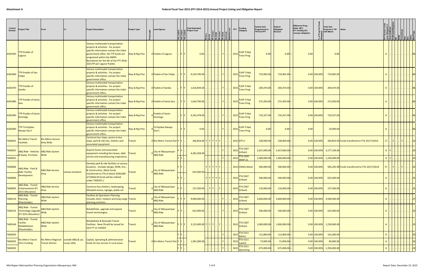| Control<br><b>Number</b> | roject Title                                                                          |                                                                   |                   | <b>Project Description</b>                                                                                                                                                                                                                                      | <b>Project Type</b> |            | <b>Lead Agency</b>                      | ובן המס<br>סגר ביודן<br>סגר ביודן | <b>Total Estimated</b><br>은 Project Cost |        | HEINE<br>HEINDESIME<br>HEINDESIME<br>HEINDESIME<br>Archived<br>Archived | <u> ខ</u><br><b>FFY</b> | <b>Funding</b><br>Category                    | <b>Federal Amt</b><br>Programmed in<br><b>TIP End FFY</b> | Federal<br>Obligated<br>Amount | Difference Prog<br>Oblig KEY:<br>$$1=$ unoblig $$1)$<br>=excess obligation |                | <b>Total Amt</b><br>Prog'md in TIP<br>with Match             | <b>Notes</b>                                   |              |       |                |            |
|--------------------------|---------------------------------------------------------------------------------------|-------------------------------------------------------------------|-------------------|-----------------------------------------------------------------------------------------------------------------------------------------------------------------------------------------------------------------------------------------------------------------|---------------------|------------|-----------------------------------------|-----------------------------------|------------------------------------------|--------|-------------------------------------------------------------------------|-------------------------|-----------------------------------------------|-----------------------------------------------------------|--------------------------------|----------------------------------------------------------------------------|----------------|--------------------------------------------------------------|------------------------------------------------|--------------|-------|----------------|------------|
| A301950                  | TP-Pueblo of<br>Laguna                                                                |                                                                   |                   | Various multimodal transportation<br>projects & activities. For project<br>specific information contact the tribal<br>overnment office. No TTP funds are<br>programed within the AMPA<br>Boundaries for the life of the FFY 2016-<br>2021TIP per Laguna Pueblo. | Hwy & Brg Pres      |            | 0 Pueblo of Laguna                      |                                   | 0.00                                     |        |                                                                         | $\vert$ 2015            | FLHP-Tribal<br><b>Trans Prog</b>              | 0.00                                                      | $0.00 =$                       | 0.00                                                                       |                | 0.00                                                         |                                                |              |       |                | 06         |
| A301960                  | TP-Pueblo of San<br>Felipe                                                            |                                                                   |                   | Various multimodal transportation<br>projects & activities. For project<br>specific information contact the tribal<br>government office.                                                                                                                        | Hwy & Brg Pres      |            | 0 Pueblo of San Felipe                  |                                   | 4,319,790.00                             |        |                                                                         | 2015                    | <b>FLHP-Tribal</b><br><b>Trans Prog</b>       | 719,965.00 -                                              | $719,965.00$ =                 |                                                                            | $0.00$ 100.00% | 719,965.00                                                   |                                                |              |       |                |            |
| A301970                  | TTP-Pueblo of<br>Sandia                                                               |                                                                   |                   | Various multimodal transportation<br>projects & activities. For project<br>specific information contact the tribal<br>government office.                                                                                                                        | Hwy & Brg Pres      |            | 0 Pueblo of Sandia                      |                                   | 1,616,844.00                             |        |                                                                         | $\vert$ 2015 $\vert$    | <b>FLHP-Tribal</b><br><b>Trans Prog</b>       | 269,474.00 -                                              | 269,474.00                     |                                                                            | $0.00$ 100.00% | 269,474.00                                                   |                                                |              |       |                |            |
| A301980                  | <b>TP-Pueblo of Santa</b>                                                             |                                                                   |                   | Various multimodal transportation<br>projects & activities. For project<br>specific information contact the tribal<br>government office.                                                                                                                        | Hwy & Brg Pres      |            | 0 Pueblo of Santa Ana                   |                                   | 1,634,700.00                             |        |                                                                         | 2015 <mark>.</mark>     | <b>FLHP-Tribal</b><br><b>Trans Prog</b>       | 272,450.00 -                                              | $272,450.00$ =                 |                                                                            | $0.00$ 100.00% | 272,450.00                                                   |                                                |              |       |                | 106        |
| A301990                  | <b>FTP-Pueblo of Santo</b><br>Domingo                                                 |                                                                   |                   | Various multimodal transportation<br>projects & activities. For project<br>specific information contact the tribal<br>government office.                                                                                                                        | Hwy & Brg Pres      |            | <b>Pueblo of Santo</b><br>Domingo       |                                   | 4,242,478.00                             |        |                                                                         |                         | <b>FLHP-Tribal</b><br>2015 Trans Prog         | 710,327.00 -                                              | $710,327.00$ =                 |                                                                            | $0.00$ 100.00% | 710,327.00                                                   |                                                |              |       |                |            |
| A302000                  | FTP-To'hajiilee-<br>Navajo Gov't                                                      |                                                                   |                   | Various multimodal transportation<br>projects & activities. For project<br>specific information contact the tribal<br>government office.                                                                                                                        | Hwy & Brg Pres      | Gov't.     | To'hajiilee-Navajo                      |                                   | 0.00                                     |        |                                                                         | 2015                    | <b>FLHP-Tribal</b><br><b>Trans Prog</b>       | 0.00                                                      | 0.00                           | 0.00                                                                       |                | 10,000.00                                                    |                                                |              |       |                | <b>06</b>  |
| TA00035                  | Rio Metro Transit<br><b>Facilities</b>                                                | <b>Rio Metro Service</b><br>Area Wide                             |                   | Construct bus stops, access to bus<br>stops, park & ride lots, shelters and<br>associated equipment.                                                                                                                                                            | Transit             |            | 0 Rio Metro Transit Dist Y              |                                   | 266,854.00 Y Y Y Y Y                     |        |                                                                         |                         | 2015 STP-U                                    | 228,000.00                                                | $228,000.00 =$                 |                                                                            | $0.00$ 100.00% |                                                              | 266,853.93 Funds transfered to FTA 10/17/2014  | 1T           |       |                |            |
| TA00055<br>TA00055       | ABQ Ride - Vehicles   ABQ Ride System<br>& Equip. Purchase Wide                       |                                                                   |                   | Acquire buses and associated<br>equipment including fare boxes, debt<br>service and manufacturing inspections.                                                                                                                                                  | Transit             |            | City of Albuquerque-<br><b>ABQ Ride</b> |                                   | 4,381,928.00                             |        |                                                                         | 2015                    | 2015 FTA 5307<br><b>FTA 5339</b>              | $2,637,000.00$ -<br>$1,000,000.00$ -                      | 2,637,000.00<br>1,000,000.00   |                                                                            |                | $0.00 100.00\% $ 3,177,109.00<br>$0.00$ 100.00% 1,250,000.00 |                                                | $\mathsf{A}$ |       |                |            |
| TA00084                  | ABQ Ride - Park &                                                                     | <b>ABQ Ride Service</b>                                           |                   | Develop park & ride facilities at various<br>locations. Includes design, ROW, Env.,<br>& Construction. (Note funds                                                                                                                                              |                     |            | City of Albuquerque-                    |                                   |                                          | YYYYYY |                                                                         |                         | $(MAP-21)$<br>2015 CMAQ-Mand                  | 500,000.00                                                | 500,000.00                     |                                                                            | 0.00 100.00%   |                                                              | 585,205.98 Funds transferred to FTA 10/17/2014 |              | $ Y $ | $ \mathbf{Y} $ | . 23       |
| TA00084                  | <b>Ride: Facility</b><br><b>Development</b>                                           | Area                                                              | various locations | transferred to FTA of which \$500,000<br>of CMAQ-M funds will be utilized<br>under TA00351.)                                                                                                                                                                    | Transit             | O ABQ Ride |                                         |                                   | $625,000.00$                             |        | Y Y Y Y Y                                                               |                         | FTA 5307<br>2015 (Urban)                      | 500,000.00                                                | $500,000.00$ =                 |                                                                            | $0.00$ 100.00% | 625,000.00                                                   |                                                | A            |       |                | 23         |
| TA00095                  | <b>ABQ Ride - Transit</b><br><b>Enhancements (FY</b><br>2015 Allocation)              | <b>ABQ Ride Service</b><br>Area                                   |                   | Construct bus shelters, landscaping,<br>bike/ped access, signage, public art.                                                                                                                                                                                   | Transit             |            | City of Albuquerque-<br><b>ABQ Ride</b> |                                   | 137,500.00                               | YY     |                                                                         |                         | <b>FTA 5307</b><br>2015 (Urban)               | 110,000.00                                                | $110,000.00$ =                 |                                                                            | $0.00$ 100.00% | 137,500.00                                                   |                                                | A            |       |                | 23         |
| TA00110                  | <b>ABQ Ride - Transit</b><br>Planning<br>(Placeholder)                                | <b>ABQ Ride System</b><br>Wide                                    |                   | Facilities & Operations Planning.<br>Includes short, medium and long range Transit<br>planning activities.                                                                                                                                                      |                     |            | City of Albuquerque-<br><b>ABQ Ride</b> |                                   | 9,000,000.00                             |        |                                                                         |                         | <b>FTA 5307</b><br>2015 (Urban)               | 3,600,000.00                                              | $3,600,000.00$ =               |                                                                            |                | $0.00 100.00\% $ 4,500,000.00                                |                                                | A            |       |                | 27         |
|                          | <b>ABQ Ride - Transit</b><br>TA00135 Technology Upgrade Abu N<br>(FY 2015 Allocation) | <b>ABQ Ride System</b>                                            |                   | Rehabilitate, upgrade and expand<br>transit technologies.                                                                                                                                                                                                       | Transit             |            | City of Albuquerque-<br>ABQ Ride        |                                   | $625,000.00$ .                           |        | Y <br>.                                                                 |                         | <b>FTA 5307</b><br>2015 (Urban)               | 500,000.00                                                | $500,000.00$ =                 |                                                                            | $0.00$ 100.00% | 625,000.00                                                   |                                                |              |       |                |            |
| TA00140                  | <b>ABQ Ride - Transit</b><br>Facility<br>Rehabilitation<br>(Placeholder)              | <b>ABQ Ride System</b><br>Wide                                    |                   | Rehabilitate & Remodel Transit<br>Facilities. New CN will be issued for<br>each FY as needed.                                                                                                                                                                   | Transit             |            | City of Albuquerque-<br>ABQ Ride        |                                   | $3,125,000.00$ Y Y Y                     |        |                                                                         |                         | <b>FTA 5307</b><br>. 2015 (Urban)             | $1,000,000.00$ -                                          | $1,000,000.00$ =               |                                                                            |                | $0.00$ 100.00% 1,250,000.00                                  |                                                | A            |       |                |            |
| TA00205                  |                                                                                       |                                                                   |                   |                                                                                                                                                                                                                                                                 |                     |            |                                         |                                   |                                          |        |                                                                         |                         | 2015 FTA 5311                                 | 112,800.00                                                | $112,800.00 =$                 |                                                                            | $0.00$ 100.00% | 141,000.00                                                   |                                                | A            |       |                |            |
| TA00205                  | <b>Rio Metro Transit</b><br>5311 Funding                                              | Rio Metro Regional   outside ABQ & Los<br><b>Transit District</b> | Lunas UZAs        | Capital, operating & administrative<br>funds for bus service in rural areas.                                                                                                                                                                                    | <b>Transit</b>      |            | 0 Rio Metro Transit Dist                |                                   | 1,581,000.00                             |        |                                                                         |                         | 2015 FTA 5311<br>Capital                      | 72,000.00                                                 | $72,000.00$ =                  |                                                                            | $0.00$ 100.00% | 90,000.00                                                    |                                                |              |       |                | 23         |
| TA00205                  |                                                                                       |                                                                   |                   |                                                                                                                                                                                                                                                                 |                     |            |                                         |                                   |                                          |        |                                                                         |                         | $\sqrt{\mathsf{FTA}\,5311}$<br>2015 Operating | 675,000.00                                                | $675,000.00 =$                 |                                                                            | 0.00 100.00%   | 1,350,000.00                                                 |                                                | A            |       |                | $\cdot$ 23 |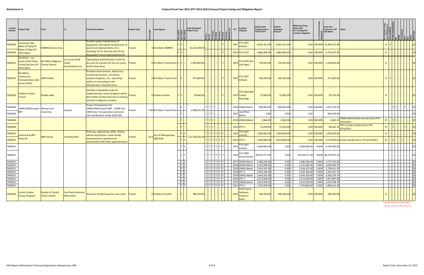| Control<br><b>Number</b>                                                  | Project Title                                                                                    |                                                      |                                                      | <b>Project Description</b>                                                                                                                                                                     | <b>Project Type</b> | <b>Lead Agency</b>                    |                                              | <b>Total Estimated</b><br>Project Cost | 리쿱 리툽 리툽                                                                                                                                                                                                                                                                                                                                                                                                                                                                                                                                                                                                                     |     | <u>  ខ</u><br>FFY | <b>Funding</b><br>Category                                                                                                                           | <b>Federal Amt</b><br>Programmed in<br><b>TIP End FFY</b>                                                          | Federal<br>Obligated<br>Amount                                                | Difference Prog -<br>Oblig KEY:<br>$$1=$ unoblig $$1)$<br>=excess obligation |                                | <b>Total Amt</b><br>Prog'md in TIP<br><b>Notes</b><br>with Match                                                                                                                                                                                    |              |                                           |                                                                                                                                           |  |
|---------------------------------------------------------------------------|--------------------------------------------------------------------------------------------------|------------------------------------------------------|------------------------------------------------------|------------------------------------------------------------------------------------------------------------------------------------------------------------------------------------------------|---------------------|---------------------------------------|----------------------------------------------|----------------------------------------|------------------------------------------------------------------------------------------------------------------------------------------------------------------------------------------------------------------------------------------------------------------------------------------------------------------------------------------------------------------------------------------------------------------------------------------------------------------------------------------------------------------------------------------------------------------------------------------------------------------------------|-----|-------------------|------------------------------------------------------------------------------------------------------------------------------------------------------|--------------------------------------------------------------------------------------------------------------------|-------------------------------------------------------------------------------|------------------------------------------------------------------------------|--------------------------------|-----------------------------------------------------------------------------------------------------------------------------------------------------------------------------------------------------------------------------------------------------|--------------|-------------------------------------------|-------------------------------------------------------------------------------------------------------------------------------------------|--|
| TA00263                                                                   | <b>Commuter Rail</b><br>Maint of Eqiup &<br>Maint of Way (FY<br>TA00263 2015 Alloc)              | <b>NMRRX Service Area</b>                            |                                                      | Provide capital maintenance of<br>equipment and capital maintenance of<br>way (track improvements, etc.)<br>including 1% for Security and 1% for<br><b>Associated Transit Improvements for</b> | <b>Transit</b>      | 0 Rio Metro NMRRX                     |                                              | 16,224,659.00                          |                                                                                                                                                                                                                                                                                                                                                                                                                                                                                                                                                                                                                              |     |                   | <b>FTA 5307</b><br>2015 (Urban)<br>2015 FTA 5337                                                                                                     | 8,455,321.00<br>3,804,406.00                                                                                       | $8,455,321.00$ =<br>3,804,406.00                                              |                                                                              |                                | 0.00 100.00% 11,469,151.00<br>$0.00$ 100.00% 4,755,507.50                                                                                                                                                                                           | $\mathsf{A}$ |                                           |                                                                                                                                           |  |
| TA00311                                                                   | <b>Rio Metro - Los</b><br>unas Small Urban<br><b>Transit Services (FY</b><br><b>2014 Alloc</b> ) | <b>Rio Metro Regional</b><br><b>Tranist District</b> | <b>Los Lunas Small</b><br>Jrban<br>Area/Valencia Co. | Operating & administrative funds for<br>bus and rail services for the Los Lunas Transit<br>Small Urban Area.                                                                                   |                     | 0 Rio Metro Transit Dist              |                                              | 1,439,850.00                           |                                                                                                                                                                                                                                                                                                                                                                                                                                                                                                                                                                                                                              |     | 2015              | FTA 5307 (Sm<br>Urb Oper)                                                                                                                            | 719,925.00                                                                                                         | 719,925.00                                                                    |                                                                              |                                | $0.00$ 100.00% 1,439,850.00                                                                                                                                                                                                                         |              |                                           |                                                                                                                                           |  |
| TA00321                                                                   | <b>Rio Metro</b><br>Community<br><b>Transportation (Job</b><br><b>Access 2015)</b>               | MPA Wide                                             |                                                      | Provide transit services, which may<br>nclude taxi services, circulators,<br>vanpool programs, etc., operating<br>within or connecting to the<br>albuquerque Urbanized Area.                   | Transit             | 0 Rio Metro Transit Dist              |                                              | 371,000.00                             |                                                                                                                                                                                                                                                                                                                                                                                                                                                                                                                                                                                                                              |     | 2015              | <b>FTA 5307</b><br>(Urban)                                                                                                                           | 185,500.00                                                                                                         | $185,500.00$ =                                                                |                                                                              | $0.00$ 100.00%                 | 371,000.00                                                                                                                                                                                                                                          |              |                                           |                                                                                                                                           |  |
| TA00330                                                                   | ueblo of Isleta<br><b>Transit</b>                                                                | Pueblo wide                                          |                                                      | Develop a feasability study for<br>mplementing a transit program within<br>the Pueblo of Isleta that ties to existing<br>services in adjacent counties.                                        | <b>Transit</b>      | 0 Pueblo of Isleta                    |                                              | 30,000.00                              |                                                                                                                                                                                                                                                                                                                                                                                                                                                                                                                                                                                                                              |     |                   | <b>FTA 5304 (SW</b><br>2015 Transit<br>Planning)                                                                                                     | 75,000.00                                                                                                          | $75,000.00 =$                                                                 |                                                                              | $0.00$ 100.00%                 | 93,750.00                                                                                                                                                                                                                                           |              |                                           |                                                                                                                                           |  |
| TA00340<br>TA00340                                                        | UNM/CNM/Sunport   Menaul and                                                                     | University                                           | Sunport                                              | Project Development for<br>UNM/CNM/Sunport BRT. (UNM and<br>CNM Area Transportation and Land<br>Use Coordination Study A301130)                                                                | Transit             | 3.98 Rio Metro Transit Dist           |                                              | 1,588,031.00                           | $\left\vert \left. \right\vert \right. \left\vert \left. \right\vert \right. \left\vert \left. \right\vert \right. \left\vert \left. \right\vert \right. \left\vert \left. \right\vert \right. \left\vert \left. \right\vert \right. \left\vert \left. \right\vert \right. \left\vert \left. \right\vert \right. \left\vert \left. \right\vert \right. \left\vert \left. \right\vert \right. \left\vert \left. \right\vert \right. \left\vert \left. \right\vert \right. \left\vert \left. \right\vert \right. \left\vert \left. \right\vert \right. \left\vert \left. \right\vert \right. \left\vert \left. \right\$<br>YYY |     |                   | 2014 CMAQ-Mand<br>Local Non-<br>$ 2014 $ Match                                                                                                       | 900,000.00<br>$0.00 \cdot$                                                                                         | $900,000.00 =$<br>$0.00 =$                                                    | 0.00                                                                         | 0.00 100.00%                   | 1,053,370.76<br>446,629.00                                                                                                                                                                                                                          |              |                                           |                                                                                                                                           |  |
| TA00340<br>TA00340                                                        |                                                                                                  |                                                      |                                                      |                                                                                                                                                                                                |                     |                                       |                                              |                                        | YYY<br>YIYIYI                                                                                                                                                                                                                                                                                                                                                                                                                                                                                                                                                                                                                |     |                   | 2015 CMAQ-Mand<br>2015 STP-U                                                                                                                         | 2,964.00<br>72,250.00                                                                                              | $2,964.00$ =<br>$72,250.00$ =                                                 |                                                                              | $0.00$ 100.00%<br>0.00 100.00% | CMAQ-Mand funds transferred to FTA<br>3,469.10<br>4/23/2015<br>STP-U funds transferred to FTA<br>84,562.26                                                                                                                                          | 3T           |                                           |                                                                                                                                           |  |
| TA00351<br>TA00351                                                        | <b>Central Ave BRT</b><br>Phase IB                                                               | 98th Street                                          | Tramway Blvd                                         | Planning, engineering, ROW, utilities,<br>vehicle acquisitions, multi-modal<br>mprovements, operations &<br>construction with other appurtenances                                              | Transit             | 14.9 City of Albuquerque-<br>ABQ Ride |                                              | 121,569,626.00                         | YYYYY<br>YYYYYYY                                                                                                                                                                                                                                                                                                                                                                                                                                                                                                                                                                                                             |     | 2015              | <b>FTA 5307</b><br>(Urban)<br>2015 STP-U                                                                                                             | 1,000,000.00<br>3,650,000.00                                                                                       | 1,000,000.00 <mark> </mark> =<br>3,650,000.00                                 |                                                                              | 0.00 100.00%<br>0.00 100.00%   | 4/23/2015<br>1,250,000.00<br>4,272,003.62 Funds transferred to FTA 6/19/2015                                                                                                                                                                        | 3T           |                                           |                                                                                                                                           |  |
| TA00351<br>TA00351                                                        |                                                                                                  |                                                      |                                                      |                                                                                                                                                                                                |                     |                                       | Y IY                                         |                                        | Y   Y   Y   Y   Y   Y<br>Y Y Y Y Y Y Y                                                                                                                                                                                                                                                                                                                                                                                                                                                                                                                                                                                       |     |                   | $\frac{1}{2016}$ FTA 5307<br>(Urban)<br><b>FTA 5309</b><br>$\mid 2016 \mid$ (Small Starts)                                                           | 5,000,000.00<br>69,023,577.00                                                                                      | $0.00 =$<br>$0.00 =$                                                          |                                                                              |                                | 5,000,000.00  0.00%  6,250,000.00<br>69,023,577.00 0.00% 86,279,471.25                                                                                                                                                                              |              |                                           | 23                                                                                                                                        |  |
| TA00351<br>TA00351<br>TA00351<br>TA00351<br>TA00351<br>TA00351<br>TA00351 |                                                                                                  |                                                      |                                                      |                                                                                                                                                                                                |                     |                                       | ly ly<br>Y Y<br>Y Y<br>Y<br>Y Y<br>YY<br>Y Y |                                        | Y Y Y Y Y Y<br>Y Y Y Y Y Y Y<br>$Y$ $Y$ $Y$ $Y$ $Y$ $Y$<br>Y Y Y Y Y Y <br> Y Y Y Y Y Y <br>Y Y Y Y Y Y                                                                                                                                                                                                                                                                                                                                                                                                                                                                                                                      |     |                   | 2017 CMAQ-Mand<br>2018 CMAQ-Mand<br>2019 CMAQ-Mand<br>2019 STP-U<br>  Y   Y   Y   Y   Y   Y         2020 CMAQ-Mand  <br>2020 STP-U<br>2021 CMAQ-Mand | 1,086,296.00<br>3,125,894.00<br>3,194,107.00<br>2,055,304.00<br>3,643,326.00 -<br>1,672,828.00 -<br>3,610,326.00 - | 0.00 <br>$0.00 =$<br>$0.00 =$<br>$0.00 =$<br>$0.00 =$<br>$0.00 =$<br>$0.00 =$ |                                                                              |                                | 1,086,296.00  0.00%  1,271,413.82<br>3,125,894.00 0.00% 3,658,583.70<br>3,194,107.00 0.00% 3,738,421.01<br>2,055,304.00 0.00% 2,405,552.37<br>3,643,326.00 0.00% 4,264,192.29<br>1,672,828.00 0.00% 1,957,897.88<br>3,610,326.00 0.00% 4,225,568.70 |              | .                    23                   | $\cdot$ 23<br>$\begin{array}{c} \begin{array}{c} \end{array} \\ \begin{array}{c} \end{array} \\ \begin{array}{c} \end{array} \end{array}$ |  |
| TA00351<br>TA00360                                                        | Cochiti Pueblo<br><b>Transit Program</b>                                                         | <b>Pueblo of Cochiti</b><br><b>Visitor Center</b>    | <b>Tent Rocks National</b><br>Monument               | Purchase shuttle buses for new route. Transit                                                                                                                                                  |                     | 0 Pueblo of Cochiti                   | Y                                            | $786,250.00$                           | Y Y Y Y Y Y                                                                                                                                                                                                                                                                                                                                                                                                                                                                                                                                                                                                                  | . Y |                   | 2021 STP-U<br><b>FLHP-Paul S.</b><br>Sarbanes<br>$\frac{2015}{\text{Transit in}}$<br>Parks                                                           | 1,705,828.00 -<br>786,250.00 -                                                                                     | $0.00 =$<br>$786,250.00$ =                                                    |                                                                              | 0.00 100.00%                   | 1,705,828.00 0.00% 1,996,521.48<br>786,250.00                                                                                                                                                                                                       | $\mathsf{A}$ | <u>.   .   .   .   .   .   .   .   23</u> | .  23                                                                                                                                     |  |

A denotes Award Type funding category T denotes transfer of FHWA funds to FTA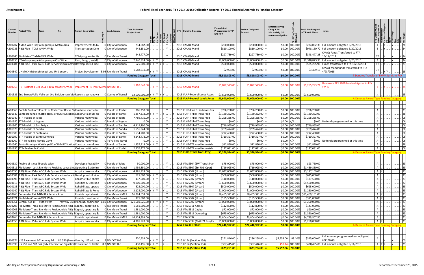| A300707 AMPA Wide Bicy Albuquerque Metro Area<br>0 City of Albuquer<br>234,082.00<br>\$200,000.00<br>\$200,000.00<br>\$0.00 100.00%<br>\$234,082.39 Full amount obligated 8/21/2015<br>Improvements to b<br>A300735 ABQ Ride - TDM-AMPA Wide<br>948,151.00<br>2015 CMAQ-Mand<br>\$810,100.00<br>\$810,100.00<br>\$0.00 100.00%<br>\$948,150.72 Full amount obligated 5/22/2015<br>. IY I<br>0 City of Albuquer<br>$\overline{3}$<br><b>Transportation Dem</b><br>CMAQ Funds Transferred to FTA<br>\$348,477.28<br>348,477.00<br>\$297,739.00<br>\$297,739.00<br>\$0.00 100.00%<br>2015 CMAQ-Mand<br>10/17/2014<br>A300745 Rio Metro TDM-TAMPA Wide<br>TDM program for Ra<br>0 Rio Metro Transi<br>1T<br> Y  <br>. IY I.<br>A300755   ITS-Albuquerque Albuquerque City Wide<br>2015 CMAQ-Mand<br>\$2,340,823.90 Full amount obligated 8/20/2015<br>Plan, design, install<br>0 City of Albuquer<br>2,340,824.00Y<br>\$2,000,000.00<br>\$2,000,000.00<br>\$0.00 100.00%<br> Y      Y    <br>TA00084 ABQ Ride - Park {ABQ Ride Servid various locatid Develop park & ride<br>0 City of Albuquer<br>625,000.00 Y Y<br>2015 CMAQ-Mand<br>\$500,000.00<br>\$500,000.00<br>\$0.00 100.00%<br>\$585,205.98 Funds transferred to FTA 10/17/2014<br>1T<br> Y Y Y<br>CMAQ-Mand funds transferred to FTA<br>1,588,031.00<br>\$2,964.00<br>\$2,964.00<br>\$3,469.10<br>\$0.00 100.00%<br>3T<br>2015 CMAQ-Mand<br>TA00340 UNM/CNM/SungMenaul and Un Sunport<br>Project Developmen 3.98 Rio Metro Transi<br>4/23/2015<br><b>Funding Category Total</b><br>2015 CMAQ-Mand<br>$$0.00$   100.00%<br>\$3,810,803.00<br>\$3,810,803.00<br>T Denotes Transfer of FHWA funds to FTA<br>How were FFY 2016 funds obligated in FFY<br>\$1,072,523.00<br>\$1,072,523.00<br>$$0.00$ 100.00%<br>\$1,255,293.74<br>1,367,040.00<br>300765 ITS - District 3 Del-25 & I-40 & ot AMPA Wide<br>Implement ITS Improveme NMDOT D-3<br>2016 CMAQ-Mand<br>2015?<br>A301521 2nd Street/Valle Valle del Oro En Mountain Vie Reconstruct roadwa<br>0 County of Bernal<br>12,500,000.00 Y Y Y Y Y Y<br>2015 FLAP-Federal Lands Acces<br>\$1,600,000.00<br>\$1,600,000.00<br>$$0.00$ 100.00%<br>\$1,600,000.00<br>. <u>.     </u>            15 <br><b>2015 FLAP-Federal Lands Acces</b><br><b>Funding Category Total</b><br>\$1,600,000.00<br>\$1,600,000.00<br>$\frac{100,000}{100,0000}$<br>A Denotes Award Type Funding Category<br>TA00360 Cochiti Pueblo Tr Pueblo of Cochi Tent Rocks Na Purchase shuttle bu<br>O Pueblo of Cochit<br>786,250.00<br>2015 FLHP-Paul S. Sarbanes Tra<br>\$786,250.00<br>\$786,250.00<br>\$786,250.00<br>\$0.00 100.00%<br>A<br>A301540 Santo Domingo N Cattle grd E. of INMRX Station Construct a multi-us<br>0 Pueblo of Santo<br>1,357,318.00 Y<br>2015 FLHP-Tribal Trans Prog<br>\$1,180,262.00<br>\$1,180,262.00<br>\$0.00 100.00%<br>\$1,180,262.00<br>A<br>\$0.00 100.00%<br>\$1,298,235.00<br>A301940 TTP-Pueblo of Isleta<br>0 Pueblo of Isleta<br>7,789,410.00<br>2015 FLHP-Tribal Trans Prog<br>\$1,298,235.00<br>\$1,298,235.00<br>Various multimoda<br>A<br>A301950 TTP-Pueblo of Laguna<br>0 Pueblo of Laguna<br>2015 FLHP-Tribal Trans Prog<br>Various multimodal<br>0.00<br>$$0.00$ N/A<br>\$0.00 No funds programmed at this time<br>\$0.00<br>\$0.00<br>A<br>4,319,790.00<br>\$719,965.00<br>\$719,965.00<br>\$0.00 100.00%<br>\$719,965.00<br>A301960 TTP-Pueblo of San Felipe<br>0 Pueblo of San Fe<br>2015 FLHP-Tribal Trans Prog<br>Various multimoda<br>A<br>A301970 TTP-Pueblo of Sandia<br>0 Pueblo of Sandia<br>1,616,844.00<br>2015 FLHP-Tribal Trans Prog<br>\$269,474.00<br>\$0.00 100.00%<br>\$269,474.00<br>Various multimoda<br>\$269,474.00<br>A<br>\$272,450.00<br>A301980 TTP-Pueblo of Santa Ana<br>0 Pueblo of Santa<br>1,634,700.00<br>2015 FLHP-Tribal Trans Prog<br>\$272,450.00<br>\$272,450.00<br>\$0.00 100.00%<br>Various multimoda<br>A<br>A301990 TTP-Pueblo of Santo Domingo<br>0 Pueblo of Santo<br>2015 FLHP-Tribal Trans Prog<br>Various multimoda<br>4,242,478.00<br>\$710,327.00<br>\$0.00 100.00%<br>\$710,327.00<br>\$710,327.00<br>A<br>0.00<br>\$0.00<br>\$0.00 N/A<br>A302000 TTP-To'hajiilee-Navajo Gov't<br>0 To'hajiilee-Navaj<br>2015 FLHP-Tribal Trans Prog<br>\$0.00<br>\$0.00 No funds programmed at this time<br>Various multimoda<br>A301540 Santo Domingo N Cattle grd E. of INMRX Station Construct a multi-us<br>1,357,318.00 Y Y<br>2015 FLHP-TTP used for match<br>\$12,890.00<br>\$12,890.00<br>\$0.00 100.00%<br>\$12,890.00<br>0 Pueblo of Santo<br>A<br>2,276,472.00<br>2015 FLHP-TTP used for match<br>\$127,081.00<br>\$127,081.00<br>\$0.00 100.00%<br>\$127,081.00<br>A301930 TTP- Pueblo de Cochiti<br>0 Pueblo of Cochit<br>Various multimodal<br>$\mathsf{A}$<br><b>2015 FLHP-Tribal Trans Prog</b><br>\$5,376,934.00<br>\$5,376,934.00<br>$\frac{100,000}{100,0000}$<br><b>Funding Category Total</b><br>A Denotes Award Type Funding Category<br>TA00330 Pueblo of Isleta 1 Pueblo wide<br>0 Pueblo of Isleta<br>30,000.00<br>2015 FTA 5304 (SW Transit Plan<br>\$93,750.00<br>Develop a feasabilit<br>\$75,000.00<br>\$75,000.00<br>\$0.00 100.00%<br>\$0.00 100.00%<br>\$1,439,850.00<br>TA00311 Rio Metro - Los L Rio Metro Regid Los Lunas Sma Operating & admin<br>1,439,850.00<br>2015 FTA 5307 (Sm Urb Oper)<br>\$719,925.00<br>\$719,925.00<br>0 Rio Metro Transi<br>TA00055 ABQ Ride - Vehic ABQ Ride System Wide<br>0 City of Albuquero<br>4,381,928.00<br>2015 FTA 5307 (Urban)<br>\$2,637,000.00<br>\$2,637,000.00<br>\$0.00 100.00%<br>\$3,177,109.00<br>Acquire buses and a<br>A Y<br>0 City of Albuquer<br>625,000.00 Y Y Y Y Y Y<br>2015 FTA 5307 (Urban)<br>\$500,000.00<br>\$500,000.00<br>\$0.00 100.00%<br>\$625,000.00<br>TA00084 ABQ Ride - Park {ABQ Ride Servid various locatid Develop park & ride<br>A<br>\$137,500.00<br>TA00095 ABQ Ride - Trans ABQ Ride Service Area<br>O City of Albuquer<br>2015 FTA 5307 (Urban)<br>\$110,000.00<br>\$110,000.00<br>\$0.00 100.00%<br>Construct bus shelte<br>137,500.00    Y   Y      Y   .<br>$\mathsf{A}$<br>TA00110 ABQ Ride - Trans ABQ Ride System Wide<br>Facilities & Operatio<br>0 City of Albuquero<br>2015 FTA 5307 (Urban)<br>\$0.00 100.00%<br>\$4,500,000.00<br>9,000,000.00<br>\$3,600,000.00<br>\$3,600,000.00<br>A<br>\$625,000.00<br>Rehabilitate, upgrad<br>O City of Albuquer<br>625,000.00<br>2015 FTA 5307 (Urban)<br>\$500,000.00<br>\$500,000.00<br>\$0.00 100.00%<br>TA00135 ABQ Ride - Trans ABQ Ride System Wide<br>A<br>Rehabilitate & Remo<br>TA00140 ABQ Ride - Trans ABQ Ride System Wide<br>0 City of Albuquer<br>3,125,000.00 Y Y<br>2015 FTA 5307 (Urban)<br>\$1,000,000.00<br>$$0.00$ 100.00%<br>\$1,250,000.00<br>\$1,000,000.00<br>A<br>$$0.00 \,   100.00\%$ \$11,469,151.00<br>TA00263 Commuter Rail NNMRRX Service Area<br>Provide capital mair<br>0 Rio Metro NMRR<br>16,224,659.00<br>2015 FTA 5307 (Urban)<br>\$8,455,321.00<br>\$8,455,321.00<br>$\mathsf{A}$<br>TA00321 Rio Metro CommAMPA Wide<br>Provide transit servi<br>0 Rio Metro Transi<br>2015 FTA 5307 (Urban)<br>\$371,000.00<br>371,000.00.<br>\$185,500.00<br>\$185,500.00<br>\$0.00 100.00%<br>A<br>Tramway Blvd Planning, engineerin<br>\$0.00 100.00%<br>\$1,250,000.00<br>TA00351 Central Ave BRT 98th Street<br>14.9 City of Albuquero<br>121,569,626.00 Y Y<br>2015 FTA 5307 (Urban)<br>\$1,000,000.00<br>\$1,000,000.00<br>A<br>TA00205 Rio Metro Transi Rio Metro Regidoutside ABQ 8 Capital, operating &<br>1,581,000.00<br>2015 FTA 5311 Admin<br>\$112,800.00<br>\$112,800.00<br>\$0.00 100.00%<br>\$141,000.00<br>0 Rio Metro Transi<br>$\mathsf{A}$<br>TA00205 Rio Metro Transi Rio Metro Regidoutside ABQ § Capital, operating &<br>\$90,000.00<br>0 Rio Metro Transi<br>1,581,000.00<br>2015 FTA 5311 Capital<br>\$72,000.00<br>\$72,000.00<br>\$0.00 100.00%<br>A<br>TA00205 Rio Metro Transi Rio Metro Regidoutside ABQ 8 Capital, operating &<br>1,581,000.00<br>$$0.00$ 100.00%<br>\$1,350,000.00<br>0 Rio Metro Transi<br>2015 FTA 5311 Operating<br>\$675,000.00<br>\$675,000.00<br>A<br>TA00263 Commuter Rail NNMRRX Service Area<br>2015 FTA 5337<br>Provide capital mair<br>0 Rio Metro NMRR<br>16,224,659.00<br>\$3,804,406.00<br>$$0.00$ 100.00%<br>\$4,755,507.50<br>\$3,804,406.00<br>4,381,928.00.<br>2015 FTA 5339 (MAP-21 Bus/Fa<br>TA00055 ABQ Ride - VehicABQ Ride System Wide<br>Acquire buses and a<br>0 City of Albuquero<br>\$1,000,000.00<br>\$1,000,000.00<br>\$0.00 100.00%<br>\$1,250,000.00<br>$A \,  Y .            $<br><b>2015 FTA all Transit</b><br><b>Funding Category Total</b><br>\$24,446,952.00<br><u>\$24,446,952.00</u><br>$\frac{100,000}{100,0000}$<br>A Denotes Award Type Funding Category<br>Full Amount programmed not obligated<br>\$315,000.00<br>720,539.00 $\vert_{\mathsf{Y}}\vert_{\mathsf{Y}}\vert_{\mathsf{Y}}\vert$<br>\$291,816.00<br>\$286,258.00<br>\$5,558.00 98.10%<br>8/12/2015<br>A300374   I-25 Pavement PiTramway Rd.   US 550 (Berna Overlay I-25 with ne<br>2015 H154 (Section 154)<br>5 NMDOT D-3<br>$\begin{array}{c c c c c c} \hline \star &  & \hspace{-0.2cm} \mathsf{Y} &  &  & \hspace{-0.2cm} \mathsf{Y} &  &  & \hspace{-0.2cm} \mathsf{0.3} \\ \hline \textbf{4} & \textbf{Y} & \textbf{Y} &  &  & \hspace{-0.2cm} \mathsf{Y} &  &  &  & \hspace{-0.2cm} \mathsf{21} \end{array}$<br>A301590 US 550 and NM 347 (PdV Intersection Signaliza Installation of traffic<br>$0.7$ NMDOT D-3<br>430,496.00 Y Y Y  Y<br>2015 H154 (Section 154)<br>(50.14) 100.00%<br>\$430,495.86 Full amount obligated 9/14/2015<br>\$387,445.86<br>\$387,446.00<br><b>Funding Category Total</b><br>2015 H154 (Section 154)<br>\$679,261.86<br>$ 5673,704.00 $ =<br>$$5,557.86$ 99.18% | Control<br>Number | <b>Project Title</b> | From | Project Description | ead Agency | <b>Total Estimated</b><br>Project Cost |  | FFY Funding Category | <b>Federal Amt</b><br>Programmed in TIP<br><b>End FFY</b> | <b>Federal Obligated</b><br>Amount | Difference Prog-<br>Oblig KEY:<br>$$1=$ unoblig $($1)$<br>=excess obligation | Prog <sup>'n</sup><br>aated<br>৳ | <b>Total Amt Prog'md</b><br>in TIP with Match | Notes |  |                |
|---------------------------------------------------------------------------------------------------------------------------------------------------------------------------------------------------------------------------------------------------------------------------------------------------------------------------------------------------------------------------------------------------------------------------------------------------------------------------------------------------------------------------------------------------------------------------------------------------------------------------------------------------------------------------------------------------------------------------------------------------------------------------------------------------------------------------------------------------------------------------------------------------------------------------------------------------------------------------------------------------------------------------------------------------------------------------------------------------------------------------------------------------------------------------------------------------------------------------------------------------------------------------------------------------------------------------------------------------------------------------------------------------------------------------------------------------------------------------------------------------------------------------------------------------------------------------------------------------------------------------------------------------------------------------------------------------------------------------------------------------------------------------------------------------------------------------------------------------------------------------------------------------------------------------------------------------------------------------------------------------------------------------------------------------------------------------------------------------------------------------------------------------------------------------------------------------------------------------------------------------------------------------------------------------------------------------------------------------------------------------------------------------------------------------------------------------------------------------------------------------------------------------------------------------------------------------------------------------------------------------------------------------------------------------------------------------------------------------------------------------------------------------------------------------------------------------------------------------------------------------------------------------------------------------------------------------------------------------------------------------------------------------------------------------------------------------------------------------------------------------------------------------------------------------------------------------------------------------------------------------------------------------------------------------------------------------------------------------------------------------------------------------------------------------------------------------------------------------------------------------------------------------------------------------------------------------------------------------------------------------------------------------------------------------------------------------------------------------------------------------------------------------------------------------------------------------------------------------------------------------------------------------------------------------------------------------------------------------------------------------------------------------------------------------------------------------------------------------------------------------------------------------------------------------------------------------------------------------------------------------------------------------------------------------------------------------------------------------------------------------------------------------------------------------------------------------------------------------------------------------------------------------------------------------------------------------------------------------------------------------------------------------------------------------------------------------------------------------------------------------------------------------------------------------------------------------------------------------------------------------------------------------------------------------------------------------------------------------------------------------------------------------------------------------------------------------------------------------------------------------------------------------------------------------------------------------------------------------------------------------------------------------------------------------------------------------------------------------------------------------------------------------------------------------------------------------------------------------------------------------------------------------------------------------------------------------------------------------------------------------------------------------------------------------------------------------------------------------------------------------------------------------------------------------------------------------------------------------------------------------------------------------------------------------------------------------------------------------------------------------------------------------------------------------------------------------------------------------------------------------------------------------------------------------------------------------------------------------------------------------------------------------------------------------------------------------------------------------------------------------------------------------------------------------------------------------------------------------------------------------------------------------------------------------------------------------------------------------------------------------------------------------------------------------------------------------------------------------------------------------------------------------------------------------------------------------------------------------------------------------------------------------------------------------------------------------------------------------------------------------------------------------------------------------------------------------------------------------------------------------------------------------------------------------------------------------------------------------------------------------------------------------------------------------------------------------------------------------------------------------------------------------------------------------------------------------------------------------------------------------------------------------------------------------------------------------------------------------------------------------------------------------------------------------------------------------------------------------------------------------------------------------------------------------------------------------------------------------------------------------------------------------------------------------------------------------------------------------------------------------------------------------------------------------------------------------------------------------------------------------------------------------------------------------------------------------------------------------------------------------------------------------------------------------------------------------------------------------------------------------------------------------------------------------------------------------------------------------------------------------------------------------------------------------------------------------------------------------------------------------------------------------------------------------------------------------------------------------------------------------------------------------------------------------------------------------------------------------------------------------------------------------------------------------------------------------------------------------------------------------------------------------------------------------------------------------------------------------------------------------------------------------------------------------------------------------------------------------------------------------------------------------------------------------------------------------------------------------------------------------------------------------------------------------------------------------------------------------------------------------------------------------------------------------------------------------------------------------------------------------------------------------------------------------------------------------------------------|-------------------|----------------------|------|---------------------|------------|----------------------------------------|--|----------------------|-----------------------------------------------------------|------------------------------------|------------------------------------------------------------------------------|----------------------------------|-----------------------------------------------|-------|--|----------------|
|                                                                                                                                                                                                                                                                                                                                                                                                                                                                                                                                                                                                                                                                                                                                                                                                                                                                                                                                                                                                                                                                                                                                                                                                                                                                                                                                                                                                                                                                                                                                                                                                                                                                                                                                                                                                                                                                                                                                                                                                                                                                                                                                                                                                                                                                                                                                                                                                                                                                                                                                                                                                                                                                                                                                                                                                                                                                                                                                                                                                                                                                                                                                                                                                                                                                                                                                                                                                                                                                                                                                                                                                                                                                                                                                                                                                                                                                                                                                                                                                                                                                                                                                                                                                                                                                                                                                                                                                                                                                                                                                                                                                                                                                                                                                                                                                                                                                                                                                                                                                                                                                                                                                                                                                                                                                                                                                                                                                                                                                                                                                                                                                                                                                                                                                                                                                                                                                                                                                                                                                                                                                                                                                                                                                                                                                                                                                                                                                                                                                                                                                                                                                                                                                                                                                                                                                                                                                                                                                                                                                                                                                                                                                                                                                                                                                                                                                                                                                                                                                                                                                                                                                                                                                                                                                                                                                                                                                                                                                                                                                                                                                                                                                                                                                                                                                                                                                                                                                                                                                                                                                                                                                                                                                                                                                                                                                                                                                                                                                                                                                                                                                                                                                                                                                                                                                                                                                                                                                                                                                                                                                                                                                                                                                                                                     |                   |                      |      |                     |            |                                        |  | 2015 CMAQ-Mand       |                                                           |                                    |                                                                              |                                  |                                               |       |  |                |
|                                                                                                                                                                                                                                                                                                                                                                                                                                                                                                                                                                                                                                                                                                                                                                                                                                                                                                                                                                                                                                                                                                                                                                                                                                                                                                                                                                                                                                                                                                                                                                                                                                                                                                                                                                                                                                                                                                                                                                                                                                                                                                                                                                                                                                                                                                                                                                                                                                                                                                                                                                                                                                                                                                                                                                                                                                                                                                                                                                                                                                                                                                                                                                                                                                                                                                                                                                                                                                                                                                                                                                                                                                                                                                                                                                                                                                                                                                                                                                                                                                                                                                                                                                                                                                                                                                                                                                                                                                                                                                                                                                                                                                                                                                                                                                                                                                                                                                                                                                                                                                                                                                                                                                                                                                                                                                                                                                                                                                                                                                                                                                                                                                                                                                                                                                                                                                                                                                                                                                                                                                                                                                                                                                                                                                                                                                                                                                                                                                                                                                                                                                                                                                                                                                                                                                                                                                                                                                                                                                                                                                                                                                                                                                                                                                                                                                                                                                                                                                                                                                                                                                                                                                                                                                                                                                                                                                                                                                                                                                                                                                                                                                                                                                                                                                                                                                                                                                                                                                                                                                                                                                                                                                                                                                                                                                                                                                                                                                                                                                                                                                                                                                                                                                                                                                                                                                                                                                                                                                                                                                                                                                                                                                                                                                                     |                   |                      |      |                     |            |                                        |  |                      |                                                           |                                    |                                                                              |                                  |                                               |       |  | . 24           |
|                                                                                                                                                                                                                                                                                                                                                                                                                                                                                                                                                                                                                                                                                                                                                                                                                                                                                                                                                                                                                                                                                                                                                                                                                                                                                                                                                                                                                                                                                                                                                                                                                                                                                                                                                                                                                                                                                                                                                                                                                                                                                                                                                                                                                                                                                                                                                                                                                                                                                                                                                                                                                                                                                                                                                                                                                                                                                                                                                                                                                                                                                                                                                                                                                                                                                                                                                                                                                                                                                                                                                                                                                                                                                                                                                                                                                                                                                                                                                                                                                                                                                                                                                                                                                                                                                                                                                                                                                                                                                                                                                                                                                                                                                                                                                                                                                                                                                                                                                                                                                                                                                                                                                                                                                                                                                                                                                                                                                                                                                                                                                                                                                                                                                                                                                                                                                                                                                                                                                                                                                                                                                                                                                                                                                                                                                                                                                                                                                                                                                                                                                                                                                                                                                                                                                                                                                                                                                                                                                                                                                                                                                                                                                                                                                                                                                                                                                                                                                                                                                                                                                                                                                                                                                                                                                                                                                                                                                                                                                                                                                                                                                                                                                                                                                                                                                                                                                                                                                                                                                                                                                                                                                                                                                                                                                                                                                                                                                                                                                                                                                                                                                                                                                                                                                                                                                                                                                                                                                                                                                                                                                                                                                                                                                                                     |                   |                      |      |                     |            |                                        |  |                      |                                                           |                                    |                                                                              |                                  |                                               |       |  |                |
|                                                                                                                                                                                                                                                                                                                                                                                                                                                                                                                                                                                                                                                                                                                                                                                                                                                                                                                                                                                                                                                                                                                                                                                                                                                                                                                                                                                                                                                                                                                                                                                                                                                                                                                                                                                                                                                                                                                                                                                                                                                                                                                                                                                                                                                                                                                                                                                                                                                                                                                                                                                                                                                                                                                                                                                                                                                                                                                                                                                                                                                                                                                                                                                                                                                                                                                                                                                                                                                                                                                                                                                                                                                                                                                                                                                                                                                                                                                                                                                                                                                                                                                                                                                                                                                                                                                                                                                                                                                                                                                                                                                                                                                                                                                                                                                                                                                                                                                                                                                                                                                                                                                                                                                                                                                                                                                                                                                                                                                                                                                                                                                                                                                                                                                                                                                                                                                                                                                                                                                                                                                                                                                                                                                                                                                                                                                                                                                                                                                                                                                                                                                                                                                                                                                                                                                                                                                                                                                                                                                                                                                                                                                                                                                                                                                                                                                                                                                                                                                                                                                                                                                                                                                                                                                                                                                                                                                                                                                                                                                                                                                                                                                                                                                                                                                                                                                                                                                                                                                                                                                                                                                                                                                                                                                                                                                                                                                                                                                                                                                                                                                                                                                                                                                                                                                                                                                                                                                                                                                                                                                                                                                                                                                                                                                     |                   |                      |      |                     |            |                                        |  |                      |                                                           |                                    |                                                                              |                                  |                                               |       |  | Y  24          |
|                                                                                                                                                                                                                                                                                                                                                                                                                                                                                                                                                                                                                                                                                                                                                                                                                                                                                                                                                                                                                                                                                                                                                                                                                                                                                                                                                                                                                                                                                                                                                                                                                                                                                                                                                                                                                                                                                                                                                                                                                                                                                                                                                                                                                                                                                                                                                                                                                                                                                                                                                                                                                                                                                                                                                                                                                                                                                                                                                                                                                                                                                                                                                                                                                                                                                                                                                                                                                                                                                                                                                                                                                                                                                                                                                                                                                                                                                                                                                                                                                                                                                                                                                                                                                                                                                                                                                                                                                                                                                                                                                                                                                                                                                                                                                                                                                                                                                                                                                                                                                                                                                                                                                                                                                                                                                                                                                                                                                                                                                                                                                                                                                                                                                                                                                                                                                                                                                                                                                                                                                                                                                                                                                                                                                                                                                                                                                                                                                                                                                                                                                                                                                                                                                                                                                                                                                                                                                                                                                                                                                                                                                                                                                                                                                                                                                                                                                                                                                                                                                                                                                                                                                                                                                                                                                                                                                                                                                                                                                                                                                                                                                                                                                                                                                                                                                                                                                                                                                                                                                                                                                                                                                                                                                                                                                                                                                                                                                                                                                                                                                                                                                                                                                                                                                                                                                                                                                                                                                                                                                                                                                                                                                                                                                                                     |                   |                      |      |                     |            |                                        |  |                      |                                                           |                                    |                                                                              |                                  |                                               |       |  | $\vert$ 24     |
|                                                                                                                                                                                                                                                                                                                                                                                                                                                                                                                                                                                                                                                                                                                                                                                                                                                                                                                                                                                                                                                                                                                                                                                                                                                                                                                                                                                                                                                                                                                                                                                                                                                                                                                                                                                                                                                                                                                                                                                                                                                                                                                                                                                                                                                                                                                                                                                                                                                                                                                                                                                                                                                                                                                                                                                                                                                                                                                                                                                                                                                                                                                                                                                                                                                                                                                                                                                                                                                                                                                                                                                                                                                                                                                                                                                                                                                                                                                                                                                                                                                                                                                                                                                                                                                                                                                                                                                                                                                                                                                                                                                                                                                                                                                                                                                                                                                                                                                                                                                                                                                                                                                                                                                                                                                                                                                                                                                                                                                                                                                                                                                                                                                                                                                                                                                                                                                                                                                                                                                                                                                                                                                                                                                                                                                                                                                                                                                                                                                                                                                                                                                                                                                                                                                                                                                                                                                                                                                                                                                                                                                                                                                                                                                                                                                                                                                                                                                                                                                                                                                                                                                                                                                                                                                                                                                                                                                                                                                                                                                                                                                                                                                                                                                                                                                                                                                                                                                                                                                                                                                                                                                                                                                                                                                                                                                                                                                                                                                                                                                                                                                                                                                                                                                                                                                                                                                                                                                                                                                                                                                                                                                                                                                                                                                     |                   |                      |      |                     |            |                                        |  |                      |                                                           |                                    |                                                                              |                                  |                                               |       |  |                |
|                                                                                                                                                                                                                                                                                                                                                                                                                                                                                                                                                                                                                                                                                                                                                                                                                                                                                                                                                                                                                                                                                                                                                                                                                                                                                                                                                                                                                                                                                                                                                                                                                                                                                                                                                                                                                                                                                                                                                                                                                                                                                                                                                                                                                                                                                                                                                                                                                                                                                                                                                                                                                                                                                                                                                                                                                                                                                                                                                                                                                                                                                                                                                                                                                                                                                                                                                                                                                                                                                                                                                                                                                                                                                                                                                                                                                                                                                                                                                                                                                                                                                                                                                                                                                                                                                                                                                                                                                                                                                                                                                                                                                                                                                                                                                                                                                                                                                                                                                                                                                                                                                                                                                                                                                                                                                                                                                                                                                                                                                                                                                                                                                                                                                                                                                                                                                                                                                                                                                                                                                                                                                                                                                                                                                                                                                                                                                                                                                                                                                                                                                                                                                                                                                                                                                                                                                                                                                                                                                                                                                                                                                                                                                                                                                                                                                                                                                                                                                                                                                                                                                                                                                                                                                                                                                                                                                                                                                                                                                                                                                                                                                                                                                                                                                                                                                                                                                                                                                                                                                                                                                                                                                                                                                                                                                                                                                                                                                                                                                                                                                                                                                                                                                                                                                                                                                                                                                                                                                                                                                                                                                                                                                                                                                                                     |                   |                      |      |                     |            |                                        |  |                      |                                                           |                                    |                                                                              |                                  |                                               |       |  |                |
|                                                                                                                                                                                                                                                                                                                                                                                                                                                                                                                                                                                                                                                                                                                                                                                                                                                                                                                                                                                                                                                                                                                                                                                                                                                                                                                                                                                                                                                                                                                                                                                                                                                                                                                                                                                                                                                                                                                                                                                                                                                                                                                                                                                                                                                                                                                                                                                                                                                                                                                                                                                                                                                                                                                                                                                                                                                                                                                                                                                                                                                                                                                                                                                                                                                                                                                                                                                                                                                                                                                                                                                                                                                                                                                                                                                                                                                                                                                                                                                                                                                                                                                                                                                                                                                                                                                                                                                                                                                                                                                                                                                                                                                                                                                                                                                                                                                                                                                                                                                                                                                                                                                                                                                                                                                                                                                                                                                                                                                                                                                                                                                                                                                                                                                                                                                                                                                                                                                                                                                                                                                                                                                                                                                                                                                                                                                                                                                                                                                                                                                                                                                                                                                                                                                                                                                                                                                                                                                                                                                                                                                                                                                                                                                                                                                                                                                                                                                                                                                                                                                                                                                                                                                                                                                                                                                                                                                                                                                                                                                                                                                                                                                                                                                                                                                                                                                                                                                                                                                                                                                                                                                                                                                                                                                                                                                                                                                                                                                                                                                                                                                                                                                                                                                                                                                                                                                                                                                                                                                                                                                                                                                                                                                                                                                     |                   |                      |      |                     |            |                                        |  |                      |                                                           |                                    |                                                                              |                                  |                                               |       |  |                |
|                                                                                                                                                                                                                                                                                                                                                                                                                                                                                                                                                                                                                                                                                                                                                                                                                                                                                                                                                                                                                                                                                                                                                                                                                                                                                                                                                                                                                                                                                                                                                                                                                                                                                                                                                                                                                                                                                                                                                                                                                                                                                                                                                                                                                                                                                                                                                                                                                                                                                                                                                                                                                                                                                                                                                                                                                                                                                                                                                                                                                                                                                                                                                                                                                                                                                                                                                                                                                                                                                                                                                                                                                                                                                                                                                                                                                                                                                                                                                                                                                                                                                                                                                                                                                                                                                                                                                                                                                                                                                                                                                                                                                                                                                                                                                                                                                                                                                                                                                                                                                                                                                                                                                                                                                                                                                                                                                                                                                                                                                                                                                                                                                                                                                                                                                                                                                                                                                                                                                                                                                                                                                                                                                                                                                                                                                                                                                                                                                                                                                                                                                                                                                                                                                                                                                                                                                                                                                                                                                                                                                                                                                                                                                                                                                                                                                                                                                                                                                                                                                                                                                                                                                                                                                                                                                                                                                                                                                                                                                                                                                                                                                                                                                                                                                                                                                                                                                                                                                                                                                                                                                                                                                                                                                                                                                                                                                                                                                                                                                                                                                                                                                                                                                                                                                                                                                                                                                                                                                                                                                                                                                                                                                                                                                                                     |                   |                      |      |                     |            |                                        |  |                      |                                                           |                                    |                                                                              |                                  |                                               |       |  |                |
|                                                                                                                                                                                                                                                                                                                                                                                                                                                                                                                                                                                                                                                                                                                                                                                                                                                                                                                                                                                                                                                                                                                                                                                                                                                                                                                                                                                                                                                                                                                                                                                                                                                                                                                                                                                                                                                                                                                                                                                                                                                                                                                                                                                                                                                                                                                                                                                                                                                                                                                                                                                                                                                                                                                                                                                                                                                                                                                                                                                                                                                                                                                                                                                                                                                                                                                                                                                                                                                                                                                                                                                                                                                                                                                                                                                                                                                                                                                                                                                                                                                                                                                                                                                                                                                                                                                                                                                                                                                                                                                                                                                                                                                                                                                                                                                                                                                                                                                                                                                                                                                                                                                                                                                                                                                                                                                                                                                                                                                                                                                                                                                                                                                                                                                                                                                                                                                                                                                                                                                                                                                                                                                                                                                                                                                                                                                                                                                                                                                                                                                                                                                                                                                                                                                                                                                                                                                                                                                                                                                                                                                                                                                                                                                                                                                                                                                                                                                                                                                                                                                                                                                                                                                                                                                                                                                                                                                                                                                                                                                                                                                                                                                                                                                                                                                                                                                                                                                                                                                                                                                                                                                                                                                                                                                                                                                                                                                                                                                                                                                                                                                                                                                                                                                                                                                                                                                                                                                                                                                                                                                                                                                                                                                                                                                     |                   |                      |      |                     |            |                                        |  |                      |                                                           |                                    |                                                                              |                                  |                                               |       |  |                |
|                                                                                                                                                                                                                                                                                                                                                                                                                                                                                                                                                                                                                                                                                                                                                                                                                                                                                                                                                                                                                                                                                                                                                                                                                                                                                                                                                                                                                                                                                                                                                                                                                                                                                                                                                                                                                                                                                                                                                                                                                                                                                                                                                                                                                                                                                                                                                                                                                                                                                                                                                                                                                                                                                                                                                                                                                                                                                                                                                                                                                                                                                                                                                                                                                                                                                                                                                                                                                                                                                                                                                                                                                                                                                                                                                                                                                                                                                                                                                                                                                                                                                                                                                                                                                                                                                                                                                                                                                                                                                                                                                                                                                                                                                                                                                                                                                                                                                                                                                                                                                                                                                                                                                                                                                                                                                                                                                                                                                                                                                                                                                                                                                                                                                                                                                                                                                                                                                                                                                                                                                                                                                                                                                                                                                                                                                                                                                                                                                                                                                                                                                                                                                                                                                                                                                                                                                                                                                                                                                                                                                                                                                                                                                                                                                                                                                                                                                                                                                                                                                                                                                                                                                                                                                                                                                                                                                                                                                                                                                                                                                                                                                                                                                                                                                                                                                                                                                                                                                                                                                                                                                                                                                                                                                                                                                                                                                                                                                                                                                                                                                                                                                                                                                                                                                                                                                                                                                                                                                                                                                                                                                                                                                                                                                                                     |                   |                      |      |                     |            |                                        |  |                      |                                                           |                                    |                                                                              |                                  |                                               |       |  |                |
|                                                                                                                                                                                                                                                                                                                                                                                                                                                                                                                                                                                                                                                                                                                                                                                                                                                                                                                                                                                                                                                                                                                                                                                                                                                                                                                                                                                                                                                                                                                                                                                                                                                                                                                                                                                                                                                                                                                                                                                                                                                                                                                                                                                                                                                                                                                                                                                                                                                                                                                                                                                                                                                                                                                                                                                                                                                                                                                                                                                                                                                                                                                                                                                                                                                                                                                                                                                                                                                                                                                                                                                                                                                                                                                                                                                                                                                                                                                                                                                                                                                                                                                                                                                                                                                                                                                                                                                                                                                                                                                                                                                                                                                                                                                                                                                                                                                                                                                                                                                                                                                                                                                                                                                                                                                                                                                                                                                                                                                                                                                                                                                                                                                                                                                                                                                                                                                                                                                                                                                                                                                                                                                                                                                                                                                                                                                                                                                                                                                                                                                                                                                                                                                                                                                                                                                                                                                                                                                                                                                                                                                                                                                                                                                                                                                                                                                                                                                                                                                                                                                                                                                                                                                                                                                                                                                                                                                                                                                                                                                                                                                                                                                                                                                                                                                                                                                                                                                                                                                                                                                                                                                                                                                                                                                                                                                                                                                                                                                                                                                                                                                                                                                                                                                                                                                                                                                                                                                                                                                                                                                                                                                                                                                                                                                     |                   |                      |      |                     |            |                                        |  |                      |                                                           |                                    |                                                                              |                                  |                                               |       |  |                |
|                                                                                                                                                                                                                                                                                                                                                                                                                                                                                                                                                                                                                                                                                                                                                                                                                                                                                                                                                                                                                                                                                                                                                                                                                                                                                                                                                                                                                                                                                                                                                                                                                                                                                                                                                                                                                                                                                                                                                                                                                                                                                                                                                                                                                                                                                                                                                                                                                                                                                                                                                                                                                                                                                                                                                                                                                                                                                                                                                                                                                                                                                                                                                                                                                                                                                                                                                                                                                                                                                                                                                                                                                                                                                                                                                                                                                                                                                                                                                                                                                                                                                                                                                                                                                                                                                                                                                                                                                                                                                                                                                                                                                                                                                                                                                                                                                                                                                                                                                                                                                                                                                                                                                                                                                                                                                                                                                                                                                                                                                                                                                                                                                                                                                                                                                                                                                                                                                                                                                                                                                                                                                                                                                                                                                                                                                                                                                                                                                                                                                                                                                                                                                                                                                                                                                                                                                                                                                                                                                                                                                                                                                                                                                                                                                                                                                                                                                                                                                                                                                                                                                                                                                                                                                                                                                                                                                                                                                                                                                                                                                                                                                                                                                                                                                                                                                                                                                                                                                                                                                                                                                                                                                                                                                                                                                                                                                                                                                                                                                                                                                                                                                                                                                                                                                                                                                                                                                                                                                                                                                                                                                                                                                                                                                                                     |                   |                      |      |                     |            |                                        |  |                      |                                                           |                                    |                                                                              |                                  |                                               |       |  |                |
|                                                                                                                                                                                                                                                                                                                                                                                                                                                                                                                                                                                                                                                                                                                                                                                                                                                                                                                                                                                                                                                                                                                                                                                                                                                                                                                                                                                                                                                                                                                                                                                                                                                                                                                                                                                                                                                                                                                                                                                                                                                                                                                                                                                                                                                                                                                                                                                                                                                                                                                                                                                                                                                                                                                                                                                                                                                                                                                                                                                                                                                                                                                                                                                                                                                                                                                                                                                                                                                                                                                                                                                                                                                                                                                                                                                                                                                                                                                                                                                                                                                                                                                                                                                                                                                                                                                                                                                                                                                                                                                                                                                                                                                                                                                                                                                                                                                                                                                                                                                                                                                                                                                                                                                                                                                                                                                                                                                                                                                                                                                                                                                                                                                                                                                                                                                                                                                                                                                                                                                                                                                                                                                                                                                                                                                                                                                                                                                                                                                                                                                                                                                                                                                                                                                                                                                                                                                                                                                                                                                                                                                                                                                                                                                                                                                                                                                                                                                                                                                                                                                                                                                                                                                                                                                                                                                                                                                                                                                                                                                                                                                                                                                                                                                                                                                                                                                                                                                                                                                                                                                                                                                                                                                                                                                                                                                                                                                                                                                                                                                                                                                                                                                                                                                                                                                                                                                                                                                                                                                                                                                                                                                                                                                                                                                     |                   |                      |      |                     |            |                                        |  |                      |                                                           |                                    |                                                                              |                                  |                                               |       |  |                |
|                                                                                                                                                                                                                                                                                                                                                                                                                                                                                                                                                                                                                                                                                                                                                                                                                                                                                                                                                                                                                                                                                                                                                                                                                                                                                                                                                                                                                                                                                                                                                                                                                                                                                                                                                                                                                                                                                                                                                                                                                                                                                                                                                                                                                                                                                                                                                                                                                                                                                                                                                                                                                                                                                                                                                                                                                                                                                                                                                                                                                                                                                                                                                                                                                                                                                                                                                                                                                                                                                                                                                                                                                                                                                                                                                                                                                                                                                                                                                                                                                                                                                                                                                                                                                                                                                                                                                                                                                                                                                                                                                                                                                                                                                                                                                                                                                                                                                                                                                                                                                                                                                                                                                                                                                                                                                                                                                                                                                                                                                                                                                                                                                                                                                                                                                                                                                                                                                                                                                                                                                                                                                                                                                                                                                                                                                                                                                                                                                                                                                                                                                                                                                                                                                                                                                                                                                                                                                                                                                                                                                                                                                                                                                                                                                                                                                                                                                                                                                                                                                                                                                                                                                                                                                                                                                                                                                                                                                                                                                                                                                                                                                                                                                                                                                                                                                                                                                                                                                                                                                                                                                                                                                                                                                                                                                                                                                                                                                                                                                                                                                                                                                                                                                                                                                                                                                                                                                                                                                                                                                                                                                                                                                                                                                                                     |                   |                      |      |                     |            |                                        |  |                      |                                                           |                                    |                                                                              |                                  |                                               |       |  |                |
|                                                                                                                                                                                                                                                                                                                                                                                                                                                                                                                                                                                                                                                                                                                                                                                                                                                                                                                                                                                                                                                                                                                                                                                                                                                                                                                                                                                                                                                                                                                                                                                                                                                                                                                                                                                                                                                                                                                                                                                                                                                                                                                                                                                                                                                                                                                                                                                                                                                                                                                                                                                                                                                                                                                                                                                                                                                                                                                                                                                                                                                                                                                                                                                                                                                                                                                                                                                                                                                                                                                                                                                                                                                                                                                                                                                                                                                                                                                                                                                                                                                                                                                                                                                                                                                                                                                                                                                                                                                                                                                                                                                                                                                                                                                                                                                                                                                                                                                                                                                                                                                                                                                                                                                                                                                                                                                                                                                                                                                                                                                                                                                                                                                                                                                                                                                                                                                                                                                                                                                                                                                                                                                                                                                                                                                                                                                                                                                                                                                                                                                                                                                                                                                                                                                                                                                                                                                                                                                                                                                                                                                                                                                                                                                                                                                                                                                                                                                                                                                                                                                                                                                                                                                                                                                                                                                                                                                                                                                                                                                                                                                                                                                                                                                                                                                                                                                                                                                                                                                                                                                                                                                                                                                                                                                                                                                                                                                                                                                                                                                                                                                                                                                                                                                                                                                                                                                                                                                                                                                                                                                                                                                                                                                                                                                     |                   |                      |      |                     |            |                                        |  |                      |                                                           |                                    |                                                                              |                                  |                                               |       |  |                |
|                                                                                                                                                                                                                                                                                                                                                                                                                                                                                                                                                                                                                                                                                                                                                                                                                                                                                                                                                                                                                                                                                                                                                                                                                                                                                                                                                                                                                                                                                                                                                                                                                                                                                                                                                                                                                                                                                                                                                                                                                                                                                                                                                                                                                                                                                                                                                                                                                                                                                                                                                                                                                                                                                                                                                                                                                                                                                                                                                                                                                                                                                                                                                                                                                                                                                                                                                                                                                                                                                                                                                                                                                                                                                                                                                                                                                                                                                                                                                                                                                                                                                                                                                                                                                                                                                                                                                                                                                                                                                                                                                                                                                                                                                                                                                                                                                                                                                                                                                                                                                                                                                                                                                                                                                                                                                                                                                                                                                                                                                                                                                                                                                                                                                                                                                                                                                                                                                                                                                                                                                                                                                                                                                                                                                                                                                                                                                                                                                                                                                                                                                                                                                                                                                                                                                                                                                                                                                                                                                                                                                                                                                                                                                                                                                                                                                                                                                                                                                                                                                                                                                                                                                                                                                                                                                                                                                                                                                                                                                                                                                                                                                                                                                                                                                                                                                                                                                                                                                                                                                                                                                                                                                                                                                                                                                                                                                                                                                                                                                                                                                                                                                                                                                                                                                                                                                                                                                                                                                                                                                                                                                                                                                                                                                                                     |                   |                      |      |                     |            |                                        |  |                      |                                                           |                                    |                                                                              |                                  |                                               |       |  |                |
|                                                                                                                                                                                                                                                                                                                                                                                                                                                                                                                                                                                                                                                                                                                                                                                                                                                                                                                                                                                                                                                                                                                                                                                                                                                                                                                                                                                                                                                                                                                                                                                                                                                                                                                                                                                                                                                                                                                                                                                                                                                                                                                                                                                                                                                                                                                                                                                                                                                                                                                                                                                                                                                                                                                                                                                                                                                                                                                                                                                                                                                                                                                                                                                                                                                                                                                                                                                                                                                                                                                                                                                                                                                                                                                                                                                                                                                                                                                                                                                                                                                                                                                                                                                                                                                                                                                                                                                                                                                                                                                                                                                                                                                                                                                                                                                                                                                                                                                                                                                                                                                                                                                                                                                                                                                                                                                                                                                                                                                                                                                                                                                                                                                                                                                                                                                                                                                                                                                                                                                                                                                                                                                                                                                                                                                                                                                                                                                                                                                                                                                                                                                                                                                                                                                                                                                                                                                                                                                                                                                                                                                                                                                                                                                                                                                                                                                                                                                                                                                                                                                                                                                                                                                                                                                                                                                                                                                                                                                                                                                                                                                                                                                                                                                                                                                                                                                                                                                                                                                                                                                                                                                                                                                                                                                                                                                                                                                                                                                                                                                                                                                                                                                                                                                                                                                                                                                                                                                                                                                                                                                                                                                                                                                                                                                     |                   |                      |      |                     |            |                                        |  |                      |                                                           |                                    |                                                                              |                                  |                                               |       |  |                |
|                                                                                                                                                                                                                                                                                                                                                                                                                                                                                                                                                                                                                                                                                                                                                                                                                                                                                                                                                                                                                                                                                                                                                                                                                                                                                                                                                                                                                                                                                                                                                                                                                                                                                                                                                                                                                                                                                                                                                                                                                                                                                                                                                                                                                                                                                                                                                                                                                                                                                                                                                                                                                                                                                                                                                                                                                                                                                                                                                                                                                                                                                                                                                                                                                                                                                                                                                                                                                                                                                                                                                                                                                                                                                                                                                                                                                                                                                                                                                                                                                                                                                                                                                                                                                                                                                                                                                                                                                                                                                                                                                                                                                                                                                                                                                                                                                                                                                                                                                                                                                                                                                                                                                                                                                                                                                                                                                                                                                                                                                                                                                                                                                                                                                                                                                                                                                                                                                                                                                                                                                                                                                                                                                                                                                                                                                                                                                                                                                                                                                                                                                                                                                                                                                                                                                                                                                                                                                                                                                                                                                                                                                                                                                                                                                                                                                                                                                                                                                                                                                                                                                                                                                                                                                                                                                                                                                                                                                                                                                                                                                                                                                                                                                                                                                                                                                                                                                                                                                                                                                                                                                                                                                                                                                                                                                                                                                                                                                                                                                                                                                                                                                                                                                                                                                                                                                                                                                                                                                                                                                                                                                                                                                                                                                                                     |                   |                      |      |                     |            |                                        |  |                      |                                                           |                                    |                                                                              |                                  |                                               |       |  |                |
|                                                                                                                                                                                                                                                                                                                                                                                                                                                                                                                                                                                                                                                                                                                                                                                                                                                                                                                                                                                                                                                                                                                                                                                                                                                                                                                                                                                                                                                                                                                                                                                                                                                                                                                                                                                                                                                                                                                                                                                                                                                                                                                                                                                                                                                                                                                                                                                                                                                                                                                                                                                                                                                                                                                                                                                                                                                                                                                                                                                                                                                                                                                                                                                                                                                                                                                                                                                                                                                                                                                                                                                                                                                                                                                                                                                                                                                                                                                                                                                                                                                                                                                                                                                                                                                                                                                                                                                                                                                                                                                                                                                                                                                                                                                                                                                                                                                                                                                                                                                                                                                                                                                                                                                                                                                                                                                                                                                                                                                                                                                                                                                                                                                                                                                                                                                                                                                                                                                                                                                                                                                                                                                                                                                                                                                                                                                                                                                                                                                                                                                                                                                                                                                                                                                                                                                                                                                                                                                                                                                                                                                                                                                                                                                                                                                                                                                                                                                                                                                                                                                                                                                                                                                                                                                                                                                                                                                                                                                                                                                                                                                                                                                                                                                                                                                                                                                                                                                                                                                                                                                                                                                                                                                                                                                                                                                                                                                                                                                                                                                                                                                                                                                                                                                                                                                                                                                                                                                                                                                                                                                                                                                                                                                                                                                     |                   |                      |      |                     |            |                                        |  |                      |                                                           |                                    |                                                                              |                                  |                                               |       |  |                |
|                                                                                                                                                                                                                                                                                                                                                                                                                                                                                                                                                                                                                                                                                                                                                                                                                                                                                                                                                                                                                                                                                                                                                                                                                                                                                                                                                                                                                                                                                                                                                                                                                                                                                                                                                                                                                                                                                                                                                                                                                                                                                                                                                                                                                                                                                                                                                                                                                                                                                                                                                                                                                                                                                                                                                                                                                                                                                                                                                                                                                                                                                                                                                                                                                                                                                                                                                                                                                                                                                                                                                                                                                                                                                                                                                                                                                                                                                                                                                                                                                                                                                                                                                                                                                                                                                                                                                                                                                                                                                                                                                                                                                                                                                                                                                                                                                                                                                                                                                                                                                                                                                                                                                                                                                                                                                                                                                                                                                                                                                                                                                                                                                                                                                                                                                                                                                                                                                                                                                                                                                                                                                                                                                                                                                                                                                                                                                                                                                                                                                                                                                                                                                                                                                                                                                                                                                                                                                                                                                                                                                                                                                                                                                                                                                                                                                                                                                                                                                                                                                                                                                                                                                                                                                                                                                                                                                                                                                                                                                                                                                                                                                                                                                                                                                                                                                                                                                                                                                                                                                                                                                                                                                                                                                                                                                                                                                                                                                                                                                                                                                                                                                                                                                                                                                                                                                                                                                                                                                                                                                                                                                                                                                                                                                                                     |                   |                      |      |                     |            |                                        |  |                      |                                                           |                                    |                                                                              |                                  |                                               |       |  | 06             |
|                                                                                                                                                                                                                                                                                                                                                                                                                                                                                                                                                                                                                                                                                                                                                                                                                                                                                                                                                                                                                                                                                                                                                                                                                                                                                                                                                                                                                                                                                                                                                                                                                                                                                                                                                                                                                                                                                                                                                                                                                                                                                                                                                                                                                                                                                                                                                                                                                                                                                                                                                                                                                                                                                                                                                                                                                                                                                                                                                                                                                                                                                                                                                                                                                                                                                                                                                                                                                                                                                                                                                                                                                                                                                                                                                                                                                                                                                                                                                                                                                                                                                                                                                                                                                                                                                                                                                                                                                                                                                                                                                                                                                                                                                                                                                                                                                                                                                                                                                                                                                                                                                                                                                                                                                                                                                                                                                                                                                                                                                                                                                                                                                                                                                                                                                                                                                                                                                                                                                                                                                                                                                                                                                                                                                                                                                                                                                                                                                                                                                                                                                                                                                                                                                                                                                                                                                                                                                                                                                                                                                                                                                                                                                                                                                                                                                                                                                                                                                                                                                                                                                                                                                                                                                                                                                                                                                                                                                                                                                                                                                                                                                                                                                                                                                                                                                                                                                                                                                                                                                                                                                                                                                                                                                                                                                                                                                                                                                                                                                                                                                                                                                                                                                                                                                                                                                                                                                                                                                                                                                                                                                                                                                                                                                                                     |                   |                      |      |                     |            |                                        |  |                      |                                                           |                                    |                                                                              |                                  |                                               |       |  | 06             |
|                                                                                                                                                                                                                                                                                                                                                                                                                                                                                                                                                                                                                                                                                                                                                                                                                                                                                                                                                                                                                                                                                                                                                                                                                                                                                                                                                                                                                                                                                                                                                                                                                                                                                                                                                                                                                                                                                                                                                                                                                                                                                                                                                                                                                                                                                                                                                                                                                                                                                                                                                                                                                                                                                                                                                                                                                                                                                                                                                                                                                                                                                                                                                                                                                                                                                                                                                                                                                                                                                                                                                                                                                                                                                                                                                                                                                                                                                                                                                                                                                                                                                                                                                                                                                                                                                                                                                                                                                                                                                                                                                                                                                                                                                                                                                                                                                                                                                                                                                                                                                                                                                                                                                                                                                                                                                                                                                                                                                                                                                                                                                                                                                                                                                                                                                                                                                                                                                                                                                                                                                                                                                                                                                                                                                                                                                                                                                                                                                                                                                                                                                                                                                                                                                                                                                                                                                                                                                                                                                                                                                                                                                                                                                                                                                                                                                                                                                                                                                                                                                                                                                                                                                                                                                                                                                                                                                                                                                                                                                                                                                                                                                                                                                                                                                                                                                                                                                                                                                                                                                                                                                                                                                                                                                                                                                                                                                                                                                                                                                                                                                                                                                                                                                                                                                                                                                                                                                                                                                                                                                                                                                                                                                                                                                                                     |                   |                      |      |                     |            |                                        |  |                      |                                                           |                                    |                                                                              |                                  |                                               |       |  |                |
|                                                                                                                                                                                                                                                                                                                                                                                                                                                                                                                                                                                                                                                                                                                                                                                                                                                                                                                                                                                                                                                                                                                                                                                                                                                                                                                                                                                                                                                                                                                                                                                                                                                                                                                                                                                                                                                                                                                                                                                                                                                                                                                                                                                                                                                                                                                                                                                                                                                                                                                                                                                                                                                                                                                                                                                                                                                                                                                                                                                                                                                                                                                                                                                                                                                                                                                                                                                                                                                                                                                                                                                                                                                                                                                                                                                                                                                                                                                                                                                                                                                                                                                                                                                                                                                                                                                                                                                                                                                                                                                                                                                                                                                                                                                                                                                                                                                                                                                                                                                                                                                                                                                                                                                                                                                                                                                                                                                                                                                                                                                                                                                                                                                                                                                                                                                                                                                                                                                                                                                                                                                                                                                                                                                                                                                                                                                                                                                                                                                                                                                                                                                                                                                                                                                                                                                                                                                                                                                                                                                                                                                                                                                                                                                                                                                                                                                                                                                                                                                                                                                                                                                                                                                                                                                                                                                                                                                                                                                                                                                                                                                                                                                                                                                                                                                                                                                                                                                                                                                                                                                                                                                                                                                                                                                                                                                                                                                                                                                                                                                                                                                                                                                                                                                                                                                                                                                                                                                                                                                                                                                                                                                                                                                                                                                     |                   |                      |      |                     |            |                                        |  |                      |                                                           |                                    |                                                                              |                                  |                                               |       |  |                |
|                                                                                                                                                                                                                                                                                                                                                                                                                                                                                                                                                                                                                                                                                                                                                                                                                                                                                                                                                                                                                                                                                                                                                                                                                                                                                                                                                                                                                                                                                                                                                                                                                                                                                                                                                                                                                                                                                                                                                                                                                                                                                                                                                                                                                                                                                                                                                                                                                                                                                                                                                                                                                                                                                                                                                                                                                                                                                                                                                                                                                                                                                                                                                                                                                                                                                                                                                                                                                                                                                                                                                                                                                                                                                                                                                                                                                                                                                                                                                                                                                                                                                                                                                                                                                                                                                                                                                                                                                                                                                                                                                                                                                                                                                                                                                                                                                                                                                                                                                                                                                                                                                                                                                                                                                                                                                                                                                                                                                                                                                                                                                                                                                                                                                                                                                                                                                                                                                                                                                                                                                                                                                                                                                                                                                                                                                                                                                                                                                                                                                                                                                                                                                                                                                                                                                                                                                                                                                                                                                                                                                                                                                                                                                                                                                                                                                                                                                                                                                                                                                                                                                                                                                                                                                                                                                                                                                                                                                                                                                                                                                                                                                                                                                                                                                                                                                                                                                                                                                                                                                                                                                                                                                                                                                                                                                                                                                                                                                                                                                                                                                                                                                                                                                                                                                                                                                                                                                                                                                                                                                                                                                                                                                                                                                                                     |                   |                      |      |                     |            |                                        |  |                      |                                                           |                                    |                                                                              |                                  |                                               |       |  |                |
|                                                                                                                                                                                                                                                                                                                                                                                                                                                                                                                                                                                                                                                                                                                                                                                                                                                                                                                                                                                                                                                                                                                                                                                                                                                                                                                                                                                                                                                                                                                                                                                                                                                                                                                                                                                                                                                                                                                                                                                                                                                                                                                                                                                                                                                                                                                                                                                                                                                                                                                                                                                                                                                                                                                                                                                                                                                                                                                                                                                                                                                                                                                                                                                                                                                                                                                                                                                                                                                                                                                                                                                                                                                                                                                                                                                                                                                                                                                                                                                                                                                                                                                                                                                                                                                                                                                                                                                                                                                                                                                                                                                                                                                                                                                                                                                                                                                                                                                                                                                                                                                                                                                                                                                                                                                                                                                                                                                                                                                                                                                                                                                                                                                                                                                                                                                                                                                                                                                                                                                                                                                                                                                                                                                                                                                                                                                                                                                                                                                                                                                                                                                                                                                                                                                                                                                                                                                                                                                                                                                                                                                                                                                                                                                                                                                                                                                                                                                                                                                                                                                                                                                                                                                                                                                                                                                                                                                                                                                                                                                                                                                                                                                                                                                                                                                                                                                                                                                                                                                                                                                                                                                                                                                                                                                                                                                                                                                                                                                                                                                                                                                                                                                                                                                                                                                                                                                                                                                                                                                                                                                                                                                                                                                                                                                     |                   |                      |      |                     |            |                                        |  |                      |                                                           |                                    |                                                                              |                                  |                                               |       |  |                |
|                                                                                                                                                                                                                                                                                                                                                                                                                                                                                                                                                                                                                                                                                                                                                                                                                                                                                                                                                                                                                                                                                                                                                                                                                                                                                                                                                                                                                                                                                                                                                                                                                                                                                                                                                                                                                                                                                                                                                                                                                                                                                                                                                                                                                                                                                                                                                                                                                                                                                                                                                                                                                                                                                                                                                                                                                                                                                                                                                                                                                                                                                                                                                                                                                                                                                                                                                                                                                                                                                                                                                                                                                                                                                                                                                                                                                                                                                                                                                                                                                                                                                                                                                                                                                                                                                                                                                                                                                                                                                                                                                                                                                                                                                                                                                                                                                                                                                                                                                                                                                                                                                                                                                                                                                                                                                                                                                                                                                                                                                                                                                                                                                                                                                                                                                                                                                                                                                                                                                                                                                                                                                                                                                                                                                                                                                                                                                                                                                                                                                                                                                                                                                                                                                                                                                                                                                                                                                                                                                                                                                                                                                                                                                                                                                                                                                                                                                                                                                                                                                                                                                                                                                                                                                                                                                                                                                                                                                                                                                                                                                                                                                                                                                                                                                                                                                                                                                                                                                                                                                                                                                                                                                                                                                                                                                                                                                                                                                                                                                                                                                                                                                                                                                                                                                                                                                                                                                                                                                                                                                                                                                                                                                                                                                                                     |                   |                      |      |                     |            |                                        |  |                      |                                                           |                                    |                                                                              |                                  |                                               |       |  |                |
|                                                                                                                                                                                                                                                                                                                                                                                                                                                                                                                                                                                                                                                                                                                                                                                                                                                                                                                                                                                                                                                                                                                                                                                                                                                                                                                                                                                                                                                                                                                                                                                                                                                                                                                                                                                                                                                                                                                                                                                                                                                                                                                                                                                                                                                                                                                                                                                                                                                                                                                                                                                                                                                                                                                                                                                                                                                                                                                                                                                                                                                                                                                                                                                                                                                                                                                                                                                                                                                                                                                                                                                                                                                                                                                                                                                                                                                                                                                                                                                                                                                                                                                                                                                                                                                                                                                                                                                                                                                                                                                                                                                                                                                                                                                                                                                                                                                                                                                                                                                                                                                                                                                                                                                                                                                                                                                                                                                                                                                                                                                                                                                                                                                                                                                                                                                                                                                                                                                                                                                                                                                                                                                                                                                                                                                                                                                                                                                                                                                                                                                                                                                                                                                                                                                                                                                                                                                                                                                                                                                                                                                                                                                                                                                                                                                                                                                                                                                                                                                                                                                                                                                                                                                                                                                                                                                                                                                                                                                                                                                                                                                                                                                                                                                                                                                                                                                                                                                                                                                                                                                                                                                                                                                                                                                                                                                                                                                                                                                                                                                                                                                                                                                                                                                                                                                                                                                                                                                                                                                                                                                                                                                                                                                                                                                     |                   |                      |      |                     |            |                                        |  |                      |                                                           |                                    |                                                                              |                                  |                                               |       |  |                |
|                                                                                                                                                                                                                                                                                                                                                                                                                                                                                                                                                                                                                                                                                                                                                                                                                                                                                                                                                                                                                                                                                                                                                                                                                                                                                                                                                                                                                                                                                                                                                                                                                                                                                                                                                                                                                                                                                                                                                                                                                                                                                                                                                                                                                                                                                                                                                                                                                                                                                                                                                                                                                                                                                                                                                                                                                                                                                                                                                                                                                                                                                                                                                                                                                                                                                                                                                                                                                                                                                                                                                                                                                                                                                                                                                                                                                                                                                                                                                                                                                                                                                                                                                                                                                                                                                                                                                                                                                                                                                                                                                                                                                                                                                                                                                                                                                                                                                                                                                                                                                                                                                                                                                                                                                                                                                                                                                                                                                                                                                                                                                                                                                                                                                                                                                                                                                                                                                                                                                                                                                                                                                                                                                                                                                                                                                                                                                                                                                                                                                                                                                                                                                                                                                                                                                                                                                                                                                                                                                                                                                                                                                                                                                                                                                                                                                                                                                                                                                                                                                                                                                                                                                                                                                                                                                                                                                                                                                                                                                                                                                                                                                                                                                                                                                                                                                                                                                                                                                                                                                                                                                                                                                                                                                                                                                                                                                                                                                                                                                                                                                                                                                                                                                                                                                                                                                                                                                                                                                                                                                                                                                                                                                                                                                                                     |                   |                      |      |                     |            |                                        |  |                      |                                                           |                                    |                                                                              |                                  |                                               |       |  |                |
|                                                                                                                                                                                                                                                                                                                                                                                                                                                                                                                                                                                                                                                                                                                                                                                                                                                                                                                                                                                                                                                                                                                                                                                                                                                                                                                                                                                                                                                                                                                                                                                                                                                                                                                                                                                                                                                                                                                                                                                                                                                                                                                                                                                                                                                                                                                                                                                                                                                                                                                                                                                                                                                                                                                                                                                                                                                                                                                                                                                                                                                                                                                                                                                                                                                                                                                                                                                                                                                                                                                                                                                                                                                                                                                                                                                                                                                                                                                                                                                                                                                                                                                                                                                                                                                                                                                                                                                                                                                                                                                                                                                                                                                                                                                                                                                                                                                                                                                                                                                                                                                                                                                                                                                                                                                                                                                                                                                                                                                                                                                                                                                                                                                                                                                                                                                                                                                                                                                                                                                                                                                                                                                                                                                                                                                                                                                                                                                                                                                                                                                                                                                                                                                                                                                                                                                                                                                                                                                                                                                                                                                                                                                                                                                                                                                                                                                                                                                                                                                                                                                                                                                                                                                                                                                                                                                                                                                                                                                                                                                                                                                                                                                                                                                                                                                                                                                                                                                                                                                                                                                                                                                                                                                                                                                                                                                                                                                                                                                                                                                                                                                                                                                                                                                                                                                                                                                                                                                                                                                                                                                                                                                                                                                                                                                     |                   |                      |      |                     |            |                                        |  |                      |                                                           |                                    |                                                                              |                                  |                                               |       |  | 23             |
|                                                                                                                                                                                                                                                                                                                                                                                                                                                                                                                                                                                                                                                                                                                                                                                                                                                                                                                                                                                                                                                                                                                                                                                                                                                                                                                                                                                                                                                                                                                                                                                                                                                                                                                                                                                                                                                                                                                                                                                                                                                                                                                                                                                                                                                                                                                                                                                                                                                                                                                                                                                                                                                                                                                                                                                                                                                                                                                                                                                                                                                                                                                                                                                                                                                                                                                                                                                                                                                                                                                                                                                                                                                                                                                                                                                                                                                                                                                                                                                                                                                                                                                                                                                                                                                                                                                                                                                                                                                                                                                                                                                                                                                                                                                                                                                                                                                                                                                                                                                                                                                                                                                                                                                                                                                                                                                                                                                                                                                                                                                                                                                                                                                                                                                                                                                                                                                                                                                                                                                                                                                                                                                                                                                                                                                                                                                                                                                                                                                                                                                                                                                                                                                                                                                                                                                                                                                                                                                                                                                                                                                                                                                                                                                                                                                                                                                                                                                                                                                                                                                                                                                                                                                                                                                                                                                                                                                                                                                                                                                                                                                                                                                                                                                                                                                                                                                                                                                                                                                                                                                                                                                                                                                                                                                                                                                                                                                                                                                                                                                                                                                                                                                                                                                                                                                                                                                                                                                                                                                                                                                                                                                                                                                                                                                     |                   |                      |      |                     |            |                                        |  |                      |                                                           |                                    |                                                                              |                                  |                                               |       |  |                |
|                                                                                                                                                                                                                                                                                                                                                                                                                                                                                                                                                                                                                                                                                                                                                                                                                                                                                                                                                                                                                                                                                                                                                                                                                                                                                                                                                                                                                                                                                                                                                                                                                                                                                                                                                                                                                                                                                                                                                                                                                                                                                                                                                                                                                                                                                                                                                                                                                                                                                                                                                                                                                                                                                                                                                                                                                                                                                                                                                                                                                                                                                                                                                                                                                                                                                                                                                                                                                                                                                                                                                                                                                                                                                                                                                                                                                                                                                                                                                                                                                                                                                                                                                                                                                                                                                                                                                                                                                                                                                                                                                                                                                                                                                                                                                                                                                                                                                                                                                                                                                                                                                                                                                                                                                                                                                                                                                                                                                                                                                                                                                                                                                                                                                                                                                                                                                                                                                                                                                                                                                                                                                                                                                                                                                                                                                                                                                                                                                                                                                                                                                                                                                                                                                                                                                                                                                                                                                                                                                                                                                                                                                                                                                                                                                                                                                                                                                                                                                                                                                                                                                                                                                                                                                                                                                                                                                                                                                                                                                                                                                                                                                                                                                                                                                                                                                                                                                                                                                                                                                                                                                                                                                                                                                                                                                                                                                                                                                                                                                                                                                                                                                                                                                                                                                                                                                                                                                                                                                                                                                                                                                                                                                                                                                                                     |                   |                      |      |                     |            |                                        |  |                      |                                                           |                                    |                                                                              |                                  |                                               |       |  | 23             |
|                                                                                                                                                                                                                                                                                                                                                                                                                                                                                                                                                                                                                                                                                                                                                                                                                                                                                                                                                                                                                                                                                                                                                                                                                                                                                                                                                                                                                                                                                                                                                                                                                                                                                                                                                                                                                                                                                                                                                                                                                                                                                                                                                                                                                                                                                                                                                                                                                                                                                                                                                                                                                                                                                                                                                                                                                                                                                                                                                                                                                                                                                                                                                                                                                                                                                                                                                                                                                                                                                                                                                                                                                                                                                                                                                                                                                                                                                                                                                                                                                                                                                                                                                                                                                                                                                                                                                                                                                                                                                                                                                                                                                                                                                                                                                                                                                                                                                                                                                                                                                                                                                                                                                                                                                                                                                                                                                                                                                                                                                                                                                                                                                                                                                                                                                                                                                                                                                                                                                                                                                                                                                                                                                                                                                                                                                                                                                                                                                                                                                                                                                                                                                                                                                                                                                                                                                                                                                                                                                                                                                                                                                                                                                                                                                                                                                                                                                                                                                                                                                                                                                                                                                                                                                                                                                                                                                                                                                                                                                                                                                                                                                                                                                                                                                                                                                                                                                                                                                                                                                                                                                                                                                                                                                                                                                                                                                                                                                                                                                                                                                                                                                                                                                                                                                                                                                                                                                                                                                                                                                                                                                                                                                                                                                                                     |                   |                      |      |                     |            |                                        |  |                      |                                                           |                                    |                                                                              |                                  |                                               |       |  | .  23          |
|                                                                                                                                                                                                                                                                                                                                                                                                                                                                                                                                                                                                                                                                                                                                                                                                                                                                                                                                                                                                                                                                                                                                                                                                                                                                                                                                                                                                                                                                                                                                                                                                                                                                                                                                                                                                                                                                                                                                                                                                                                                                                                                                                                                                                                                                                                                                                                                                                                                                                                                                                                                                                                                                                                                                                                                                                                                                                                                                                                                                                                                                                                                                                                                                                                                                                                                                                                                                                                                                                                                                                                                                                                                                                                                                                                                                                                                                                                                                                                                                                                                                                                                                                                                                                                                                                                                                                                                                                                                                                                                                                                                                                                                                                                                                                                                                                                                                                                                                                                                                                                                                                                                                                                                                                                                                                                                                                                                                                                                                                                                                                                                                                                                                                                                                                                                                                                                                                                                                                                                                                                                                                                                                                                                                                                                                                                                                                                                                                                                                                                                                                                                                                                                                                                                                                                                                                                                                                                                                                                                                                                                                                                                                                                                                                                                                                                                                                                                                                                                                                                                                                                                                                                                                                                                                                                                                                                                                                                                                                                                                                                                                                                                                                                                                                                                                                                                                                                                                                                                                                                                                                                                                                                                                                                                                                                                                                                                                                                                                                                                                                                                                                                                                                                                                                                                                                                                                                                                                                                                                                                                                                                                                                                                                                                                     |                   |                      |      |                     |            |                                        |  |                      |                                                           |                                    |                                                                              |                                  |                                               |       |  | 23             |
|                                                                                                                                                                                                                                                                                                                                                                                                                                                                                                                                                                                                                                                                                                                                                                                                                                                                                                                                                                                                                                                                                                                                                                                                                                                                                                                                                                                                                                                                                                                                                                                                                                                                                                                                                                                                                                                                                                                                                                                                                                                                                                                                                                                                                                                                                                                                                                                                                                                                                                                                                                                                                                                                                                                                                                                                                                                                                                                                                                                                                                                                                                                                                                                                                                                                                                                                                                                                                                                                                                                                                                                                                                                                                                                                                                                                                                                                                                                                                                                                                                                                                                                                                                                                                                                                                                                                                                                                                                                                                                                                                                                                                                                                                                                                                                                                                                                                                                                                                                                                                                                                                                                                                                                                                                                                                                                                                                                                                                                                                                                                                                                                                                                                                                                                                                                                                                                                                                                                                                                                                                                                                                                                                                                                                                                                                                                                                                                                                                                                                                                                                                                                                                                                                                                                                                                                                                                                                                                                                                                                                                                                                                                                                                                                                                                                                                                                                                                                                                                                                                                                                                                                                                                                                                                                                                                                                                                                                                                                                                                                                                                                                                                                                                                                                                                                                                                                                                                                                                                                                                                                                                                                                                                                                                                                                                                                                                                                                                                                                                                                                                                                                                                                                                                                                                                                                                                                                                                                                                                                                                                                                                                                                                                                                                                     |                   |                      |      |                     |            |                                        |  |                      |                                                           |                                    |                                                                              |                                  |                                               |       |  | 27<br>. 23     |
|                                                                                                                                                                                                                                                                                                                                                                                                                                                                                                                                                                                                                                                                                                                                                                                                                                                                                                                                                                                                                                                                                                                                                                                                                                                                                                                                                                                                                                                                                                                                                                                                                                                                                                                                                                                                                                                                                                                                                                                                                                                                                                                                                                                                                                                                                                                                                                                                                                                                                                                                                                                                                                                                                                                                                                                                                                                                                                                                                                                                                                                                                                                                                                                                                                                                                                                                                                                                                                                                                                                                                                                                                                                                                                                                                                                                                                                                                                                                                                                                                                                                                                                                                                                                                                                                                                                                                                                                                                                                                                                                                                                                                                                                                                                                                                                                                                                                                                                                                                                                                                                                                                                                                                                                                                                                                                                                                                                                                                                                                                                                                                                                                                                                                                                                                                                                                                                                                                                                                                                                                                                                                                                                                                                                                                                                                                                                                                                                                                                                                                                                                                                                                                                                                                                                                                                                                                                                                                                                                                                                                                                                                                                                                                                                                                                                                                                                                                                                                                                                                                                                                                                                                                                                                                                                                                                                                                                                                                                                                                                                                                                                                                                                                                                                                                                                                                                                                                                                                                                                                                                                                                                                                                                                                                                                                                                                                                                                                                                                                                                                                                                                                                                                                                                                                                                                                                                                                                                                                                                                                                                                                                                                                                                                                                                     |                   |                      |      |                     |            |                                        |  |                      |                                                           |                                    |                                                                              |                                  |                                               |       |  | 23             |
|                                                                                                                                                                                                                                                                                                                                                                                                                                                                                                                                                                                                                                                                                                                                                                                                                                                                                                                                                                                                                                                                                                                                                                                                                                                                                                                                                                                                                                                                                                                                                                                                                                                                                                                                                                                                                                                                                                                                                                                                                                                                                                                                                                                                                                                                                                                                                                                                                                                                                                                                                                                                                                                                                                                                                                                                                                                                                                                                                                                                                                                                                                                                                                                                                                                                                                                                                                                                                                                                                                                                                                                                                                                                                                                                                                                                                                                                                                                                                                                                                                                                                                                                                                                                                                                                                                                                                                                                                                                                                                                                                                                                                                                                                                                                                                                                                                                                                                                                                                                                                                                                                                                                                                                                                                                                                                                                                                                                                                                                                                                                                                                                                                                                                                                                                                                                                                                                                                                                                                                                                                                                                                                                                                                                                                                                                                                                                                                                                                                                                                                                                                                                                                                                                                                                                                                                                                                                                                                                                                                                                                                                                                                                                                                                                                                                                                                                                                                                                                                                                                                                                                                                                                                                                                                                                                                                                                                                                                                                                                                                                                                                                                                                                                                                                                                                                                                                                                                                                                                                                                                                                                                                                                                                                                                                                                                                                                                                                                                                                                                                                                                                                                                                                                                                                                                                                                                                                                                                                                                                                                                                                                                                                                                                                                                     |                   |                      |      |                     |            |                                        |  |                      |                                                           |                                    |                                                                              |                                  |                                               |       |  | 23             |
|                                                                                                                                                                                                                                                                                                                                                                                                                                                                                                                                                                                                                                                                                                                                                                                                                                                                                                                                                                                                                                                                                                                                                                                                                                                                                                                                                                                                                                                                                                                                                                                                                                                                                                                                                                                                                                                                                                                                                                                                                                                                                                                                                                                                                                                                                                                                                                                                                                                                                                                                                                                                                                                                                                                                                                                                                                                                                                                                                                                                                                                                                                                                                                                                                                                                                                                                                                                                                                                                                                                                                                                                                                                                                                                                                                                                                                                                                                                                                                                                                                                                                                                                                                                                                                                                                                                                                                                                                                                                                                                                                                                                                                                                                                                                                                                                                                                                                                                                                                                                                                                                                                                                                                                                                                                                                                                                                                                                                                                                                                                                                                                                                                                                                                                                                                                                                                                                                                                                                                                                                                                                                                                                                                                                                                                                                                                                                                                                                                                                                                                                                                                                                                                                                                                                                                                                                                                                                                                                                                                                                                                                                                                                                                                                                                                                                                                                                                                                                                                                                                                                                                                                                                                                                                                                                                                                                                                                                                                                                                                                                                                                                                                                                                                                                                                                                                                                                                                                                                                                                                                                                                                                                                                                                                                                                                                                                                                                                                                                                                                                                                                                                                                                                                                                                                                                                                                                                                                                                                                                                                                                                                                                                                                                                                                     |                   |                      |      |                     |            |                                        |  |                      |                                                           |                                    |                                                                              |                                  |                                               |       |  | 23             |
|                                                                                                                                                                                                                                                                                                                                                                                                                                                                                                                                                                                                                                                                                                                                                                                                                                                                                                                                                                                                                                                                                                                                                                                                                                                                                                                                                                                                                                                                                                                                                                                                                                                                                                                                                                                                                                                                                                                                                                                                                                                                                                                                                                                                                                                                                                                                                                                                                                                                                                                                                                                                                                                                                                                                                                                                                                                                                                                                                                                                                                                                                                                                                                                                                                                                                                                                                                                                                                                                                                                                                                                                                                                                                                                                                                                                                                                                                                                                                                                                                                                                                                                                                                                                                                                                                                                                                                                                                                                                                                                                                                                                                                                                                                                                                                                                                                                                                                                                                                                                                                                                                                                                                                                                                                                                                                                                                                                                                                                                                                                                                                                                                                                                                                                                                                                                                                                                                                                                                                                                                                                                                                                                                                                                                                                                                                                                                                                                                                                                                                                                                                                                                                                                                                                                                                                                                                                                                                                                                                                                                                                                                                                                                                                                                                                                                                                                                                                                                                                                                                                                                                                                                                                                                                                                                                                                                                                                                                                                                                                                                                                                                                                                                                                                                                                                                                                                                                                                                                                                                                                                                                                                                                                                                                                                                                                                                                                                                                                                                                                                                                                                                                                                                                                                                                                                                                                                                                                                                                                                                                                                                                                                                                                                                                                     |                   |                      |      |                     |            |                                        |  |                      |                                                           |                                    |                                                                              |                                  |                                               |       |  | 23             |
|                                                                                                                                                                                                                                                                                                                                                                                                                                                                                                                                                                                                                                                                                                                                                                                                                                                                                                                                                                                                                                                                                                                                                                                                                                                                                                                                                                                                                                                                                                                                                                                                                                                                                                                                                                                                                                                                                                                                                                                                                                                                                                                                                                                                                                                                                                                                                                                                                                                                                                                                                                                                                                                                                                                                                                                                                                                                                                                                                                                                                                                                                                                                                                                                                                                                                                                                                                                                                                                                                                                                                                                                                                                                                                                                                                                                                                                                                                                                                                                                                                                                                                                                                                                                                                                                                                                                                                                                                                                                                                                                                                                                                                                                                                                                                                                                                                                                                                                                                                                                                                                                                                                                                                                                                                                                                                                                                                                                                                                                                                                                                                                                                                                                                                                                                                                                                                                                                                                                                                                                                                                                                                                                                                                                                                                                                                                                                                                                                                                                                                                                                                                                                                                                                                                                                                                                                                                                                                                                                                                                                                                                                                                                                                                                                                                                                                                                                                                                                                                                                                                                                                                                                                                                                                                                                                                                                                                                                                                                                                                                                                                                                                                                                                                                                                                                                                                                                                                                                                                                                                                                                                                                                                                                                                                                                                                                                                                                                                                                                                                                                                                                                                                                                                                                                                                                                                                                                                                                                                                                                                                                                                                                                                                                                                                     |                   |                      |      |                     |            |                                        |  |                      |                                                           |                                    |                                                                              |                                  |                                               |       |  | . 23           |
|                                                                                                                                                                                                                                                                                                                                                                                                                                                                                                                                                                                                                                                                                                                                                                                                                                                                                                                                                                                                                                                                                                                                                                                                                                                                                                                                                                                                                                                                                                                                                                                                                                                                                                                                                                                                                                                                                                                                                                                                                                                                                                                                                                                                                                                                                                                                                                                                                                                                                                                                                                                                                                                                                                                                                                                                                                                                                                                                                                                                                                                                                                                                                                                                                                                                                                                                                                                                                                                                                                                                                                                                                                                                                                                                                                                                                                                                                                                                                                                                                                                                                                                                                                                                                                                                                                                                                                                                                                                                                                                                                                                                                                                                                                                                                                                                                                                                                                                                                                                                                                                                                                                                                                                                                                                                                                                                                                                                                                                                                                                                                                                                                                                                                                                                                                                                                                                                                                                                                                                                                                                                                                                                                                                                                                                                                                                                                                                                                                                                                                                                                                                                                                                                                                                                                                                                                                                                                                                                                                                                                                                                                                                                                                                                                                                                                                                                                                                                                                                                                                                                                                                                                                                                                                                                                                                                                                                                                                                                                                                                                                                                                                                                                                                                                                                                                                                                                                                                                                                                                                                                                                                                                                                                                                                                                                                                                                                                                                                                                                                                                                                                                                                                                                                                                                                                                                                                                                                                                                                                                                                                                                                                                                                                                                                     |                   |                      |      |                     |            |                                        |  |                      |                                                           |                                    |                                                                              |                                  |                                               |       |  | 23             |
|                                                                                                                                                                                                                                                                                                                                                                                                                                                                                                                                                                                                                                                                                                                                                                                                                                                                                                                                                                                                                                                                                                                                                                                                                                                                                                                                                                                                                                                                                                                                                                                                                                                                                                                                                                                                                                                                                                                                                                                                                                                                                                                                                                                                                                                                                                                                                                                                                                                                                                                                                                                                                                                                                                                                                                                                                                                                                                                                                                                                                                                                                                                                                                                                                                                                                                                                                                                                                                                                                                                                                                                                                                                                                                                                                                                                                                                                                                                                                                                                                                                                                                                                                                                                                                                                                                                                                                                                                                                                                                                                                                                                                                                                                                                                                                                                                                                                                                                                                                                                                                                                                                                                                                                                                                                                                                                                                                                                                                                                                                                                                                                                                                                                                                                                                                                                                                                                                                                                                                                                                                                                                                                                                                                                                                                                                                                                                                                                                                                                                                                                                                                                                                                                                                                                                                                                                                                                                                                                                                                                                                                                                                                                                                                                                                                                                                                                                                                                                                                                                                                                                                                                                                                                                                                                                                                                                                                                                                                                                                                                                                                                                                                                                                                                                                                                                                                                                                                                                                                                                                                                                                                                                                                                                                                                                                                                                                                                                                                                                                                                                                                                                                                                                                                                                                                                                                                                                                                                                                                                                                                                                                                                                                                                                                                     |                   |                      |      |                     |            |                                        |  |                      |                                                           |                                    |                                                                              |                                  |                                               |       |  | 23             |
|                                                                                                                                                                                                                                                                                                                                                                                                                                                                                                                                                                                                                                                                                                                                                                                                                                                                                                                                                                                                                                                                                                                                                                                                                                                                                                                                                                                                                                                                                                                                                                                                                                                                                                                                                                                                                                                                                                                                                                                                                                                                                                                                                                                                                                                                                                                                                                                                                                                                                                                                                                                                                                                                                                                                                                                                                                                                                                                                                                                                                                                                                                                                                                                                                                                                                                                                                                                                                                                                                                                                                                                                                                                                                                                                                                                                                                                                                                                                                                                                                                                                                                                                                                                                                                                                                                                                                                                                                                                                                                                                                                                                                                                                                                                                                                                                                                                                                                                                                                                                                                                                                                                                                                                                                                                                                                                                                                                                                                                                                                                                                                                                                                                                                                                                                                                                                                                                                                                                                                                                                                                                                                                                                                                                                                                                                                                                                                                                                                                                                                                                                                                                                                                                                                                                                                                                                                                                                                                                                                                                                                                                                                                                                                                                                                                                                                                                                                                                                                                                                                                                                                                                                                                                                                                                                                                                                                                                                                                                                                                                                                                                                                                                                                                                                                                                                                                                                                                                                                                                                                                                                                                                                                                                                                                                                                                                                                                                                                                                                                                                                                                                                                                                                                                                                                                                                                                                                                                                                                                                                                                                                                                                                                                                                                                     |                   |                      |      |                     |            |                                        |  |                      |                                                           |                                    |                                                                              |                                  |                                               |       |  | $\lrcorner$ 23 |
|                                                                                                                                                                                                                                                                                                                                                                                                                                                                                                                                                                                                                                                                                                                                                                                                                                                                                                                                                                                                                                                                                                                                                                                                                                                                                                                                                                                                                                                                                                                                                                                                                                                                                                                                                                                                                                                                                                                                                                                                                                                                                                                                                                                                                                                                                                                                                                                                                                                                                                                                                                                                                                                                                                                                                                                                                                                                                                                                                                                                                                                                                                                                                                                                                                                                                                                                                                                                                                                                                                                                                                                                                                                                                                                                                                                                                                                                                                                                                                                                                                                                                                                                                                                                                                                                                                                                                                                                                                                                                                                                                                                                                                                                                                                                                                                                                                                                                                                                                                                                                                                                                                                                                                                                                                                                                                                                                                                                                                                                                                                                                                                                                                                                                                                                                                                                                                                                                                                                                                                                                                                                                                                                                                                                                                                                                                                                                                                                                                                                                                                                                                                                                                                                                                                                                                                                                                                                                                                                                                                                                                                                                                                                                                                                                                                                                                                                                                                                                                                                                                                                                                                                                                                                                                                                                                                                                                                                                                                                                                                                                                                                                                                                                                                                                                                                                                                                                                                                                                                                                                                                                                                                                                                                                                                                                                                                                                                                                                                                                                                                                                                                                                                                                                                                                                                                                                                                                                                                                                                                                                                                                                                                                                                                                                                     |                   |                      |      |                     |            |                                        |  |                      |                                                           |                                    |                                                                              |                                  |                                               |       |  | . . 23         |
|                                                                                                                                                                                                                                                                                                                                                                                                                                                                                                                                                                                                                                                                                                                                                                                                                                                                                                                                                                                                                                                                                                                                                                                                                                                                                                                                                                                                                                                                                                                                                                                                                                                                                                                                                                                                                                                                                                                                                                                                                                                                                                                                                                                                                                                                                                                                                                                                                                                                                                                                                                                                                                                                                                                                                                                                                                                                                                                                                                                                                                                                                                                                                                                                                                                                                                                                                                                                                                                                                                                                                                                                                                                                                                                                                                                                                                                                                                                                                                                                                                                                                                                                                                                                                                                                                                                                                                                                                                                                                                                                                                                                                                                                                                                                                                                                                                                                                                                                                                                                                                                                                                                                                                                                                                                                                                                                                                                                                                                                                                                                                                                                                                                                                                                                                                                                                                                                                                                                                                                                                                                                                                                                                                                                                                                                                                                                                                                                                                                                                                                                                                                                                                                                                                                                                                                                                                                                                                                                                                                                                                                                                                                                                                                                                                                                                                                                                                                                                                                                                                                                                                                                                                                                                                                                                                                                                                                                                                                                                                                                                                                                                                                                                                                                                                                                                                                                                                                                                                                                                                                                                                                                                                                                                                                                                                                                                                                                                                                                                                                                                                                                                                                                                                                                                                                                                                                                                                                                                                                                                                                                                                                                                                                                                                                     |                   |                      |      |                     |            |                                        |  |                      |                                                           |                                    |                                                                              |                                  |                                               |       |  |                |
|                                                                                                                                                                                                                                                                                                                                                                                                                                                                                                                                                                                                                                                                                                                                                                                                                                                                                                                                                                                                                                                                                                                                                                                                                                                                                                                                                                                                                                                                                                                                                                                                                                                                                                                                                                                                                                                                                                                                                                                                                                                                                                                                                                                                                                                                                                                                                                                                                                                                                                                                                                                                                                                                                                                                                                                                                                                                                                                                                                                                                                                                                                                                                                                                                                                                                                                                                                                                                                                                                                                                                                                                                                                                                                                                                                                                                                                                                                                                                                                                                                                                                                                                                                                                                                                                                                                                                                                                                                                                                                                                                                                                                                                                                                                                                                                                                                                                                                                                                                                                                                                                                                                                                                                                                                                                                                                                                                                                                                                                                                                                                                                                                                                                                                                                                                                                                                                                                                                                                                                                                                                                                                                                                                                                                                                                                                                                                                                                                                                                                                                                                                                                                                                                                                                                                                                                                                                                                                                                                                                                                                                                                                                                                                                                                                                                                                                                                                                                                                                                                                                                                                                                                                                                                                                                                                                                                                                                                                                                                                                                                                                                                                                                                                                                                                                                                                                                                                                                                                                                                                                                                                                                                                                                                                                                                                                                                                                                                                                                                                                                                                                                                                                                                                                                                                                                                                                                                                                                                                                                                                                                                                                                                                                                                                                     |                   |                      |      |                     |            |                                        |  |                      |                                                           |                                    |                                                                              |                                  |                                               |       |  |                |
|                                                                                                                                                                                                                                                                                                                                                                                                                                                                                                                                                                                                                                                                                                                                                                                                                                                                                                                                                                                                                                                                                                                                                                                                                                                                                                                                                                                                                                                                                                                                                                                                                                                                                                                                                                                                                                                                                                                                                                                                                                                                                                                                                                                                                                                                                                                                                                                                                                                                                                                                                                                                                                                                                                                                                                                                                                                                                                                                                                                                                                                                                                                                                                                                                                                                                                                                                                                                                                                                                                                                                                                                                                                                                                                                                                                                                                                                                                                                                                                                                                                                                                                                                                                                                                                                                                                                                                                                                                                                                                                                                                                                                                                                                                                                                                                                                                                                                                                                                                                                                                                                                                                                                                                                                                                                                                                                                                                                                                                                                                                                                                                                                                                                                                                                                                                                                                                                                                                                                                                                                                                                                                                                                                                                                                                                                                                                                                                                                                                                                                                                                                                                                                                                                                                                                                                                                                                                                                                                                                                                                                                                                                                                                                                                                                                                                                                                                                                                                                                                                                                                                                                                                                                                                                                                                                                                                                                                                                                                                                                                                                                                                                                                                                                                                                                                                                                                                                                                                                                                                                                                                                                                                                                                                                                                                                                                                                                                                                                                                                                                                                                                                                                                                                                                                                                                                                                                                                                                                                                                                                                                                                                                                                                                                                                     |                   |                      |      |                     |            |                                        |  |                      |                                                           |                                    |                                                                              |                                  |                                               |       |  |                |
|                                                                                                                                                                                                                                                                                                                                                                                                                                                                                                                                                                                                                                                                                                                                                                                                                                                                                                                                                                                                                                                                                                                                                                                                                                                                                                                                                                                                                                                                                                                                                                                                                                                                                                                                                                                                                                                                                                                                                                                                                                                                                                                                                                                                                                                                                                                                                                                                                                                                                                                                                                                                                                                                                                                                                                                                                                                                                                                                                                                                                                                                                                                                                                                                                                                                                                                                                                                                                                                                                                                                                                                                                                                                                                                                                                                                                                                                                                                                                                                                                                                                                                                                                                                                                                                                                                                                                                                                                                                                                                                                                                                                                                                                                                                                                                                                                                                                                                                                                                                                                                                                                                                                                                                                                                                                                                                                                                                                                                                                                                                                                                                                                                                                                                                                                                                                                                                                                                                                                                                                                                                                                                                                                                                                                                                                                                                                                                                                                                                                                                                                                                                                                                                                                                                                                                                                                                                                                                                                                                                                                                                                                                                                                                                                                                                                                                                                                                                                                                                                                                                                                                                                                                                                                                                                                                                                                                                                                                                                                                                                                                                                                                                                                                                                                                                                                                                                                                                                                                                                                                                                                                                                                                                                                                                                                                                                                                                                                                                                                                                                                                                                                                                                                                                                                                                                                                                                                                                                                                                                                                                                                                                                                                                                                                                     |                   |                      |      |                     |            |                                        |  |                      |                                                           |                                    |                                                                              |                                  |                                               |       |  |                |
|                                                                                                                                                                                                                                                                                                                                                                                                                                                                                                                                                                                                                                                                                                                                                                                                                                                                                                                                                                                                                                                                                                                                                                                                                                                                                                                                                                                                                                                                                                                                                                                                                                                                                                                                                                                                                                                                                                                                                                                                                                                                                                                                                                                                                                                                                                                                                                                                                                                                                                                                                                                                                                                                                                                                                                                                                                                                                                                                                                                                                                                                                                                                                                                                                                                                                                                                                                                                                                                                                                                                                                                                                                                                                                                                                                                                                                                                                                                                                                                                                                                                                                                                                                                                                                                                                                                                                                                                                                                                                                                                                                                                                                                                                                                                                                                                                                                                                                                                                                                                                                                                                                                                                                                                                                                                                                                                                                                                                                                                                                                                                                                                                                                                                                                                                                                                                                                                                                                                                                                                                                                                                                                                                                                                                                                                                                                                                                                                                                                                                                                                                                                                                                                                                                                                                                                                                                                                                                                                                                                                                                                                                                                                                                                                                                                                                                                                                                                                                                                                                                                                                                                                                                                                                                                                                                                                                                                                                                                                                                                                                                                                                                                                                                                                                                                                                                                                                                                                                                                                                                                                                                                                                                                                                                                                                                                                                                                                                                                                                                                                                                                                                                                                                                                                                                                                                                                                                                                                                                                                                                                                                                                                                                                                                                                     |                   |                      |      |                     |            |                                        |  |                      |                                                           |                                    |                                                                              |                                  |                                               |       |  |                |
|                                                                                                                                                                                                                                                                                                                                                                                                                                                                                                                                                                                                                                                                                                                                                                                                                                                                                                                                                                                                                                                                                                                                                                                                                                                                                                                                                                                                                                                                                                                                                                                                                                                                                                                                                                                                                                                                                                                                                                                                                                                                                                                                                                                                                                                                                                                                                                                                                                                                                                                                                                                                                                                                                                                                                                                                                                                                                                                                                                                                                                                                                                                                                                                                                                                                                                                                                                                                                                                                                                                                                                                                                                                                                                                                                                                                                                                                                                                                                                                                                                                                                                                                                                                                                                                                                                                                                                                                                                                                                                                                                                                                                                                                                                                                                                                                                                                                                                                                                                                                                                                                                                                                                                                                                                                                                                                                                                                                                                                                                                                                                                                                                                                                                                                                                                                                                                                                                                                                                                                                                                                                                                                                                                                                                                                                                                                                                                                                                                                                                                                                                                                                                                                                                                                                                                                                                                                                                                                                                                                                                                                                                                                                                                                                                                                                                                                                                                                                                                                                                                                                                                                                                                                                                                                                                                                                                                                                                                                                                                                                                                                                                                                                                                                                                                                                                                                                                                                                                                                                                                                                                                                                                                                                                                                                                                                                                                                                                                                                                                                                                                                                                                                                                                                                                                                                                                                                                                                                                                                                                                                                                                                                                                                                                                                     |                   |                      |      |                     |            |                                        |  |                      |                                                           |                                    |                                                                              |                                  |                                               |       |  |                |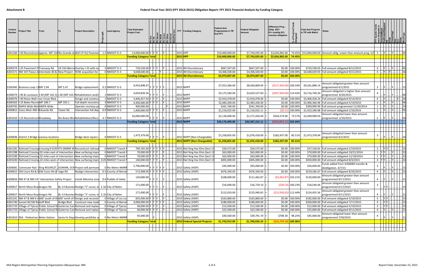| Control<br><b>Number</b> | <b>Project Title</b>                           | From |          | <b>Project Description</b>                                                                                                                                                    | Lead Agency          | <b>Total Estimated</b><br><b>Project Cost</b>                                                            |             |  | FFY Funding Category                                                 | <b>Federal Amt</b><br><b>Programmed in TIP</b><br><b>End FFY</b> | <b>Federal Obligated</b><br>Amount | Difference Prog -<br>Oblig KEY:<br>$$1=$ unoblig $($1)$<br>=excess obligation | Prog<br>Prog<br>৳                | <b>Total Amt Prog'md</b><br>in TIP with Match  | <b>Notes</b>                                                                                               |                |                    |                        |                      |
|--------------------------|------------------------------------------------|------|----------|-------------------------------------------------------------------------------------------------------------------------------------------------------------------------------|----------------------|----------------------------------------------------------------------------------------------------------|-------------|--|----------------------------------------------------------------------|------------------------------------------------------------------|------------------------------------|-------------------------------------------------------------------------------|----------------------------------|------------------------------------------------|------------------------------------------------------------------------------------------------------------|----------------|--------------------|------------------------|----------------------|
|                          |                                                |      |          |                                                                                                                                                                               |                      |                                                                                                          |             |  |                                                                      |                                                                  |                                    |                                                                               |                                  |                                                |                                                                                                            |                |                    |                        |                      |
|                          |                                                |      |          |                                                                                                                                                                               |                      |                                                                                                          |             |  |                                                                      |                                                                  |                                    |                                                                               |                                  |                                                |                                                                                                            |                |                    |                        |                      |
|                          |                                                |      |          | A301260   I-40 Reconstruct approx. MP 154 Rio Grande at (Ref CP-91) Pavemer                                                                                                   | 1.5 NMDOT D-3        | 13,000,000.00 Y Y Y  Y                                                                                   |             |  | 2015 HPP                                                             | \$10,400,000.00                                                  | \$7,743,035.00                     | \$2,656,965.00                                                                |                                  |                                                | 74.45% $\vert$ \$13,000,000.00 Amount oblig. Lower than amount prog. 5/5 3                                 |                |                    |                        |                      |
|                          |                                                |      |          |                                                                                                                                                                               |                      | <b>Funding Category Total</b>                                                                            |             |  | $2015$ HPP                                                           | \$10,400,000.00                                                  | \$7,743,035.00                     | $ $ \$2,656,965.00 74.45%                                                     |                                  |                                                |                                                                                                            |                |                    |                        |                      |
|                          |                                                |      |          |                                                                                                                                                                               |                      |                                                                                                          |             |  |                                                                      |                                                                  |                                    |                                                                               |                                  |                                                |                                                                                                            |                |                    |                        |                      |
|                          | A300374 I-25 Pavement PITramway Rd.            |      |          | US 550 (Berna Overlay I-25 with no                                                                                                                                            | 5 NMDOT D-3          | 720,539.00 Y Y Y J. Y                                                                                    |             |  | 2015 IM-Discretionary                                                | \$667,507.00                                                     | \$667,507.00                       |                                                                               | \$0.00 100.00%                   |                                                | \$720,538.65 Full amount obligated 8/12/2015                                                               | 4              |                    | Y        05            |                      |
|                          |                                                |      |          | A301571 NM 347 Paseo deInterstate 40 & New Project ROW acqusition for                                                                                                         | 0 NMDOT D-3          | 4,648,640.00                                                                                             |             |  | 2015 IM-Discretionary                                                | \$4,306,500.00                                                   | \$4,306,500.00                     |                                                                               | \$0.00 100.00%                   |                                                | \$4,648,639.93 Full amount obligated 9/21/2015                                                             | 4              |                    | .  Y    Y           16 |                      |
|                          |                                                |      |          |                                                                                                                                                                               |                      | <b>Funding Category Total</b>                                                                            |             |  | <b>2015 IM-Discretionary</b>                                         | \$4,974,007.00                                                   | \$4,974,007.00                     |                                                                               | $$0.00$   100.00%                |                                                |                                                                                                            |                |                    |                        |                      |
|                          |                                                |      |          |                                                                                                                                                                               |                      |                                                                                                          |             |  |                                                                      |                                                                  |                                    |                                                                               |                                  |                                                |                                                                                                            |                |                    |                        |                      |
|                          | 3100340   Business Loop 13 MP 2.94             |      | MP 3.47  | Bridge replacement.                                                                                                                                                           | $0.2$ NMDOT D-3      | 9,433,898.47                                                                                             | Y Y Y Y Y Y |  | 2015 NHPP                                                            | \$7,913,366.00                                                   | \$8,430,809.00                     |                                                                               |                                  | $(\frac{2517}{443.00})$ 106.54% \$9,261,898.14 | Amount obligated greater than amount<br>programmed 4/1/2015                                                | 3              |                    | .  Y      Y        11  |                      |
|                          |                                                |      |          | A300074  I-40 & Louisiana  I-40 (MP 162.5) I-40 (MP 163. Rehabilitation and/                                                                                                  | 1 NMDOT D-3          | 4,659,839.26                                                                                             |             |  | 2015 NHPP                                                            | \$3,175,583.00                                                   | \$3,633,527.00                     | $(S457, 944.00)$ 114.42%                                                      |                                  | \$3,716,740.30                                 | Amount obligated is higher than amount<br>programmed. 8/20/2015                                            |                |                    |                        | 06                   |
|                          | A300076   I-40 Noise Wall near Unser Blvd.     |      |          | Design and construc                                                                                                                                                           | 1 NMDOT D-3          | 3,406,457.56 Y Y Y                                                                                       |             |  | 2015 NHPP                                                            | \$2,910,478.00                                                   | \$2,910,478.00                     |                                                                               | \$0.00 100.00%                   |                                                | \$3,406,458.24 Full amount obligated 9/14/2015                                                             |                |                    |                        | Y  20                |
|                          | A300363   I-25 Belen Recon MP 189.7            |      | MP 193.1 | Full depth reconstru                                                                                                                                                          | 3 NMDOT D-3          | 4,300,000.00 Y Y                                                                                         |             |  | 2015 NHPP                                                            | \$2,483,200.00                                                   | \$2,483,200.00                     |                                                                               | \$0.00 100.00%                   |                                                | \$2,906,366.96 Full amount obligated 5/19/2015                                                             | 3              |                    | Y                      | . 06                 |
|                          | A300795 AMPA Wide Mot AMPA Wide                |      |          | Operate courtesy pa                                                                                                                                                           | 0 NMDOT D-3          | 400,000.00                                                                                               |             |  | 2015 NHPP                                                            | \$341,760.00                                                     | \$341,760.00                       |                                                                               | \$0.00 100.00%                   |                                                | \$399,999.99 Full amount programmed 11/20/2014                                                             |                |                    |                        | $\lceil . \rceil$ 24 |
|                          | A300815 Coors Blvd: NM 4Eduardo Rd             |      | Tower Rd | Intersection full dep                                                                                                                                                         | 0.9 NMDOT D-3        | 1,400,000.00 Y Y Y J. Y                                                                                  |             |  | 2015 NHPP                                                            | \$1,216,022.00                                                   | \$1,216,022.11                     |                                                                               | $(50.11) 100.00\%$               |                                                | \$1,423,246.68 Full amount obligated 1/16/2015                                                             | 2              |                    | Y  I                   | .  05                |
|                          | A301010 I-25 Reconstructi Broadway             |      |          | Rio Bravo Blyd Rehabilitation/Reco                                                                                                                                            | 4.7 NMDOT D-3        | 26,000,000.00                                                                                            |             |  | 2015 NHPP                                                            | \$2,136,000.00                                                   | \$1,571,426.00                     | \$564,574.00 73.57%                                                           |                                  | \$2,499,999.93                                 | Amount obligated lower than amount<br>programmed. 2/19/2015                                                | $\mathbf{2}$   |                    |                        |                      |
|                          |                                                |      |          |                                                                                                                                                                               |                      | <b>Funding Category Total</b>                                                                            |             |  | <b>2015 NHPP</b>                                                     | \$20,176,409.00                                                  | \$20,587,222.11                    | $(5410,813.11)$ 102.04%                                                       |                                  |                                                |                                                                                                            |                |                    |                        |                      |
|                          |                                                |      |          |                                                                                                                                                                               |                      |                                                                                                          |             |  |                                                                      |                                                                  |                                    |                                                                               |                                  |                                                |                                                                                                            |                |                    |                        |                      |
|                          | A300696 District 3 Bridge Ivarious locations   |      |          | Bridge deck repairs                                                                                                                                                           | 0 NMDOT D-3          | 1,473,379.00                                                                                             |             |  | 2015 NHPP (Non-Chargeable)                                           | \$1,258,855.00                                                   | \$1,076,418.00                     | \$182,437.00                                                                  |                                  | 85.51% \$1,473,378.94                          | Amount obligated lower than amount<br>programmed 4/2/2015                                                  |                |                    |                        |                      |
|                          |                                                |      |          |                                                                                                                                                                               |                      | <b>Funding Category Total</b>                                                                            |             |  | 2015 NHPP (Non-Chargeable)                                           | \$1,258,855.00                                                   | \$1,076,418.00                     | $$182,437.00$ 85.51%                                                          |                                  |                                                |                                                                                                            |                |                    |                        |                      |
|                          |                                                |      |          |                                                                                                                                                                               |                      |                                                                                                          |             |  |                                                                      |                                                                  |                                    |                                                                               |                                  |                                                |                                                                                                            |                |                    |                        |                      |
|                          |                                                |      |          | A301281 Railroad Crossing Crossing # 019397V (NMRX M Reconstruct railroad                                                                                                     | 0 NMDOT Transit      | 790,765.00 Y Y Y Y Y                                                                                     |             |  | 2015 Rail Xing Haz Elim (Sect 13                                     | \$34,572.00                                                      | \$34,572.00                        |                                                                               | \$0.00 100.00%                   |                                                | \$37,318.65 Full amount obligated 2/19/2015                                                                | $2^{\circ}$    |                    |                        | 15                   |
|                          |                                                |      |          | A301288 Railroad Crossing 02 miles east of intersection New surfacing impre                                                                                                   | 0 NMDOT Transit F    | 70,000.00 Y Y                                                                                            |             |  | 2015 Rail Xing Haz Elim (Sect 13                                     | \$63,000.00                                                      | \$63,000.00                        |                                                                               | \$0.00 100.00%                   |                                                | \$70,000.00 Full amount obligated 10/21/2014                                                               |                |                    |                        | 22                   |
|                          |                                                |      |          | A301289 Rialroad Crossing 02 miles east of intersection New surfacing impro<br>A301630 Railroad Crossing 22 miles west of intersection New surfacing impro 0.05 NMDOT Transit | 0 NMDOT Transit F    | 70,000.00 Y Y Y<br>140,000.00 Y Y Y .                                                                    |             |  | 2015 Rail Xing Haz Elim (Sect 13<br>2015 Rail Xing Haz Elim (Sect 13 | \$63,000.00<br>\$405,000.00                                      | \$63,000.00                        |                                                                               | \$0.00 100.00%<br>\$0.00 100.00% |                                                | \$70,000.00 Full amount obligated 12/18/2014                                                               | 4 YY.          |                    | Y.<br> Y        22     | 22                   |
|                          |                                                |      |          | A300081 Commuter Rail: IXing #019452T, 019449K, 019 Project will perman                                                                                                       | 0 Rio Metro NMRF     | 2,700,000.00                                                                                             |             |  | 2015 Safety (HSIP)                                                   | \$45,000.00                                                      | \$405,000.00<br>\$45,000.00        |                                                                               | \$0.00 100.00%                   | \$50,000.00                                    | \$450,000.00 Full amount obligated 8/3/2015<br>Funds added from A300083 transfer &<br>diobligation. 4/7/15 |                |                    | .  Y        21         |                      |
|                          | A300652 Old Coors Rd & SOld Coors Rd @ Sage Rd |      |          | Realign intersection                                                                                                                                                          | 0.3 County of Bernal | 572,908.00 Y Y Y Y Y Y                                                                                   |             |  | 2015 Safety (HSIP)                                                   | \$476,340.00                                                     | \$476,340.00                       |                                                                               | \$0.00 100.00%                   |                                                | \$529,266.67 Full amount obligated 8/20/2015                                                               |                |                    | Y        21            |                      |
|                          |                                                |      |          | A300656   NM 47 & NM 147 Intersection Safety Project   Install dilemma zone 0.4   Pueblo of Isleta                                                                            |                      | 120,000.00 $\vert$ Y $\vert$ Y $\vert$ Y $\vert$                                                         |             |  | 2015 Safety (HSIP)                                                   | \$108,000.00                                                     | \$111,462.87                       | $(53,462.87)$ 103.21%                                                         |                                  | \$120,000.00                                   | Amount obligated greater than amount<br>programmed 9/17/2015                                               | 4              |                    | Y      Y        21     |                      |
|                          | A300657 North Mesa RoadAragon Rd               |      |          | BL-13 Busines Realign "S" curve; in 2.16 City of Belen                                                                                                                        |                      | 171,000.00 $\left \gamma\right \left \gamma\right \left \gamma\right $                                   |             |  | 2015 Safety (HSIP)                                                   | \$16,690.00                                                      | $$16,729.10$ =                     |                                                                               | $( $39.10)$ 100.23%              | \$18,544.44                                    | Amount obligated greater than amount<br>programmed 6/17/2015                                               |                |                    | .  Y  Y             15 |                      |
|                          | A300657 North Mesa RoadAragon Rd               |      |          | BL-13 Busines Realign "S" curve; in 2.16 City of Belen                                                                                                                        |                      | 171,000.00 $\vert$ <sub>Y</sub> $\vert$ <sub>Y</sub> $\vert$ <sub>Y</sub> $\vert$ <sub>Y</sub> $\vert$ . |             |  | 2015 Safety (HSIP)                                                   | \$112,010.00                                                     | \$125,940.65                       | $(513,930.65)$ 112.44%                                                        |                                  | \$124,455.56                                   | Amount obligated greater than amount<br>programmed 9/11/2015                                               | 4              |                    | Y      Y        21     |                      |
|                          |                                                |      |          | A301241 NM 47 & NM 6 In 600' south of th 600' north of Design and reconstr                                                                                                    | 0 Village of Los Lur | 835,000.00 Y Y Y  Y                                                                                      |             |  | 2015 Safety (HSIP)                                                   | \$163,800.00                                                     | \$163,800.00                       |                                                                               | \$0.00 100.00%                   |                                                | \$182,000.00 Full amount obligated 5/19/2015                                                               | 3              | Y  Y    .          |                        | $\vert \vert 15$     |
|                          | A301740 Sunset Rd SW RdGoff Blvd               |      |          | Bridge Blvd Construct new road                                                                                                                                                | 0 County of Bernal   | 4,000,000.00 Y Y Y Y Y                                                                                   |             |  | 2015 Safety (HSIP)                                                   | \$180,000.00                                                     | \$180,000.00                       |                                                                               | \$0.00 100.00%                   |                                                | \$200,000.00 Full amount obligated 7/17/2015                                                               | 4              |                    | Y  Y            15     |                      |
|                          |                                                |      |          | A301750 Village of Tijeras Public School ReGutierrez Can Removal and replac                                                                                                   | 0 Village of Tijeras | 40,000.00 Y Y Y  Y                                                                                       |             |  | 2015 Safety (HSIP)                                                   | \$13,500.00                                                      | \$13,500.00                        |                                                                               | \$0.00 100.00%                   |                                                | \$15,000.00 Full amount obligated 5/19/2015                                                                | $\overline{3}$ | $Y$ $\overline{Y}$ |                        | 15                   |
|                          |                                                |      |          | A301750 Village of Tijeras Public School RdGutierrez Can Removal and replac                                                                                                   | 0 Village of Tijeras | 40,000.00 Y Y Y  Y                                                                                       |             |  | 2015 Safety (HSIP)                                                   | \$22,500.00                                                      | \$22,500.00                        |                                                                               | \$0.00 100.00%                   |                                                | \$25,000.00 Full amount obligated 9/11/2015                                                                | 4              |                    | Y      Y        21     |                      |
|                          |                                                |      |          | A301810 RSA - Pedestrian Belen Station Santa Fe Dep Develop ped/bike sa                                                                                                       | 0 Rio Metro NMRR     | 45,000.00                                                                                                |             |  | 2015 Safety (HSIP)                                                   | \$40,500.00                                                      | $$39,791.70$ =                     |                                                                               | \$708.30 98.25%                  | \$45,000.00                                    | Amount obligated lower than amount<br>programmed 7/30/2015                                                 |                |                    | Y        21            |                      |
|                          |                                                |      |          |                                                                                                                                                                               |                      | <b>Funding Category Total</b>                                                                            |             |  | <b>2015 Federal Special Projects</b>                                 | \$1,743,912.00                                                   | \$1,760,636.33                     | (516, 724.33) 100.96%                                                         |                                  |                                                |                                                                                                            |                |                    |                        |                      |
|                          |                                                |      |          |                                                                                                                                                                               |                      |                                                                                                          |             |  |                                                                      |                                                                  |                                    |                                                                               |                                  |                                                |                                                                                                            |                |                    |                        |                      |
|                          |                                                |      |          |                                                                                                                                                                               |                      |                                                                                                          |             |  |                                                                      |                                                                  |                                    |                                                                               |                                  |                                                |                                                                                                            |                |                    |                        |                      |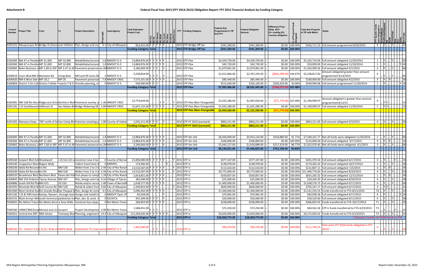| Control<br><b>Number</b> | <b>Project Title</b>                              | From |                        | Project Description                                                                                                                                        | ead Agency                                | <b>Total Estimated</b><br>Project Cost                                     |  | FFY Funding Category                 | <b>Federal Amt</b><br>Programmed in TIP<br>End FFY | <b>Federal Obligated</b><br>Amount | Difference Prog -<br>Oblig KEY:<br>$$1=$ unoblig $($1)$<br>=excess obligation | of Prog'r<br>""rated                       | <b>Total Amt Prog'md</b><br>in TIP with Match | Notes                                                                                            |                                                                                       |             |                                         |                 |
|--------------------------|---------------------------------------------------|------|------------------------|------------------------------------------------------------------------------------------------------------------------------------------------------------|-------------------------------------------|----------------------------------------------------------------------------|--|--------------------------------------|----------------------------------------------------|------------------------------------|-------------------------------------------------------------------------------|--------------------------------------------|-----------------------------------------------|--------------------------------------------------------------------------------------------------|---------------------------------------------------------------------------------------|-------------|-----------------------------------------|-----------------|
|                          |                                                   |      |                        | A301552 Albuquerque Bri Bridge St (Aveniover William SPlan, design and con                                                                                 | 0.1 City of Albuquero                     | 853,422.00 Y Y Y Y Y Y                                                     |  | 2015 STP-Bridge Off Sys              | \$341,369.00                                       | \$341,369.00                       |                                                                               | \$0.00 100.00%                             |                                               | \$426,711.25 Full amount programmed 8/20/2015                                                    |                                                                                       |             |                                         |                 |
|                          |                                                   |      |                        |                                                                                                                                                            |                                           | <b>Funding Category Total</b>                                              |  | 2015 STP-Bridge Off Sys              | \$341,369.00                                       | \$341,369.00                       |                                                                               | $$0.00$ 100.00%                            |                                               |                                                                                                  |                                                                                       |             |                                         |                 |
|                          |                                                   |      |                        |                                                                                                                                                            |                                           |                                                                            |  |                                      |                                                    |                                    |                                                                               |                                            |                                               |                                                                                                  |                                                                                       |             |                                         |                 |
|                          | 3100300 NM 47 in Peralta MP 31.000                |      |                        |                                                                                                                                                            |                                           |                                                                            |  | 2015 STP-Flex                        |                                                    |                                    |                                                                               |                                            |                                               |                                                                                                  |                                                                                       |             |                                         |                 |
|                          | 3100300   NM 47 in Peralta MP 31.000              |      | MP 32.800<br>MP 32.800 | Rehabilitate/reconst<br>Rehabilitate/reconst                                                                                                               | $1.8$ NMDOT D-3<br>$1.8$ NMDOT D-3        | 13,884,876.00 Y Y Y Y Y<br>13,884,876.00 Y Y Y Y Y                         |  | 2015 STP-Flex                        | \$4,359,759.00<br>\$42,720.00                      | \$4,359,759.00<br>\$42,720.00      |                                                                               | $$0.00 \,   \, 100.00\%$<br>\$0.00 100.00% |                                               | \$5,102,714.04 Full amount obligated 11/20/2014<br>\$50,000.00 Full amount obligated 11/20/2014  |                                                                                       |             |                                         | $\vert$ 03      |
|                          |                                                   |      |                        | 3100460 Belen Business L(MP 2.68 to MP   MP 3.47 to M Pavement preservation (MNMDOT D-3                                                                    |                                           | 3,186,069.00 Y Y Y  Y                                                      |  | 2015 STP-Flex                        | \$1,079,961.00                                     | \$1,079,961.00                     |                                                                               | \$0.00 100.00%                             |                                               | \$1,263,999.26 Full amount obligated 4/1/2015                                                    | $\overline{3}$<br>. IY I I                                                            |             | Y                                       | .06             |
|                          |                                                   |      |                        |                                                                                                                                                            |                                           |                                                                            |  |                                      |                                                    |                                    |                                                                               |                                            |                                               | Amount obligated greater than amount                                                             |                                                                                       |             |                                         |                 |
|                          | A300016 Coors Blvd:NM 4 Montano Rd.               |      | Irving Blvd.           | Mill and fill Coors Bl                                                                                                                                     | 3 NMDOT D-3                               | 3,238,818.00                                                               |  | 2015 STP-Flex                        | \$1,912,846.00                                     | \$2,767,245.00                     | $( $854, 399.00)$ 144.67%                                                     |                                            | \$2,238,817.82                                | programmed 9/14/2015                                                                             |                                                                                       |             |                                         | 05              |
|                          | A300420 NM 6 West Side MP 18.2                    |      | <b>MP 26</b>           | Pavement preservat                                                                                                                                         | 7.8 NMDOT CRDC                            | 7,575,101.00 Y Y Y Y Y                                                     |  | 2015 STP-Flex                        | \$85,440.00                                        | \$85,440.00                        |                                                                               | \$0.00 100.00%                             |                                               | \$100,000.00 Full amount obligated 4/2/2015                                                      |                                                                                       |             |                                         | 16              |
|                          |                                                   |      |                        | A300804 District 3 On-Call District 3 Wide Projects T.B.D. Provide planning, e                                                                             | 0 NMDOT D-3                               | 500,000.00 Y Y Y                                                           |  | 2015 STP-Flex                        | \$512,640.00                                       | \$256,320.00                       | \$256,320.00 50.00%                                                           |                                            |                                               | \$599,999.98 Full amount programmed 11/20/2014                                                   |                                                                                       |             |                                         | Y 18            |
|                          |                                                   |      |                        |                                                                                                                                                            |                                           | <b>Funding Category Total</b>                                              |  | 2015 STP-Flex                        | \$7,993,366.00                                     | \$8,591,445.00                     | (\$598,079.00) 107.48%                                                        |                                            |                                               |                                                                                                  |                                                                                       |             |                                         |                 |
|                          |                                                   |      |                        |                                                                                                                                                            |                                           |                                                                            |  |                                      |                                                    |                                    |                                                                               |                                            |                                               |                                                                                                  |                                                                                       |             |                                         |                 |
|                          |                                                   |      |                        |                                                                                                                                                            |                                           |                                                                            |  |                                      |                                                    |                                    |                                                                               |                                            |                                               | Amount obligated is greater than amount                                                          |                                                                                       |             |                                         |                 |
|                          |                                                   |      |                        | A300381 NM 528 Rio RandRidgecrest Dr/L(Northern BlvdPavement overlay a 1.46 NMDOT CRDC                                                                     |                                           | 15,774,634.00                                                              |  | Y 2015 STP-Flex (Non-Chargeable      | \$1,025,280.00                                     | \$1,097,050.00                     | $(571,770.00)$ 107.00%                                                        |                                            | \$1,199,999.97                                | programmed 8/12/15                                                                               |                                                                                       | Y Y         |                                         |                 |
|                          | A301181   I-25 Southbound Jefferson St            |      |                        | San Mateo BlyBridge Widening SB 3.89 NMDOT CRDC                                                                                                            |                                           | 15,647,132.00 Y Y                                                          |  | 2015 STP-Flex (Non-Chargeable        | \$1,025,280.00                                     | \$1,025,280.00                     |                                                                               | \$0.00 100.00%                             |                                               | \$1,199,999.97 Full amount obligated 11/20/2014                                                  |                                                                                       |             |                                         |                 |
|                          |                                                   |      |                        |                                                                                                                                                            |                                           | <b>Funding Category Total</b>                                              |  | <b>2015 STP-Flex (Non-Chargeable</b> | \$2,050,560.00                                     | \$2,122,330.00                     | (\$71,770.00) 103.50%                                                         |                                            |                                               |                                                                                                  |                                                                                       |             |                                         |                 |
|                          |                                                   |      |                        |                                                                                                                                                            |                                           |                                                                            |  |                                      |                                                    |                                    |                                                                               |                                            |                                               |                                                                                                  |                                                                                       |             |                                         |                 |
|                          |                                                   |      |                        |                                                                                                                                                            |                                           |                                                                            |  |                                      |                                                    |                                    |                                                                               |                                            |                                               |                                                                                                  |                                                                                       |             |                                         |                 |
|                          |                                                   |      |                        | A301391 Manzano Exwy 700' north of SqVan Camp Blv Pulverize exsisting p 1.89 County of Valenc                                                              |                                           | 1,035,211.00 Y Y Y  Y                                                      |  | 2015 STP-FY 2010 (earmark)           | \$863,211.00                                       | \$863,211.00<br>\$863,211.00       |                                                                               | \$0.00 100.00%                             |                                               | \$863,211.00 Full amount obligated 9/3/2015                                                      | $\overline{4}$                                                                        |             |                                         |                 |
|                          |                                                   |      |                        |                                                                                                                                                            |                                           | <b>Funding Category Total</b>                                              |  | <b>2015 STP-FY 2010 (earmark)</b>    | \$863,211.00                                       |                                    |                                                                               | $\frac{100,000}{100,0000}$                 |                                               |                                                                                                  |                                                                                       |             |                                         |                 |
|                          |                                                   |      |                        |                                                                                                                                                            |                                           |                                                                            |  |                                      |                                                    |                                    |                                                                               |                                            |                                               |                                                                                                  |                                                                                       |             |                                         |                 |
|                          | 3100300 NM 47 in Peralta MP 31.000                |      | MP 32.800              | Rehabilitate/reconst                                                                                                                                       | $1.8$ NMDOT D-3                           | 13,884,876.00 Y Y Y Y Y                                                    |  | 2015 STP-Sm Urb                      | \$6,450,004.00                                     | \$5,915,124.00                     | \$534,880.00 91.71%                                                           |                                            |                                               | \$7,549,161.77 Not all funds were obligated 11/20/2014                                           |                                                                                       |             |                                         | $\therefore$ 03 |
|                          | 3100300 NM 47 in Peralta MP 31.000                |      | MP 32.800              | Rehabilitate/reconst                                                                                                                                       | 1.8 NMDOT D-3                             | 13,884,876.00 Y Y Y Y Y                                                    |  | 2015 STP-Sm Urb                      | \$106,800.00                                       | \$106,800.00                       |                                                                               | \$0.00 100.00%                             |                                               | \$125,000.00 Full amount obligated 9/17/2015                                                     |                                                                                       |             |                                         | .  16           |
|                          |                                                   |      |                        | 3100460 Belen Business L(MP 2.68 to MP   MP 3.47 to M Pavement preservation (MNMDOT D-3                                                                    |                                           | 3,186,069.00 Y Y Y                                                         |  | 2015 STP-Sm Urb                      | \$1,642,217.00                                     | \$1,424,898.00                     | \$217,319.00                                                                  | 86.77%                                     |                                               | \$1,922,070.40 Not all funds were obligated. 4/1/2015                                            | 3                                                                                     |             |                                         | .  06           |
|                          |                                                   |      |                        |                                                                                                                                                            |                                           | <b>Funding Category Total</b>                                              |  | $ 2015 $ STP-Sm Urb                  | \$8,199,021.00                                     | \$7,446,822.00                     | \$752,199.00 90.83%                                                           |                                            |                                               |                                                                                                  |                                                                                       |             |                                         |                 |
|                          |                                                   |      |                        |                                                                                                                                                            |                                           |                                                                            |  |                                      |                                                    |                                    |                                                                               |                                            |                                               |                                                                                                  |                                                                                       |             |                                         |                 |
|                          | A300160 Sunport Blvd Ext Woodward                 |      |                        | I-25 Exit 221 a Construct new 4 lan                                                                                                                        | 0 County of Bernal                        | 21,000,000.00 Y Y Y Y Y                                                    |  | 2015 STP-U                           | \$377,107.00                                       | \$377,107.00                       |                                                                               | \$0.00 100.00%                             |                                               | \$441,370.54 Full amount obligated 6/17/2015                                                     | 3                                                                                     |             |                                         |                 |
|                          | A300185 Congestion Mana Region Wide               |      |                        | Collect travel time o                                                                                                                                      | 0 MRMPO                                   | 174,366.00                                                                 |  | 2015 STP-U                           | \$148,978.00                                       | \$148,978.00                       |                                                                               | \$0.00 100.00%                             |                                               | \$174,365.63 Full amount obligated 10/27/2014                                                    |                                                                                       |             |                                         | . 18            |
|                          | A300200 Idalia Rd Reconsilris Rd                  |      | <b>NM 528</b>          | Widen from 2 to 3 la 2.44 City of Rio Ranch                                                                                                                |                                           | 13,510,587.00 Y Y                                                          |  | 2015 STP-U                           | \$112,616.00                                       | \$112,616.00                       |                                                                               | \$0.00 100.00%                             |                                               | \$131,807.11 Full amount obligated 5/5/2015                                                      |                                                                                       |             |                                         |                 |
|                          | A300200 Idalia Rd Reconstiris Rd                  |      | <b>NM 528</b>          | Widen from 2 to 3 la 2.44 City of Rio Ranch                                                                                                                |                                           | 13,510,587.00 Y Y Y Y Y Y                                                  |  | 2015 STP-U                           | \$9,775,000.00                                     | \$9,775,000.00                     |                                                                               |                                            |                                               | \$0.00   100.00%   \$11,440,776.83   Full amount obligated 8/20/2015                             | 4                                                                                     | .  Y      Y |                                         | 03              |
|                          |                                                   |      |                        | A300520 Broadmoor Blvd Northern Blvd Paseo del VoltFirst phase to compl 1.24 City of Rio Ranch                                                             |                                           | 5,814,851.00 Y Y Y Y Y V                                                   |  | 2015 STP-U                           | \$559,857.00                                       | \$559,857.00                       |                                                                               | \$0.00 100.00%                             |                                               | \$655,263.32 Full amount obligated 12/15/2014                                                    | 1                                                                                     |             | Y    Y      .                           | . . 16          |
|                          | A300843   NM 333 Pedestri Tijeras Avenue   NM 337 |      |                        | Plan, Design and Col 0.16 Village of Tijeras                                                                                                               |                                           | 382,048.00 Y Y Y Y Y .                                                     |  | 2015 STP-U                           | \$25,000.00                                        | \$25,000.00                        |                                                                               | \$0.00 100.00%                             |                                               | \$29,260.30 Full amount obligated 8/20/2015                                                      | 4                                                                                     |             | Y      Y                                | $\ldots$ 28     |
|                          | A300880 South Hill Rd PhaNM 473                   |      | <b>US 550</b>          | Rehab and/or recon 1.48 Town of Bernalil                                                                                                                   |                                           | 1,638,577.00 Y Y Y Y Y                                                     |  | 2015 STP-U                           | \$1,400,000.00                                     | \$1,400,000.00                     |                                                                               | \$0.00 100.00%                             |                                               | \$1,638,576.73 Full amount obligated 9/17/2015                                                   | 4                                                                                     |             | Y   Y                                   | $\cdot$ 04      |
|                          | A301050 Westside Blvd WGolf Course Rd NM 528      |      |                        | Rehab & widen from 0.82 City of Albuquer                                                                                                                   |                                           | 2,340,824.00 Y Y Y                                                         |  | Y 2015 STP-U                         | \$600,000.00                                       | \$600,000.00                       |                                                                               | \$0.00 100.00%                             |                                               | \$702,247.17 Full amount obligated 6/17/2015                                                     | 3                                                                                     |             | .  Y  Y            15                   |                 |
|                          |                                                   |      |                        | A301060 West Central AveRio Grande RiveSan Pasqual APlan, design & const<br>A301182   I-25 & PdN Interd Ramps, flyovers, through lane Design and install t | 4.5 City of Albuquero<br>0 NMDOT Oper./IT | 5,096,442.00 Y Y Y Y Y Y<br>83,058.00                                      |  | 2015 STP-U<br>2015 STP-U             | \$1,300,000.00<br>\$70,965.00                      | \$1,300,000.00<br>\$70,965.00      |                                                                               | \$0.00 100.00%<br>\$0.00 100.00%           |                                               | \$1,521,535.54 Funds transferred to FTA 8/21/2015<br>\$83,058.28 Full amount obligated 9/17/2015 | T4<br>4                                                                               |             | $ Y $ $ N $ $  $ . 23                   | . Y 24          |
|                          |                                                   |      |                        | A301531 Black Arroyo Wil south terminus pedestrian traPlan, des. & const.                                                                                  | 0 SSCAFCA                                 | 491,309.00 Y Y Y  Y                                                        |  | 2015 STP-U                           | \$50,000.00                                        | \$50,000.00                        |                                                                               | \$0.00 100.00%                             |                                               | \$58,520.60 Full amount obligated $9/11/2015$                                                    | $\overline{4}$<br>. IY I                                                              |             | Y                                       | $\vert$ 28      |
|                          |                                                   |      |                        | TA00035 Rio Metro Transi Rio Metro Service Area Wide Construct bus stops                                                                                   | 0 Rio Metro Transi                        | 266,854.00 Y Y Y Y Y Y                                                     |  | 2015 STP-U                           | \$228,000.00                                       | \$228,000.00                       |                                                                               | \$0.00 100.00%                             |                                               | \$266,853.93 Funds transferred to FTA 10/17/2014                                                 | T1    Y      Y        23                                                              |             |                                         |                 |
|                          |                                                   |      |                        |                                                                                                                                                            |                                           |                                                                            |  |                                      |                                                    |                                    |                                                                               |                                            |                                               |                                                                                                  |                                                                                       |             |                                         |                 |
|                          | TA00340 UNM/CNM/SungMenaul and Un Sunport         |      |                        | Project Developmen 3.98 Rio Metro Transi                                                                                                                   |                                           | 1,588,031.00 $\vert_{\mathsf{Y}}\vert_{\mathsf{Y}}\vert_{\mathsf{Y}}\vert$ |  | 2015 STP-U                           | \$72,250.00                                        | $$72,250.00$ =                     |                                                                               | $$0.00 \,   100.00\%$                      |                                               | \$84,562.26 STP-U funds transferred to FTA 4/23/2015                                             | T3                                                                                    |             | $\underline{ Y }  \underline{ Y }  15 $ |                 |
|                          | TA00351 Central Ave BRT 98th Street               |      |                        | Tramway Blvd Planning, engineerin 14.9 City of Albuquerd                                                                                                   |                                           | 121,569,626.00 Y Y Y Y Y Y Y                                               |  | 2015 STP-U                           | \$3,650,000.00                                     | \$3,650,000.00                     |                                                                               | \$0.00 100.00%                             |                                               | \$4,272,003.62 Funds transferred to FTA 6/19/2015                                                | $T3$ $\left   \left  Y \right   \left  N \right   \left   \right   \left  23 \right $ |             |                                         |                 |
|                          |                                                   |      |                        |                                                                                                                                                            |                                           | <b>Funding Category Total</b>                                              |  | 2015 STP-U                           | \$18,369,773.00                                    | \$18,369,773.00                    |                                                                               | $$0.00 100.00\%$                           |                                               | T Denotes Transfer of FHWA funds to FTA                                                          |                                                                                       |             |                                         |                 |
|                          |                                                   |      |                        |                                                                                                                                                            |                                           | 1,367,040.00                                                               |  |                                      | \$95,476.00                                        | \$95,476.00                        |                                                                               | \$0.00 100.00%                             | \$111,746.25                                  | How were FFY 2016 funds obligated in FFY                                                         |                                                                                       |             |                                         |                 |
|                          |                                                   |      |                        | 300765  ITS - District 3 Del-25 & I-40 & otlAMPA Wide    Implement ITS Improveme NMDOT D-3                                                                 |                                           |                                                                            |  | 2016 STP-U                           |                                                    |                                    |                                                                               |                                            |                                               | 2015?                                                                                            |                                                                                       |             | $Y \dots Y \dots Y$                     |                 |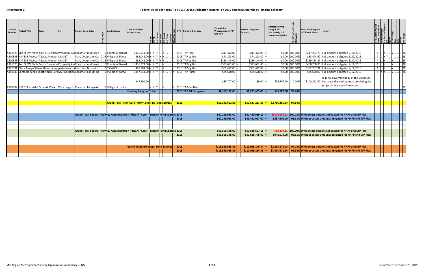| Control<br><b>Number</b> | Project Title                                 | From | <b>Project Description</b>                                                  | <b>Lead Agency</b>                                                                 | <b>Total Estimated</b><br><b>Project Cost</b>           |  |              | FFY Funding Category                 | <b>Federal Amt</b><br><b>Programmed in TIP</b><br>End FFY | <b>Federal Obligated</b><br>Amount                    | Difference Prog -<br>Oblig KEY:<br>$$1=$ unoblig $($1)$<br>=excess obligation |                | <b>Total Amt Prog'md</b><br>n TIP with Match | <b>Notes</b>                                                                                               |                  |                                                                              |                       |
|--------------------------|-----------------------------------------------|------|-----------------------------------------------------------------------------|------------------------------------------------------------------------------------|---------------------------------------------------------|--|--------------|--------------------------------------|-----------------------------------------------------------|-------------------------------------------------------|-------------------------------------------------------------------------------|----------------|----------------------------------------------|------------------------------------------------------------------------------------------------------------|------------------|------------------------------------------------------------------------------|-----------------------|
|                          |                                               |      |                                                                             |                                                                                    |                                                         |  |              |                                      |                                                           |                                                       |                                                                               |                |                                              |                                                                                                            |                  |                                                                              |                       |
|                          |                                               |      |                                                                             |                                                                                    |                                                         |  |              |                                      |                                                           |                                                       |                                                                               |                |                                              |                                                                                                            |                  |                                                                              |                       |
|                          |                                               |      |                                                                             |                                                                                    |                                                         |  |              |                                      |                                                           |                                                       |                                                                               |                |                                              |                                                                                                            |                  |                                                                              |                       |
|                          |                                               |      | A301520 2nd St SW (Valle South Diversion Prosperity AveConstruct mult-use   | 0 County of Bernal                                                                 | 1,436,379.00 Y Y Y  Y                                   |  |              | 2015 TAP-Flex                        | \$211,322.00                                              | \$211,322.00                                          |                                                                               | \$0.00 100.00% |                                              | \$247,333.79 Full amount obligated 9/11/2015                                                               |                  |                                                                              | $\lrcorner$ 28        |
|                          | A300843 NM 333 Pedestri Tijeras Avenue NM 337 |      |                                                                             | Plan, Design and Col 0.16 Village of Tijeras                                       | 382,048.00 Y Y Y Y Y Y                                  |  |              | 2015 TAP-Lg Urb                      | \$71,278.00                                               | \$71,278.00                                           |                                                                               | \$0.00 100.00% |                                              | \$83,424.62 Full amount obligated 1/22/2015                                                                |                  | . <mark>Y Y</mark> <mark>.</mark> .                                          | $\lfloor .15 \rfloor$ |
|                          | A300843 NM 333 Pedestri Tijeras Avenue NM 337 |      |                                                                             | Plan, Design and Col 0.16 Village of Tijeras                                       | 382,048.00 Y Y Y Y Y .                                  |  |              | 2015 TAP-Lg Urb                      | \$230,144.00                                              | \$230,144.00                                          |                                                                               | \$0.00 100.00% |                                              | \$269,363.29 Full amount obligated 8/20/2015                                                               |                  |                                                                              | $\frac{28}{1}$        |
|                          |                                               |      | A301520 2nd St SW (Valle South Diversion Prosperity AveConstruct mult-use   | 0 County of Bernal                                                                 | $1,436,379.00$ Y Y Y  Y                                 |  |              | 2015 TAP-Lg Urb                      | \$393,681.00                                              | \$393,681.00                                          |                                                                               | \$0.00 100.00% |                                              | \$460,768.95 Full amount obligated 9/11/2015                                                               |                  | $\cdot \underline{\left  \dots \right }$ $\mathsf{Y}$ $\left  \dots \right $ | 28                    |
|                          |                                               |      | A301531 Black Arroyo Willsouth terminus pedestrian traPlan, des. & const.   | 0 SSCAFCA                                                                          | 491,309.00 Y Y Y  Y                                     |  |              | 2015 TAP-Lg Urb                      | \$301,422.00                                              | \$301,422.00                                          |                                                                               | \$0.00 100.00% |                                              | \$352,787.91 Full amount obligated 9/11/2015                                                               | $\overline{a}$   |                                                                              |                       |
|                          |                                               |      | A301540 Santo Domingo N Cattle grd E. of INMRX Station Construct a multi-us | 0 Pueblo of Santo                                                                  | 1,357,318.00 Y Y Y  Y                                   |  |              | Y 2015 TAP-Rural                     | \$75,638.00                                               | \$75,638.00                                           |                                                                               | \$0.00 100.00% |                                              | \$75,638.00 Full amount obligated 9/17/2015                                                                | 4  Y Y   Y    28 |                                                                              |                       |
|                          |                                               |      |                                                                             |                                                                                    |                                                         |  |              |                                      |                                                           |                                                       |                                                                               |                |                                              | R-15-09 governing body of the Village of                                                                   |                  |                                                                              |                       |
|                          |                                               |      |                                                                             |                                                                                    | 147,500.00                                              |  |              |                                      | \$85,707.00                                               | \$0.00                                                | \$85,707.00                                                                   | 0.00%          |                                              | $$100,312.50$ Los Lunas decided against completing the                                                     |                  |                                                                              |                       |
|                          |                                               |      |                                                                             |                                                                                    |                                                         |  |              |                                      |                                                           |                                                       |                                                                               |                |                                              | project in July council meeting                                                                            |                  |                                                                              |                       |
|                          |                                               |      | A300892 NM 314 & NM 6 Schmidt Place Vista Larga Dr Construct bike/ped       | 0 Village of Los Lur                                                               |                                                         |  |              | Y  Y  Y    Y      Y  2015 TAP-Sm Urb |                                                           |                                                       |                                                                               |                |                                              |                                                                                                            |                  |                                                                              |                       |
|                          |                                               |      |                                                                             |                                                                                    | <b>Funding Category Total</b>                           |  |              | 2015 TAP All Categories              | \$1,369,192.00                                            | \$1,283,485.00                                        | \$85,707.00 93.74%                                                            |                |                                              |                                                                                                            |                  |                                                                              |                       |
|                          |                                               |      |                                                                             |                                                                                    |                                                         |  |              |                                      |                                                           |                                                       |                                                                               |                |                                              |                                                                                                            |                  |                                                                              |                       |
|                          |                                               |      |                                                                             |                                                                                    |                                                         |  |              |                                      |                                                           |                                                       |                                                                               |                |                                              |                                                                                                            |                  |                                                                              |                       |
|                          |                                               |      |                                                                             |                                                                                    | <b>Grand Total "Non-Core" FHWA and FTA Fund Sources</b> |  | $\vert$ 2015 |                                      | \$53,393,692.86                                           | $\frac{1}{2}$ \$50,637,227.33 = \$2,756,465.54 94.84% |                                                                               |                |                                              |                                                                                                            |                  |                                                                              |                       |
|                          |                                               |      |                                                                             |                                                                                    |                                                         |  |              |                                      |                                                           |                                                       |                                                                               |                |                                              |                                                                                                            |                  |                                                                              |                       |
|                          |                                               |      |                                                                             |                                                                                    |                                                         |  |              |                                      |                                                           |                                                       |                                                                               |                |                                              |                                                                                                            |                  |                                                                              |                       |
|                          |                                               |      |                                                                             | Grand Total Federal Highway Administration (FHWA) "Core" Program Fund Sources 2015 |                                                         |  |              |                                      | \$60,259,933.00                                           | \$60,430,919.11                                       |                                                                               |                |                                              | (\$170,986.11) 100.28% With excess amounts obligated for NHPP and STP-Flex                                 |                  |                                                                              |                       |
|                          |                                               |      |                                                                             |                                                                                    |                                                         |  | $\vert$ 2015 |                                      | \$60.259.933.00                                           | \$59.422.027.00                                       |                                                                               |                |                                              | $\frac{1}{2}$ \$837,906.00 98.61% Without excess amounts obligated for NHPP and STP-Flex                   |                  |                                                                              |                       |
|                          |                                               |      |                                                                             |                                                                                    |                                                         |  |              |                                      |                                                           |                                                       |                                                                               |                |                                              |                                                                                                            |                  |                                                                              |                       |
|                          |                                               |      |                                                                             |                                                                                    |                                                         |  |              |                                      |                                                           |                                                       |                                                                               |                |                                              |                                                                                                            |                  |                                                                              |                       |
|                          |                                               |      |                                                                             | Grand Total Federal Highway Administration (FHWA) "Core" Program Fund Sources 2015 |                                                         |  |              |                                      | \$63,569,348.00                                           | \$63,629,667.11                                       |                                                                               |                |                                              | (\$60,319.11) 100.09% With excess amounts obligated for NHPP and STP-Flex                                  |                  |                                                                              |                       |
|                          |                                               |      |                                                                             |                                                                                    |                                                         |  | $\vert$ 2015 |                                      | \$63,569,348.00                                           | \$62,620,775.00                                       |                                                                               |                |                                              | \$948,573.00 98.51% Without excess amounts obligated for NHPP and STP-Flex                                 |                  |                                                                              |                       |
|                          |                                               |      |                                                                             |                                                                                    |                                                         |  |              |                                      |                                                           |                                                       |                                                                               |                |                                              |                                                                                                            |                  |                                                                              |                       |
|                          |                                               |      |                                                                             |                                                                                    |                                                         |  |              |                                      |                                                           |                                                       |                                                                               |                |                                              |                                                                                                            |                  |                                                                              |                       |
|                          |                                               |      |                                                                             |                                                                                    | Grand Total All Federal Fund Sources                    |  | $\vert$ 2015 |                                      | \$113,653,625.86                                          | \$111,068,146.44                                      |                                                                               |                |                                              | $\textsf{S}2,585,479.43$   97.73% With excess amounts obligated for NHPP and STP-Flex                      |                  |                                                                              |                       |
|                          |                                               |      |                                                                             |                                                                                    |                                                         |  | 2015         |                                      | \$113,653,625.86                                          | \$110,059,254.33                                      |                                                                               |                |                                              | $\left  \frac{1}{2} \right $ 33,594,371.54   96.84% Without excess amounts obligated for NHPP and STP-Flex |                  |                                                                              |                       |
|                          |                                               |      |                                                                             |                                                                                    |                                                         |  |              |                                      |                                                           |                                                       |                                                                               |                |                                              |                                                                                                            |                  |                                                                              |                       |
|                          |                                               |      |                                                                             |                                                                                    |                                                         |  |              |                                      |                                                           |                                                       |                                                                               |                |                                              |                                                                                                            |                  |                                                                              |                       |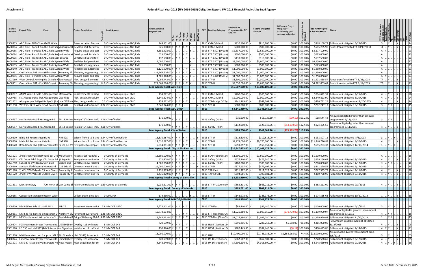| Control<br><b>Number</b> | roject Title                                        | From |               | <b>Project Description</b>                                                                            | <b>Lead Agency</b>                                | <b>Total Estimated</b><br>Project Cost           |             |  | <b>FFY</b><br><b>Funding Category</b> | <b>Federal Amt</b><br>Programmed in TIP<br><b>End FFY</b> | Federal Obligated<br>Amount    | Difference Prog<br>Oblig KEY:<br>$$1=$ unoblig $$1)$<br>=excess obligation |                      | <b>Total Amt Prog'md</b><br>in TIP with Match |                                                                                       |                |               |                                                      |                                                                                       |
|--------------------------|-----------------------------------------------------|------|---------------|-------------------------------------------------------------------------------------------------------|---------------------------------------------------|--------------------------------------------------|-------------|--|---------------------------------------|-----------------------------------------------------------|--------------------------------|----------------------------------------------------------------------------|----------------------|-----------------------------------------------|---------------------------------------------------------------------------------------|----------------|---------------|------------------------------------------------------|---------------------------------------------------------------------------------------|
|                          | A300735 ABQ Ride - TDM-Trav AMPA Wide               |      |               | <b>Transportation Deman</b>                                                                           | 0 City of Albuguergue-ABQ Ride                    | 948,151.00                                       |             |  | 2015 CMAQ-Mand                        | \$810,100.00                                              | \$810,100.00                   |                                                                            | \$0.00 100.00%       |                                               | \$948,150.72 Full amount obligated 5/22/2015                                          | 3 I.           | . IY          |                                                      |                                                                                       |
|                          |                                                     |      |               | A00084 ABQ Ride - Park & RidABQ Ride Servarious locat Develop park & ride fa                          | 0 City of Albuquerque-ABQ Ride                    | 625,000.00 Y                                     |             |  | 2015 CMAQ-Mand                        | \$500,000.00                                              | \$500,000.00                   |                                                                            | \$0.00 100.00%       |                                               | \$585,205.98   Funds transferred to FTA 10/17/2014                                    | $1T$           |               |                                                      |                                                                                       |
|                          | A00055 ABQ Ride - Vehicles & ABQ Ride System Wide   |      |               | Acquire buses and ass                                                                                 | 0 City of Albuquerque-ABQ Ride                    | 4,381,928.00                                     |             |  | 2015 FTA 5307 (Urban)                 | \$2,637,000.00                                            | \$2,637,000.00                 |                                                                            | \$0.00 100.00%       | \$3,177,109.00                                |                                                                                       | A Y            |               |                                                      |                                                                                       |
|                          |                                                     |      |               | A00084 ABQ Ride - Park & RidABQ Ride Servarious locat Develop park & ride fa                          | 0 City of Albuquerque-ABQ Ride                    | 625,000.00 Y                                     | IY IY IY    |  | 2015 FTA 5307 (Urban)                 | \$500,000.00                                              | \$500,000.00                   |                                                                            | \$0.00 100.00%       | \$625,000.00                                  |                                                                                       | $\overline{A}$ |               |                                                      |                                                                                       |
|                          | A00095 ABQ Ride - Transit En ABQ Ride Service Area  |      |               | Construct bus shelters                                                                                | 0 City of Albuquerque-ABQ Ride                    | 137,500.00                                       |             |  | 2015 FTA 5307 (Urban)                 | \$110,000.00                                              | \$110,000.00                   |                                                                            | \$0.00 100.00%       | \$137,500.00                                  |                                                                                       | $\overline{A}$ |               |                                                      |                                                                                       |
|                          | A00110 ABQ Ride - Transit PlaABQ Ride System Wide   |      |               | Facilities & Operations                                                                               | 0 City of Albuquerque-ABQ Ride                    | 9,000,000.00                                     |             |  | 2015 FTA 5307 (Urban)                 | \$3,600,000.00                                            | \$3,600,000.00                 |                                                                            | \$0.00 100.00%       | \$4,500,000.00                                |                                                                                       | A              |               |                                                      |                                                                                       |
|                          | A00135 ABQ Ride - Transit Te ABQ Ride System Wide   |      |               | Rehabilitate, upgrade                                                                                 | 0 City of Albuquerque-ABQ Ride                    | 625,000.00                                       |             |  | 2015 FTA 5307 (Urban)                 | \$500,000.00                                              | \$500,000.00                   |                                                                            | \$0.00 100.00%       | \$625,000.00                                  |                                                                                       | $\mathsf{A}$   |               |                                                      |                                                                                       |
|                          | A00140 ABQ Ride - Transit Fa ABQ Ride System Wide   |      |               | Rehabilitate & Remode                                                                                 | 0 City of Albuquerque-ABQ Ride                    | 3,125,000.00 Y                                   |             |  | 2015 FTA 5307 (Urban)                 | \$1,000,000.00                                            | \$1,000,000.00                 |                                                                            | \$0.00 100.00%       | \$1,250,000.00                                |                                                                                       | A              |               |                                                      |                                                                                       |
|                          |                                                     |      |               | A00351 Central Ave BRT - Pha98th Street Tramway Blv Planning, engineering,                            | 14.9 City of Albuquerque-ABQ Ride                 | 121,569,626.00\                                  |             |  | 2015 FTA 5307 (Urban)                 | \$1,000,000.00                                            | \$1,000,000.00                 |                                                                            | $$0.00$ 100.00%      | \$1,250,000.00                                |                                                                                       | $\mathsf{A}$   |               |                                                      |                                                                                       |
|                          | A00055 ABQ Ride - Vehicles & ABQ Ride System Wide   |      |               | Acquire buses and asso                                                                                | 0 City of Albuquerque-ABQ Ride                    | 4,381,928.00                                     |             |  | 2015 FTA 5339 (MAP-2:                 | \$1,000,000.00                                            | \$1,000,000.00                 |                                                                            | \$0.00 100.00%       | \$1,250,000.00                                |                                                                                       | A Y            |               |                                                      |                                                                                       |
|                          |                                                     |      |               | A301060   West Central Ave ImrRio Grande R San Pasqual / Plan, design & constru                       | 4.5 City of Albuquerque-ABQ Ride                  | 5,096,442.00 Y Y Y Y Y                           |             |  | 2015 STP-U                            | \$1,300,000.00                                            | \$1,300,000.00                 |                                                                            | $$0.00$ 100.00%      |                                               | \$1,521,535.54 Funds transferred to FTA 8/21/2015                                     | T4.            |               |                                                      |                                                                                       |
|                          |                                                     |      |               | A00351 Central Ave BRT - Pha98th Street Tramway Blv Planning, engineering,                            | 14.9 City of Albuquerque-ABQ Ride                 | 121,569,626.00 Y Y Y Y Y                         |             |  | 2015 STP-U                            | \$3,650,000.00                                            | \$3,650,000.00                 |                                                                            | \$0.00 100.00%       |                                               | \$4,272,003.62 Funds transferred to FTA 6/19/2015                                     | $T3$ .         |               |                                                      |                                                                                       |
|                          |                                                     |      |               |                                                                                                       |                                                   | Lead Agency Total: ABQ Ride                      |             |  | 2015                                  | \$16,607,100.00                                           | \$16,607,100.00                |                                                                            | $$0.00$   100.00%    |                                               |                                                                                       |                |               |                                                      |                                                                                       |
|                          |                                                     |      |               |                                                                                                       |                                                   |                                                  |             |  |                                       |                                                           |                                |                                                                            |                      |                                               |                                                                                       |                |               |                                                      |                                                                                       |
|                          |                                                     |      |               | A300707 AMPA Wide Bicycle F Albuquerque Metro Area  Improvements to bicyd                             | 0 City of Albuquerque-DMD                         | 234,082.00                                       |             |  | 2015 CMAQ-Mand                        | \$200,000.00                                              | \$200,000.00                   |                                                                            | \$0.00 100.00%       |                                               | \$234,082.39 Full amount obligated 8/21/2015                                          |                | 4 J. Y        |                                                      |                                                                                       |
|                          | A300755   ITS-Albuquerque TrafAlbuquerque City Wide |      |               | Plan, design, install, in                                                                             | 0 City of Albuquerque-DMD                         | 2.340.824.00 Y                                   |             |  | 2015 CMAQ-Mand                        | \$2,000,000.00                                            | \$2,000,000.00                 |                                                                            | \$0.00 100.00%       |                                               | \$2,340,823.90 Full amount obligated 8/20/2015                                        | 4.             | Y             |                                                      |                                                                                       |
|                          |                                                     |      |               | A301552 Albuquerque Bridge   Bridge St (Av over William Plan, design and const                        | 0.1 City of Albuquerque-DMD                       | 853,422.00 Y                                     | Y IY IY     |  | 2015 STP-Bridge Off Sys               | \$341,369.00                                              | \$341,369.00                   |                                                                            | \$0.00 100.00%       |                                               | \$426,711.25 Full amount programmed 8/20/2015                                         | 4.             | <b>IY</b>     |                                                      |                                                                                       |
|                          | A301050 Westside Blvd Widen Golf Course RNM 528     |      |               |                                                                                                       | Rehab & widen from 2 0.82 City of Albuquerque-DMD | $\sqrt{2,340,824.00}$ Y Y Y                      |             |  | 2015 STP-U                            | \$600,000.00                                              | \$600,000.00                   |                                                                            | \$0.00 100.00%       |                                               | \$702,247.17 Full amount obligated 6/17/2015                                          |                | $3$ . $Y$ $Y$ |                                                      |                                                                                       |
|                          |                                                     |      |               |                                                                                                       |                                                   | Lead Agency Total: ABQ DMD                       |             |  | 2015                                  | \$3,141,369.00                                            | \$3,141,369.00                 |                                                                            | \$0.00 100.00%       |                                               |                                                                                       |                |               |                                                      |                                                                                       |
|                          |                                                     |      |               | A300657 North Mesa Road Rea Aragon Rd   BL-13 Busine Realign "S" curve; inclu 2.16 City of Belen      |                                                   | 171,000.00                                       |             |  | 2015 Safety (HSIP)                    | \$16,690.00                                               | \$16,729.10                    |                                                                            | $(539.10)$   100.23% | \$18,544.44                                   | Amount obligated greater than amount<br>programmed 6/17/2015                          | 3 I.           | IY IY         |                                                      |                                                                                       |
|                          |                                                     |      |               | A300657   North Mesa Road Rea Aragon Rd   BL-13 Busine Realign "S" curve; inclu 2.16 City of Belen    |                                                   | 171,000.00                                       |             |  | 2015 Safety (HSIP)                    | \$112,010.00                                              | \$125,940.65                   | $(513,930.65)$   112.44%                                                   |                      | \$124,455.56                                  | Amount obligated greater than amount<br>programmed 9/11/2015                          |                |               |                                                      |                                                                                       |
|                          |                                                     |      |               |                                                                                                       |                                                   | Lead Agency Total: City of Belen                 |             |  | 2015                                  | \$128,700.00                                              | $$142,669.76$ =                | $($13,969.76)$ 110.85%                                                     |                      |                                               |                                                                                       |                |               |                                                      |                                                                                       |
|                          |                                                     |      |               |                                                                                                       |                                                   |                                                  |             |  |                                       |                                                           |                                |                                                                            |                      |                                               |                                                                                       |                |               |                                                      |                                                                                       |
|                          | A300200  Idalia Rd Reconstruct Iris Rd              |      | <b>NM 528</b> | Widen from 2 to 3 land 2.44 City of Rio Rancho                                                        |                                                   | 13,510,587.00 Y Y Y Y Y                          |             |  | 2015 STP-U                            | \$112,616.00                                              | \$112,616.00                   |                                                                            | \$0.00 100.00%       |                                               | \$131,807.11 Full amount obligated 5/5/2015                                           | 3 I.           |               |                                                      |                                                                                       |
|                          | A300200   Idalia Rd Reconstruct Iris Rd             |      | <b>NM 528</b> | Widen from 2 to 3 land 2.44 City of Rio Rancho                                                        |                                                   | 13,510,587.00 Y Y Y Y Y                          |             |  | 2015 STP-U                            | \$9,775,000.00                                            | \$9,775,000.00                 |                                                                            |                      |                                               | \$0.00   100.00%   \$11,440,776.83   Full amount obligated 8/20/2015                  | $\overline{4}$ |               |                                                      |                                                                                       |
|                          |                                                     |      |               | A300520 SProadmoor Blvd (30t Northern Blv Paseo del Vo First phase to complet 1.24 City of Rio Rancho |                                                   | 5,814,851.00 Y Y Y Y Y                           |             |  | 2015 STP-U                            | \$559,857.00                                              | \$559,857.00                   |                                                                            | \$0.00 100.00%       |                                               | \$655,263.32 Full amount obligated 12/15/2014                                         | $1 \dots  Y$   |               |                                                      |                                                                                       |
|                          |                                                     |      |               |                                                                                                       |                                                   | Lead Agency Total : City of Rio Rancho           |             |  | 2015                                  | \$10,447,473.00                                           | \$10,447,473.00                |                                                                            | $$0.00$   100.00%    |                                               |                                                                                       |                |               |                                                      |                                                                                       |
|                          |                                                     |      |               | A301521 2nd Street/Valle del (Valle del Oro Mountain VicReconstruct roadway v                         | 0 County of Bernalillo                            | 12,500,000.00 Y                                  | IY IY IY IY |  | 2015 FLAP-Federal Land                | \$1,600,000.00                                            | \$1,600,000.00                 |                                                                            | \$0.00 100.00%       | \$1,600,000.00                                |                                                                                       | A              |               |                                                      |                                                                                       |
|                          |                                                     |      |               | A300652 Old Coors Rd & Sage Old Coors Rd @ Sage Rd Realign intersection to                            | 0.3 County of Bernalillo                          | 572,908.00 Y                                     |             |  | 2015 Safety (HSIP)                    | \$476,340.00                                              | \$476,340.00                   |                                                                            | \$0.00 100.00%       |                                               | \$529,266.67 Full amount obligated 8/20/2015                                          | 4              |               |                                                      |                                                                                       |
|                          | A301740 Sunset Rd SW Roadw Goff Blvd                |      |               | Bridge Blvd   Construct new roadwa                                                                    | 0 County of Bernalillo                            | 4,000,000.00 Y                                   | IY IY IY IY |  | 2015 Safety (HSIP)                    | \$180,000.00                                              | \$180,000.00                   |                                                                            | \$0.00 100.00%       |                                               | \$200,000.00 Full amount obligated 7/17/2015                                          |                | 4 . Y Y       |                                                      |                                                                                       |
|                          |                                                     |      |               | A300160 Sunport Blvd Extensid Woodward   I-25 Exit 221 Construct new 4 lane                           | 0 County of Bernalillo                            | 21,000,000.00 Y Y Y Y Y                          |             |  | 2015 STP-U                            | \$377,107.00                                              | \$377,107.00                   |                                                                            | \$0.00 100.00%       |                                               | \$441,370.54 Full amount obligated 6/17/2015                                          | 3  Y           |               |                                                      |                                                                                       |
|                          |                                                     |      |               | A301520 2nd St SW (Valle de CSouth Diversi Prosperity A) Construct mult-use tra                       | 0 County of Bernalillo                            | 1,436,379.00 Y Y Y                               |             |  | 2015 TAP-Flex                         | \$211,322.00                                              | \$211,322.00                   |                                                                            | \$0.00 100.00%       |                                               | \$247,333.79 Full amount obligated 9/11/2015                                          | $4$ .          | . IY I        |                                                      |                                                                                       |
|                          |                                                     |      |               | A301520 2nd St SW (Valle de CSouth Diversi Prosperity A Construct mult-use tra                        | 0 County of Bernalillo                            | 1,436,379.00 Y Y Y  Y                            |             |  | $\sqrt{2015}$ TAP-Lg Urb              | \$393,681.00                                              | $$393,681.00$ =                |                                                                            | \$0.00 100.00%       |                                               | \$460,768.95 Full amount obligated 9/11/2015                                          |                |               | $\overline{a}$     $\overline{v}$     $\overline{v}$ |                                                                                       |
|                          |                                                     |      |               |                                                                                                       |                                                   | <b>Lead Agency Total: County of Bernalillo</b>   |             |  |                                       | \$3,238,450.00                                            | \$3,238,450.00                 |                                                                            | $$0.00$  100.00%     |                                               |                                                                                       |                |               |                                                      |                                                                                       |
|                          |                                                     |      |               |                                                                                                       |                                                   |                                                  |             |  |                                       |                                                           |                                |                                                                            |                      |                                               |                                                                                       |                |               |                                                      |                                                                                       |
|                          | A301391 Manzano Exwy                                |      |               | 700' north of Van Camp BI Pulverize exsisting pay 1.89 County of Valencia                             |                                                   | 1,035,211.00 Y Y Y  Y                            |             |  | 2015 STP-FY 2010 (earn                | \$863,211.00                                              | \$863,211.00                   |                                                                            | \$0.00 100.00%       |                                               | \$863,211.00 Full amount obligated 9/3/2015                                           |                |               |                                                      | 4    Y      Y        05                                                               |
|                          |                                                     |      |               |                                                                                                       |                                                   | <b>Lead Agnecy Total: County of Valencia</b>     |             |  | 2015                                  | \$863,211.00                                              | $$863,211.00$ =                |                                                                            | $$0.00$   100.00%    |                                               |                                                                                       |                |               |                                                      |                                                                                       |
|                          |                                                     |      |               |                                                                                                       |                                                   |                                                  |             |  |                                       |                                                           |                                |                                                                            |                      |                                               |                                                                                       |                |               |                                                      |                                                                                       |
|                          | A300185 Congestion Managen Region Wide              |      |               | Collect travel time data                                                                              | 0 MRMPO                                           | 174,366.00.                                      |             |  | 2015 STP-U                            | \$148,978.00                                              | \$148,978.00                   |                                                                            | \$0.00 100.00%       |                                               | \$174,365.63 Full amount obligated 10/27/2014                                         |                |               | $1$    Y      Y                                      |                                                                                       |
|                          |                                                     |      |               |                                                                                                       |                                                   | Lead Agency Total: MRCOG/MRMPO                   |             |  | 2015                                  | \$148,978.00                                              | $$148,978.00$ =                |                                                                            | \$0.00 100.00%       |                                               |                                                                                       |                |               |                                                      |                                                                                       |
|                          |                                                     |      |               |                                                                                                       |                                                   |                                                  |             |  |                                       |                                                           |                                |                                                                            |                      |                                               |                                                                                       |                |               |                                                      |                                                                                       |
|                          | A300420   NM 6 West Side of LdMP 18.2               |      | MP 26         | Pavement preservation                                                                                 | 7.8 NMDOT CRDC                                    | 7,575,101.00 Y Y Y Y Y                           |             |  | 2015 STP-Flex                         | \$85,440.00                                               | \$85,440.00                    |                                                                            | \$0.00 100.00%       |                                               | \$100,000.00 Full amount obligated $4/2/2015$                                         |                |               |                                                      | 3  Y  Y    16                                                                         |
|                          |                                                     |      |               | A300381   NM 528 Rio Rancho ERidgecrest Dr Northern Blv Pavement overlay and 1.46 NMDOT CRDC          |                                                   | 15,774,634.00                                    |             |  | 2015 STP-Flex (Non-Cha                | \$1,025,280.00                                            | \$1,097,050.00                 | $(571,770.00)$ 107.00%                                                     |                      | \$1,199,999.97                                | Amount obligated is greater than amount<br>programmed 8/12/15                         | $4$ .          | IY IY I.      |                                                      |                                                                                       |
|                          |                                                     |      |               | A301181  I-25 Southbound Wid Jefferson St  San Mateo B Bridge Widening SB I-2 3.89 NMDOT CRDC         |                                                   | 15,647,132.00 Y Y Y Y Y Y                        |             |  | $ Y $ 2015 STP-Flex (Non-Cha          | \$1,025,280.00                                            | \$1,025,280.00                 |                                                                            | \$0.00 100.00%       |                                               | \$1,199,999.97 Full amount obligated 11/20/2014                                       |                | 1    Y  Y     |                                                      |                                                                                       |
|                          |                                                     |      |               |                                                                                                       |                                                   | 720,539.00 $\vert$ Y $\vert$ Y $\vert$ Y $\vert$ |             |  |                                       | \$291,816.00                                              | \$286,258.00                   | \$5,558.00 98.10%                                                          |                      | \$315,000.00                                  | Full Amount programmed not obligated                                                  |                |               |                                                      |                                                                                       |
|                          |                                                     |      |               | A300374   I-25 Pavement Preser Tramway Rd. US 550 (Bern Overlay I-25 with new                         | 5 NMDOT D-3                                       |                                                  |             |  | 2015 H154 (Section 154                |                                                           |                                |                                                                            |                      |                                               | 8/12/2015                                                                             |                |               |                                                      | .  Y      Y        05                                                                 |
|                          |                                                     |      |               | A301590   US 550 and NM 347 (PdV Intersection Signalizati Installation of traffic si                  | 0.7 NMDOT D-3                                     | 430,496.00 Y Y Y<br>13,000,000.00                |             |  | 2015 H154 (Section 154                | \$387,445.86<br>\$10,400,000.00                           | \$387,446.00<br>\$7,743,035.00 | \$2,656,965.00                                                             | $(50.14)$ 100.00%    | 74.45% \$13,000,000.00                        | \$430,495.86 Full amount obligated 9/14/2015<br>Amount oblig. Lower than amount prog. |                |               |                                                      | $4$ $\sqrt{1}$ $\sqrt{1}$ $\ldots$ $\sqrt{1}$ $\ldots$ $\ldots$ $\sqrt{2}$ $\sqrt{2}$ |
|                          |                                                     |      |               | A301260   I-40 Reconstruction Napprox. MP $1$ Rio Grande a (Ref CP-91) Pavement                       | 1.5 NMDOT D-3                                     |                                                  |             |  | 2015 HPP                              |                                                           |                                |                                                                            |                      |                                               | 5/5/2015                                                                              |                |               |                                                      | 3    Y      Y        05                                                               |
|                          |                                                     |      |               | A300374   I-25 Pavement Preser Tramway Rd. US 550 (Bern Overlay I-25 with new                         | 5 NMDOT D-3                                       | 720,539.00 Y Y Y J. Y                            |             |  | 2015 IM-Discretionary                 | \$667,507.00                                              | \$667,507.00                   |                                                                            | \$0.00 100.00%       |                                               | \$720,538.65 Full amount obligated 8/12/2015                                          |                |               |                                                      | 4  Y  . Y <u>v </u> 05                                                                |
|                          |                                                     |      |               | A301571   NM 347 Paseo del Volnterstate 40 New Project ROW acqusition for th                          | 0 NMDOT D-3                                       | $4,648,640.00$                                   |             |  | 2015 IM-Discretionary                 | \$4,306,500.00                                            | $$4,306,500.00$ =              |                                                                            |                      |                                               | $\vert$ \$0.00   100.00%   \$4,648,639.93   Full amount obligated 9/21/2015           |                |               |                                                      | 4  Y  Y    16                                                                         |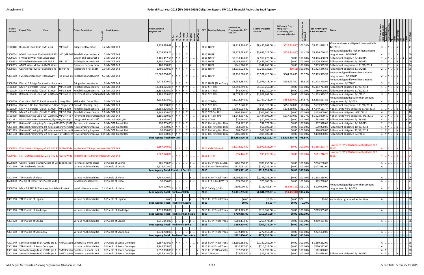| Control<br><b>Number</b> | roject Title                                                               | From |          | <b>Project Description</b>                                                                                                                                   | <b>Lead Agency</b>                                                                                          | <b>Total Estimated</b><br>Project Cost              | عاعا عالما |         | FFY  | <b>Funding Category</b>                         | Federal Amt<br>rogrammed in TIP<br><b>End FFY</b> | <b>Federal Obligated</b><br><b>Amount</b> | Difference Prog -<br>Oblig KEY:<br>$$1=$ unoblig $$1)$<br>=excess obligation | <b>Total Amt Prog'md</b><br>in TIP with Match |                                                                                                        |                         |          |    |
|--------------------------|----------------------------------------------------------------------------|------|----------|--------------------------------------------------------------------------------------------------------------------------------------------------------------|-------------------------------------------------------------------------------------------------------------|-----------------------------------------------------|------------|---------|------|-------------------------------------------------|---------------------------------------------------|-------------------------------------------|------------------------------------------------------------------------------|-----------------------------------------------|--------------------------------------------------------------------------------------------------------|-------------------------|----------|----|
|                          | 3100340 Business Loop 13 in BMP 2.94                                       |      | MP 3.47  | Bridge replacement.                                                                                                                                          | $0.2$ NMDOT D-3                                                                                             | 9,433,898.47                                        |            |         |      | 2015 NHPP                                       | \$7,913,366.00                                    | \$8,430,809.00                            | $(5517, 443.00)$ 106.54%                                                     | \$9,261,898.14                                | More funds were obligated than available<br>4/1/2015                                                   |                         |          |    |
|                          |                                                                            |      |          | A300074   I-40 & Louisiana Blvd I-40 (MP 162 I-40 (MP 163  Rehabilitation and/or                                                                             | 1 NMDOT D-3                                                                                                 | 4,659,839.26                                        |            |         |      | 2015 NHPP                                       | \$3,175,583.00                                    | \$3,633,527.00                            | $(5457, 944.00)$ 114.42%                                                     | \$3,716,740.30                                | Amount obligated is higher than amount<br>programmed. 8/20/2015                                        |                         |          |    |
|                          | A300076   I-40 Noise Wall near Unser Blvd.                                 |      |          | Design and construct                                                                                                                                         | 1 NMDOT D-3                                                                                                 | 3,406,457.56 Y Y Y                                  |            |         |      | 2015 NHPP                                       | \$2,910,478.00                                    | \$2,910,478.00                            | \$0.00 100.00%                                                               |                                               | \$3,406,458.24 Full amount obligated 9/14/2015                                                         |                         |          |    |
|                          | A300363   I-25 Belen ReconstrucMP 189.7                                    |      | MP 193.1 | Full depth reconstruct                                                                                                                                       | 3 NMDOT D-3                                                                                                 | 4,300,000.00 Y                                      |            |         |      | 2015 NHPP                                       | \$2,483,200.00                                    | \$2,483,200.00                            | \$0.00 100.00%                                                               |                                               | \$2,906,366.96 Full amount obligated 5/19/2015                                                         | $\overline{3}$          |          |    |
|                          | A300795 AMPA Wide Motorist AMPA Wide                                       |      |          | Operate courtesy patr                                                                                                                                        | 0 NMDOT D-3                                                                                                 | 400,000.00                                          |            |         |      | 2015 NHPP                                       | \$341,760.00                                      | \$341,760.00                              | \$0.00 100.00%                                                               |                                               | \$399,999.99 Full amount programmed 11/20/2014                                                         | $\mathbf{1}$            | <b>Y</b> |    |
|                          | 4300815 Coors Blvd: NM 45 PaEduardo Rd Tower Rd                            |      |          | Intersection full depth                                                                                                                                      | 0.9 NMDOT D-3                                                                                               | 1,400,000.00 Y Y                                    |            |         |      | 2015 NHPP                                       | \$1,216,022.00                                    | $$1,216,022.11$ =                         | $(50.11) 100.00\%$                                                           |                                               | \$1,423,246.68 Full amount obligated 1/16/2015                                                         | 2 <sup>1</sup>          |          |    |
|                          |                                                                            |      |          | A301010   I-25 Reconstruction (Broadway   Rio Bravo Bly Rehabilitation/Recons                                                                                | 4.7 NMDOT D-3                                                                                               | 26,000,000.00                                       |            |         |      | 2015 NHPP                                       | \$2,136,000.00                                    | \$1,571,426.00                            | \$564,574.00<br>73.57%                                                       | \$2,499,999.93                                | Amount obligated lower than amount<br>programmed. 2/19/2015<br>Amount obligated lower than amount      | $\overline{2}$          |          |    |
|                          | A300696   District 3 Bridge Deck various locations                         |      |          | Bridge deck repairs an                                                                                                                                       | 0 NMDOT D-3                                                                                                 | 1,473,379.00                                        |            |         |      | 2015 NHPP (Non-Charg                            | \$1,258,855.00                                    | \$1,076,418.00                            | \$182,437.00<br>85.51%                                                       | \$1,473,378.94                                | programmed 4/2/2015                                                                                    | -3                      |          |    |
|                          |                                                                            |      |          | 3100300 NM 47 in Peralta (OldMP 31.000 MP 32.800 Rehabilitate/reconstru                                                                                      | 1.8 NMDOT D-3                                                                                               | 13,884,876.00 Y Y Y Y Y                             |            |         |      | 2015 STP-Flex                                   | \$4,359,759.00                                    | \$4,359,759.00                            | \$0.00 100.00%                                                               |                                               | \$5,102,714.04 Full amount obligated 11/20/2014                                                        |                         |          |    |
|                          |                                                                            |      |          | 3100300 NM 47 in Peralta (OldMP 31.000 MP 32.800 Rehabilitate/reconstru                                                                                      | 1.8 NMDOT D-3                                                                                               | 13,884,876.00 Y Y Y Y Y                             |            |         |      | 2015 STP-Flex                                   | \$42,720.00                                       | $$42,720.00$ =                            | \$0.00 100.00%                                                               |                                               | \$50,000.00 Full amount obligated 11/20/2014                                                           |                         |          |    |
|                          |                                                                            |      |          | 3100460  Belen Business Loop  MP 2.68 to MMP 3.47 to N Pavement preservation (Mill NMDOT D-3                                                                 |                                                                                                             | 3,186,069.00 Y Y Y                                  |            |         |      | 2015 STP-Flex                                   | \$1,079,961.00                                    | $$1,079,961.00$ =                         | \$0.00 100.00%                                                               |                                               | \$1,263,999.26   Full amount obligated $4/1/2015$                                                      | $\overline{3}$          |          |    |
|                          |                                                                            |      |          | A300016 Coors Blvd:NM 45 Pa Montano Rd. Irving Blvd. Mill and fill Coors Blvd                                                                                | 3 NMDOT D-3                                                                                                 | 3,238,818.00                                        |            |         |      | 2015 STP-Flex                                   | \$1,912,846.00                                    | \$2,767,245.00                            | $(S854, 399.00)$ 144.67%                                                     | \$2,238,817.82                                | Amount obligated greater than amount<br>programmed 9/14/2015                                           |                         |          |    |
|                          |                                                                            |      |          | A300804 District 3 On-Call Plan District 3 Wide Projects T.E Provide planning, engi                                                                          | 0 NMDOT D-3                                                                                                 | 500.000.00 Y Y Y                                    |            |         |      | 2015 STP-Flex                                   | \$512,640.00                                      | \$256,320.00                              | \$256,320.00 50.00%                                                          |                                               | \$599,999.98 Full amount programmed 11/20/2014                                                         | 1                       |          |    |
|                          |                                                                            |      |          | 3100300 NM 47 in Peralta (OldMP 31.000 MP 32.800 Rehabilitate/reconstru<br>3100300 NM 47 in Peralta (OldMP 31.000 MP 32.800 Rehabilitate/reconstru           | 1.8 NMDOT D-3<br>1.8 NMDOT D-3                                                                              | 13,884,876.00 Y Y Y Y Y<br>13,884,876.00 Y Y Y Y Y  |            |         |      | 2015 STP-Sm Urb<br>2015 STP-Sm Urb              | \$6,450,004.00<br>\$106,800.00                    | \$5,915,124.00<br>$$106,800.00$ =         | \$534,880.00 91.71%<br>\$0.00 100.00%                                        |                                               | \$7,549,161.77 Not all funds were obligated 11/20/2014<br>\$125,000.00 Full amount obligated 9/17/2015 | 1<br>$\overline{4}$     |          |    |
|                          |                                                                            |      |          | 100460  Belen Business Loop   MP 2.68 to N MP 3.47 to N Pavement preservation (Mill N MDOT D-3                                                               |                                                                                                             | 3,186,069.00 Y Y                                    |            |         |      | 2015 STP-Sm Urb                                 | \$1,642,217.00                                    | \$1,424,898.00                            | \$217,319.00 86.77%                                                          |                                               | \$1,922,070.40 Not all funds were obligated. 4/1/2015                                                  | $\overline{\mathbf{3}}$ |          |    |
|                          |                                                                            |      |          | A301182  I-25 & PdN Interchan Ramps, flyovers, through I Design and install traff                                                                            | 0 NMDOT Oper./ITS                                                                                           | 83,058.00                                           |            |         |      | 2015 STP-U                                      | \$70,965.00                                       | $$70,965.00$ =                            | \$0.00 100.00%                                                               |                                               | \$83,058.28 Full amount obligated 9/17/2015                                                            | $\overline{4}$          | -ly l    |    |
|                          |                                                                            |      |          | A301281 Railroad Crossing Imp Crossing # 019397V (NMR) Reconstruct railroad cr                                                                               | 0 NMDOT Transit Rail                                                                                        | 790,765.00 Y Y Y Y Y                                |            |         |      | 2015 Rail Xing Haz Elim                         | \$34,572.00                                       | $$34,572.00$ =                            | \$0.00 100.00%                                                               |                                               | \$37,318.65 Full amount obligated 2/19/2015                                                            | $2$ .                   | . IY IY  |    |
|                          |                                                                            |      |          | A301288   Railroad Crossing Imp.02 miles east of intersectionew surfacing improve                                                                            | 0 NMDOT Transit Rail                                                                                        | 70,000.00 Y Y Y                                     |            |         |      | 2015 Rail Xing Haz Elim                         | \$63,000.00                                       | \$63,000.00                               | \$0.00 100.00%                                                               |                                               | \$70,000.00 Full amount obligated 10/21/2014                                                           | 1 Y Y                   |          |    |
|                          |                                                                            |      |          | A301289   Rialroad Crossing Imp.02 miles east of intersecti New surfacing improve                                                                            | 0 NMDOT Transit Rail                                                                                        | 70,000.00 Y Y Y                                     |            |         |      | 2015 Rail Xing Haz Elim                         | \$63,000.00                                       | \$63,000.00                               | \$0.00 100.00%                                                               |                                               | \$70,000.00 Full amount obligated 12/18/2014                                                           | 1 Y Y                   |          |    |
|                          |                                                                            |      |          |                                                                                                                                                              | A301630   Railroad Crossing Imp.22 miles west of intersecti New surfacing improve 0.05   NMDOT Transit Rail | 140,000.00 Y Y Y<br><b>Lead Agency Total: NMDOT</b> |            |         | 2015 | 2015 Rail Xing Haz Elim                         | \$405,000.00<br>\$56,368,016.86                   | \$405,000.00<br>$$53,851,520.11$ =        | \$0.00 100.00%<br>\$2,516,496.75 95.54%                                      |                                               | \$450,000.00 Full amount obligated 8/3/2015                                                            | 4 Y Y                   |          |    |
|                          |                                                                            |      |          |                                                                                                                                                              |                                                                                                             |                                                     |            |         |      |                                                 |                                                   |                                           |                                                                              |                                               |                                                                                                        |                         |          |    |
|                          |                                                                            |      |          | 4300765  ITS - District 3 DeployI-25 & I-40 & AMPA Wide  Implement ITS Improvement NMDOT D-3                                                                 |                                                                                                             | 1,367,040.00                                        |            |         |      | 2016 CMAQ-Mand                                  | \$1,072,523.00                                    | \$1,072,523.00                            | \$0.00 100.00%                                                               | \$1,255,293.74                                | How were FFY 2016 funds obligated in FFY<br>2015?                                                      |                         |          |    |
|                          |                                                                            |      |          | 300765  ITS - District 3 Deploy -25 & I-40 & AMPA Wide  Implement ITS Improvement NMDOT D-3                                                                  |                                                                                                             | 1,367,040.0                                         |            |         |      | 2016 STP-U                                      | \$95,476.00                                       | \$95,476.00                               | \$0.00 100.00%                                                               | \$111,746.25                                  | How were FFY 2016 funds obligated in FFY<br>2015?                                                      |                         |          |    |
|                          |                                                                            |      |          | "A00360 Cochiti Pueblo Transi Pueblo of CodTent Rocks N Purchase shuttle buses                                                                               | 0 Pueblo of Cochiti                                                                                         | 786,250.00                                          |            |         |      | 2015 FLHP-Paul S. Sarba                         | \$786,250.00                                      | \$786,250.00                              | \$0.00 100.00%                                                               | \$786,250.00                                  |                                                                                                        | A                       |          |    |
|                          | A301930   TTP- Pueblo de Cochiti                                           |      |          | Various multimodal tra                                                                                                                                       | 0 Pueblo of Cochiti                                                                                         | 2,276,472.00                                        |            |         |      | 2015 FLHP-TTP used for                          | \$127,081.00                                      | $$127,081.00$ =                           | \$0.00 100.00%                                                               | \$127,081.00                                  |                                                                                                        | $\mathsf{A}$            |          |    |
|                          |                                                                            |      |          |                                                                                                                                                              |                                                                                                             | <b>Lead Agency Total: Pueblo of Cochiti</b>         |            |         | 2015 |                                                 | \$913,331.00                                      | $$913,331.00$ =                           | $$0.00$   100.00%                                                            |                                               |                                                                                                        |                         |          |    |
|                          |                                                                            |      |          |                                                                                                                                                              |                                                                                                             |                                                     |            |         |      |                                                 |                                                   |                                           |                                                                              |                                               |                                                                                                        |                         |          |    |
|                          | 4301940 TTP-Pueblo of Isleta<br>TA00330 Pueblo of Isleta Trans Pueblo wide |      |          | Various multimodal tra<br>Develop a feasability s                                                                                                            | 0 Pueblo of Isleta<br>0 Pueblo of Isleta                                                                    | 7,789,410.00<br>30,000.00                           |            |         |      | 2015 FLHP-Tribal Trans<br>2015 FTA 5304 (SW Tra | \$1,298,235.00<br>\$75,000.00                     | \$1,298,235.00<br>$$75,000.00$ =          | \$0.00 100.00%<br>\$0.00 100.00%                                             | \$1,298,235.00<br>\$93,750.00                 |                                                                                                        | A<br>$\mathsf{A}$       |          |    |
|                          |                                                                            |      |          |                                                                                                                                                              |                                                                                                             |                                                     |            |         |      |                                                 |                                                   |                                           |                                                                              |                                               | Amount obligated greater than amount                                                                   |                         |          |    |
|                          | 4300656 NM 47 & NM 147 Intersection Safety Project                         |      |          | Install dilemma zone v                                                                                                                                       | 0.4 Pueblo of Isleta                                                                                        | 120,000.00                                          |            |         |      | 2015 Safety (HSIP)                              | \$108,000.00                                      | $$111,462.87$ =                           | $(53,462.87)$ 103.21%                                                        | \$120,000.00                                  | programmed 9/17/2015                                                                                   | 4                       |          |    |
|                          |                                                                            |      |          |                                                                                                                                                              |                                                                                                             | Lead Agency Total: Pueblo of Isleta                 |            |         | 2015 |                                                 | \$1,481,235.00                                    | $$1,484,697.87$ =                         | $(53,462.87)$ 100.23%                                                        |                                               |                                                                                                        |                         |          |    |
|                          | A301950 TTP-Pueblo of Laguna                                               |      |          |                                                                                                                                                              | 0 Pueblo of Laguna                                                                                          |                                                     |            |         |      | 2015 FLHP-Tribal Trans                          |                                                   |                                           |                                                                              |                                               |                                                                                                        |                         |          |    |
|                          |                                                                            |      |          | Various multimodal tra                                                                                                                                       |                                                                                                             | $0.00$<br>Lead Agency Total : Pueblo of Laguna      |            |         | 2015 |                                                 | \$0.00<br>\$0.00                                  | \$0.00<br>$ 50.00 $ =                     | \$0.00 N/A<br>$$0.00$ 0.00%                                                  |                                               | \$0.00 No funds programmed at this time                                                                | $\mathsf{A}$            |          |    |
|                          |                                                                            |      |          |                                                                                                                                                              |                                                                                                             |                                                     |            |         |      |                                                 |                                                   |                                           |                                                                              |                                               |                                                                                                        |                         |          |    |
|                          | A301960 TTP-Pueblo of San Felipe                                           |      |          | Various multimodal tra                                                                                                                                       | 0 Pueblo of San Felipe                                                                                      | $\overline{4,319,790.00}$ .                         |            | - IY 1. |      | 2015 FLHP-Tribal Trans                          | \$719,965.00                                      | $$719,965.00$ =                           | \$0.00 100.00%                                                               | \$719,965.00                                  |                                                                                                        | $\mathsf{A}$            |          |    |
|                          |                                                                            |      |          |                                                                                                                                                              |                                                                                                             | Lead Agency Total: Pueblo of San Felipe             |            |         | 2015 |                                                 | \$719,965.00                                      | $$719,965.00$ =                           | $$0.00$ 100.00%                                                              |                                               |                                                                                                        |                         |          |    |
|                          |                                                                            |      |          |                                                                                                                                                              |                                                                                                             |                                                     |            |         |      |                                                 |                                                   |                                           |                                                                              |                                               |                                                                                                        |                         |          |    |
|                          | A301970   TTP-Pueblo of Sandia                                             |      |          | Various multimodal tr                                                                                                                                        | 0 Pueblo of Sandia                                                                                          | $1,616,844.00$                                      |            |         | 2015 | 2015 FLHP-Tribal Trans                          | \$269,474.00                                      | \$269,474.00                              | \$0.00 100.00%<br>$$0.00$ 100.00%                                            | \$269,474.00                                  |                                                                                                        | $\mathsf{A}$            |          |    |
|                          |                                                                            |      |          |                                                                                                                                                              |                                                                                                             | <b>Lead Agency Total: Pueblo of Sandia</b>          |            |         |      |                                                 | \$269,474.00                                      | $$269,474.00$ =                           |                                                                              |                                               |                                                                                                        |                         |          |    |
|                          | A301980 TTP-Pueblo of Santa Ana                                            |      |          | Various multimodal tra                                                                                                                                       | 0 Pueblo of Santa Ana                                                                                       |                                                     |            |         |      | 2015 FLHP-Tribal Trans                          | \$272,450.00                                      | \$272,450.00                              | \$0.00 100.00%                                                               | \$272,450.00                                  |                                                                                                        | $\mathsf{A}$            |          |    |
|                          |                                                                            |      |          |                                                                                                                                                              |                                                                                                             | Lead Agency Total: Pueblo of Santa Ana              |            |         | 2015 |                                                 | \$272,450.00                                      | $$272,450.00$ =                           | $$0.00$   100.00%                                                            |                                               |                                                                                                        |                         |          |    |
|                          |                                                                            |      |          |                                                                                                                                                              |                                                                                                             |                                                     |            |         |      |                                                 |                                                   |                                           |                                                                              |                                               |                                                                                                        |                         |          |    |
|                          |                                                                            |      |          | A301540 Santo Domingo Multi Cattle grd E. (NMRX Statio Construct a multi-use                                                                                 | 0 Pueblo of Santo Domingo                                                                                   | 1,357,318.00 Y Y Y .                                | <b>Y</b>   |         |      | 2015 FLHP-Tribal Trans                          | \$1,180,262.00                                    | \$1,180,262.00                            | \$0.00 100.00%                                                               | \$1,180,262.00                                |                                                                                                        | $\mathsf{A}$            |          |    |
|                          | A301990 TTP-Pueblo of Santo Domingo                                        |      |          | Various multimodal tra                                                                                                                                       | 0 Pueblo of Santo Domingo                                                                                   | 4,242,478.00                                        |            |         |      | 2015 FLHP-Tribal Trans                          | \$710,327.00                                      | $$710,327.00$ =                           | \$0.00 100.00%                                                               | \$710,327.00                                  |                                                                                                        | $\mathsf{A}$            |          |    |
|                          |                                                                            |      |          | A301540 Santo Domingo Multi Cattle grd E. (NMRX Statio Construct a multi-use<br>A301540 Santo Domingo Multi Cattle grd E. (NMRX Statio Construct a multi-use | 0 Pueblo of Santo Domingo<br>0 Pueblo of Santo Domingo                                                      | 1,357,318.00 Y Y Y<br>1,357,318.00 Y Y Y            | <b>IY</b>  |         |      | 2015 FLHP-TTP used for<br>2015 TAP-Rural        | \$12,890.00<br>\$75,638.00                        | $$12,890.00$ =<br>$$75,638.00$ =          | \$0.00 100.00%<br>\$0.00 100.00%                                             | \$12,890.00                                   | \$75,638.00 Full amount obligated 9/17/2015                                                            | A Y<br>4 Y Y            |          | 28 |
|                          |                                                                            |      |          |                                                                                                                                                              |                                                                                                             |                                                     |            |         |      |                                                 |                                                   |                                           |                                                                              |                                               |                                                                                                        |                         |          |    |